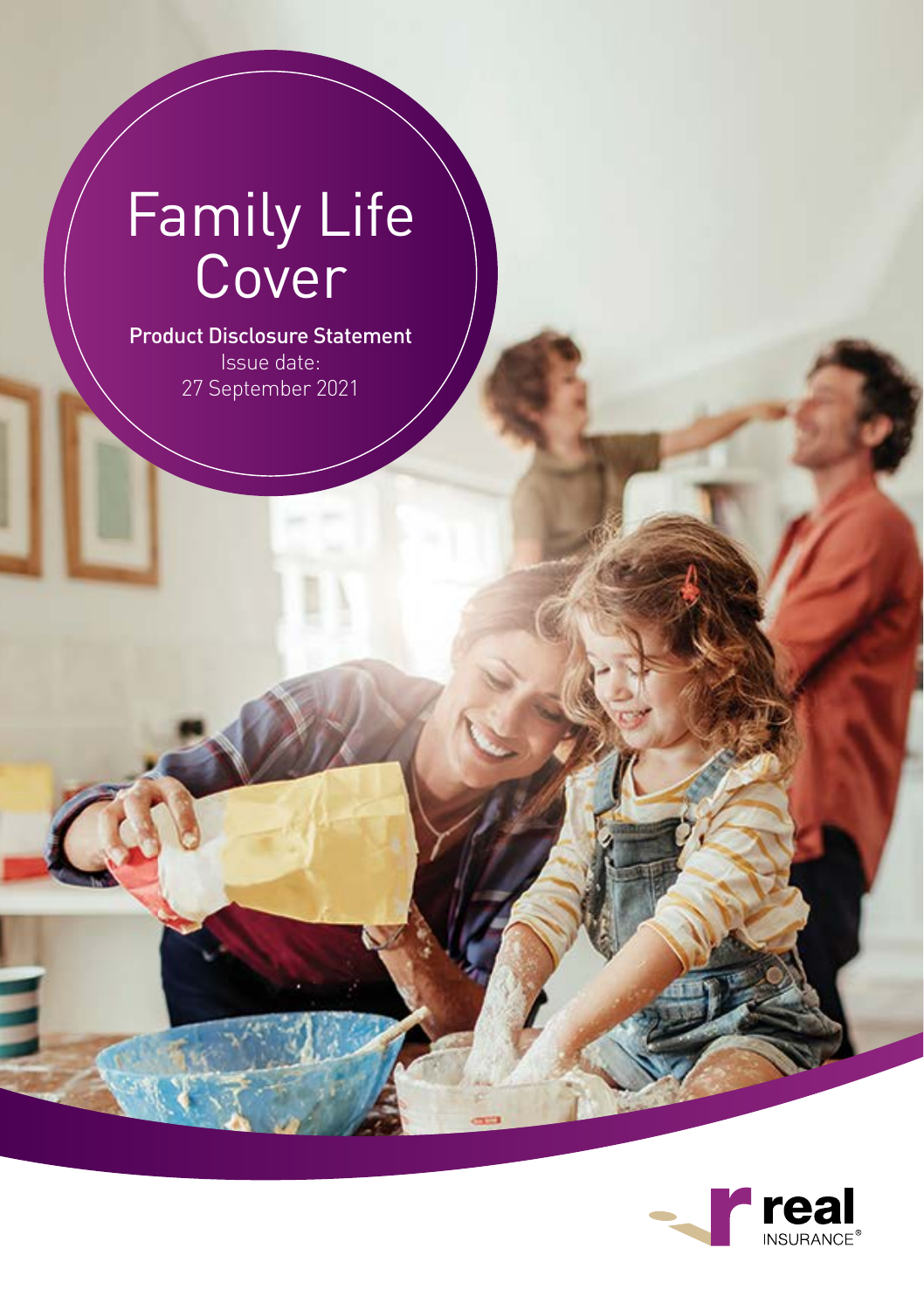# Family Life Cover

#### Product Disclosure Statement Issue date: 27 September 2021

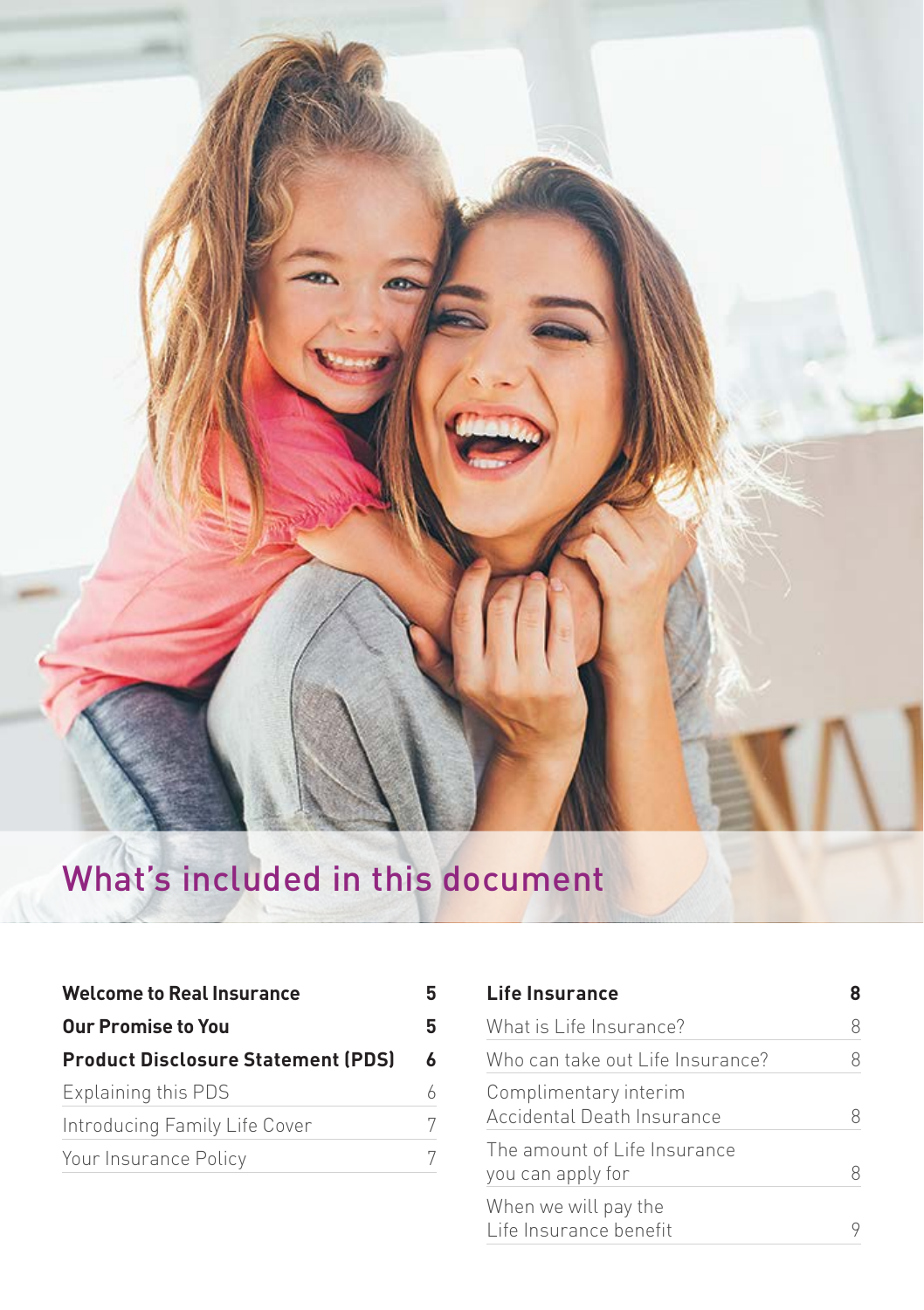

# What's included in this document

| <b>Welcome to Real Insurance</b>          | 5 |
|-------------------------------------------|---|
| Our Promise to You                        | 5 |
| <b>Product Disclosure Statement (PDS)</b> | 6 |
| Explaining this PDS                       | 6 |
| Introducing Family Life Cover             | 7 |
| Your Insurance Policy                     |   |

| Life Insurance                                      |   |
|-----------------------------------------------------|---|
| What is Life Insurance?                             | Χ |
| Who can take out Life Insurance?                    |   |
| Complimentary interim<br>Accidental Death Insurance |   |
| The amount of Life Insurance<br>you can apply for   |   |
| When we will pay the<br>Life Insurance benefit      |   |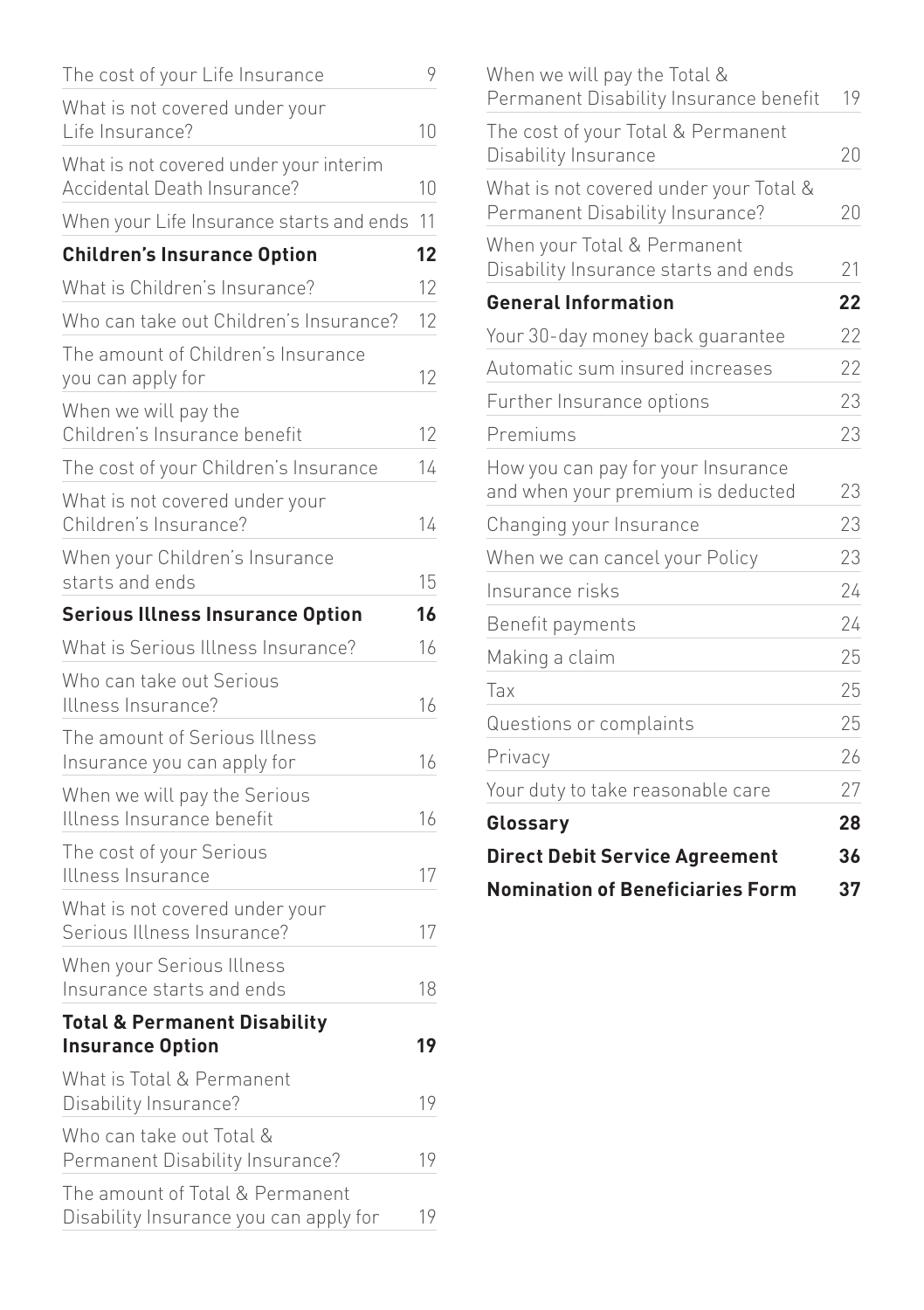| The cost of your Life Insurance                                           | 9  |
|---------------------------------------------------------------------------|----|
| What is not covered under your                                            |    |
| Life Insurance?                                                           | 10 |
| What is not covered under your interim<br>Accidental Death Insurance?     | 10 |
| When your Life Insurance starts and ends                                  | 11 |
| <b>Children's Insurance Option</b>                                        | 12 |
| What is Children's Insurance?                                             | 12 |
| Who can take out Children's Insurance?                                    | 12 |
| The amount of Children's Insurance<br>you can apply for                   | 12 |
| When we will pay the<br>Children's Insurance benefit                      | 12 |
| The cost of your Children's Insurance                                     | 14 |
| What is not covered under your<br>Children's Insurance?                   | 14 |
| When your Children's Insurance<br>starts and ends                         | 15 |
| <b>Serious Illness Insurance Option</b>                                   | 16 |
| What is Serious Illness Insurance?                                        | 16 |
| Who can take out Serious<br>Illness Insurance?                            | 16 |
| The amount of Serious Illness<br>Insurance you can apply for              | 16 |
| When we will pay the Serious<br>Illness Insurance benefit                 | 16 |
| The cost of your Serious<br>Illness Insurance                             | 17 |
| What is not covered under your<br>Serious Illness Insurance?              | 17 |
| When your Serious Illness<br>Insurance starts and ends                    | 18 |
| <b>Total &amp; Permanent Disability</b><br><b>Insurance Option</b>        | 19 |
| What is Total & Permanent<br>Disability Insurance?                        | 19 |
| Who can take out Total &<br>Permanent Disability Insurance?               | 19 |
| The amount of Total & Permanent<br>Disability Insurance you can apply for | 19 |

| When we will pay the Total &<br>Permanent Disability Insurance benefit    | 19 |
|---------------------------------------------------------------------------|----|
| The cost of your Total & Permanent<br>Disability Insurance                | 20 |
|                                                                           |    |
| What is not covered under your Total &<br>Permanent Disability Insurance? | 20 |
| When your Total & Permanent<br>Disability Insurance starts and ends       | 21 |
| <b>General Information</b>                                                | 22 |
| Your 30-day money back quarantee                                          | 22 |
| Automatic sum insured increases                                           | 22 |
| Further Insurance options                                                 | 23 |
| Premiums                                                                  | 23 |
| How you can pay for your Insurance<br>and when your premium is deducted   | 23 |
| Changing your Insurance                                                   | 23 |
| When we can cancel your Policy                                            | 23 |
| Insurance risks                                                           | 24 |
| Benefit payments                                                          | 24 |
| Making a claim                                                            | 25 |
| Tax                                                                       | 25 |
| Questions or complaints                                                   | 25 |
| Privacy                                                                   | 26 |
| Your duty to take reasonable care                                         | 27 |
| Glossary                                                                  | 28 |
| <b>Direct Debit Service Agreement</b>                                     | 36 |
| <b>Nomination of Beneficiaries Form</b>                                   | 37 |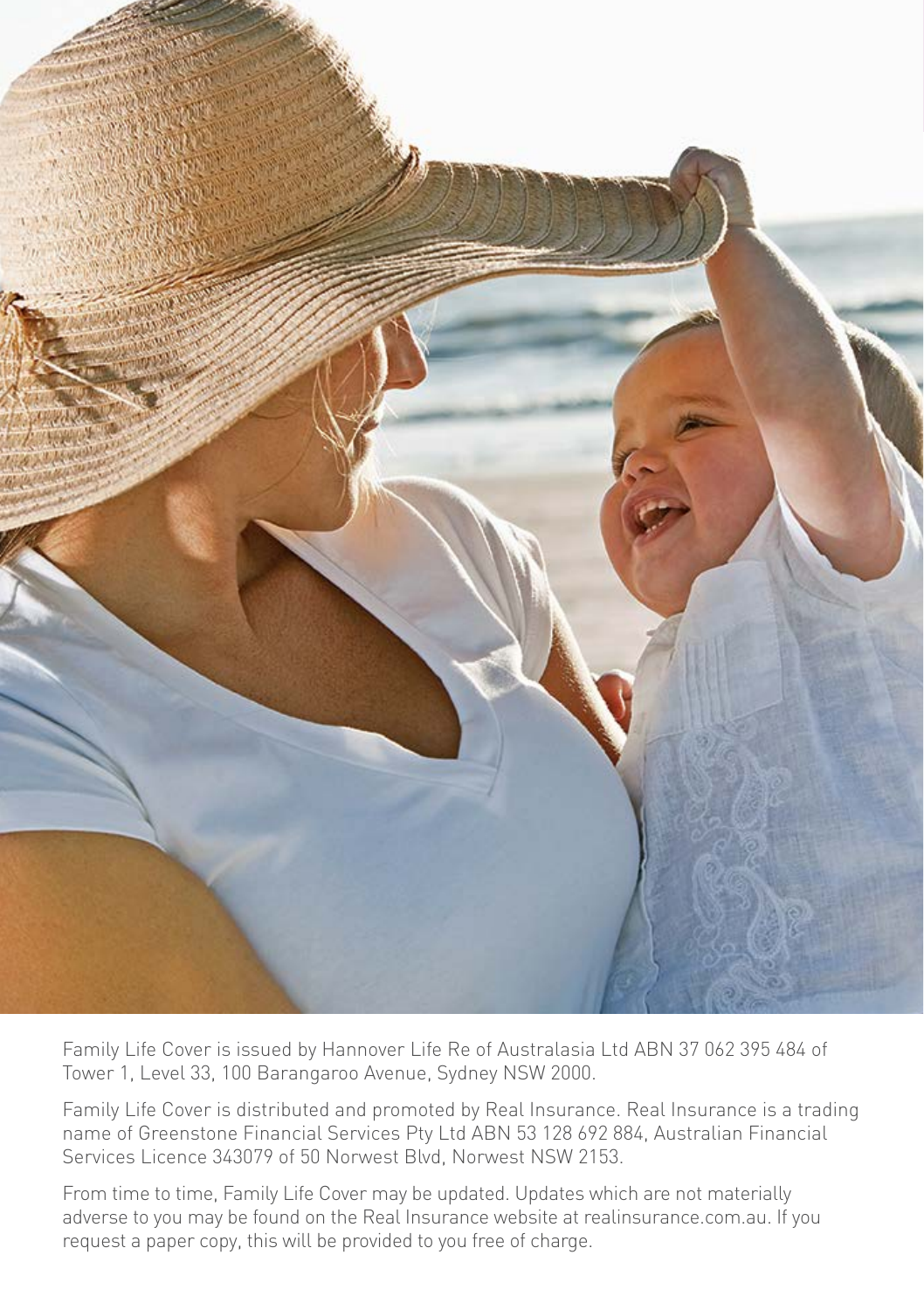

Family Life Cover is issued by Hannover Life Re of Australasia Ltd ABN 37 062 395 484 of Tower 1, Level 33, 100 Barangaroo Avenue, Sydney NSW 2000.

Family Life Cover is distributed and promoted by Real Insurance. Real Insurance is a trading name of Greenstone Financial Services Pty Ltd ABN 53 128 692 884, Australian Financial Services Licence 343079 of 50 Norwest Blvd, Norwest NSW 2153.

From time to time, Family Life Cover may be updated. Updates which are not materially adverse to you may be found on the Real Insurance website at realinsurance.com.au. If you request a paper copy, this will be provided to you free of charge.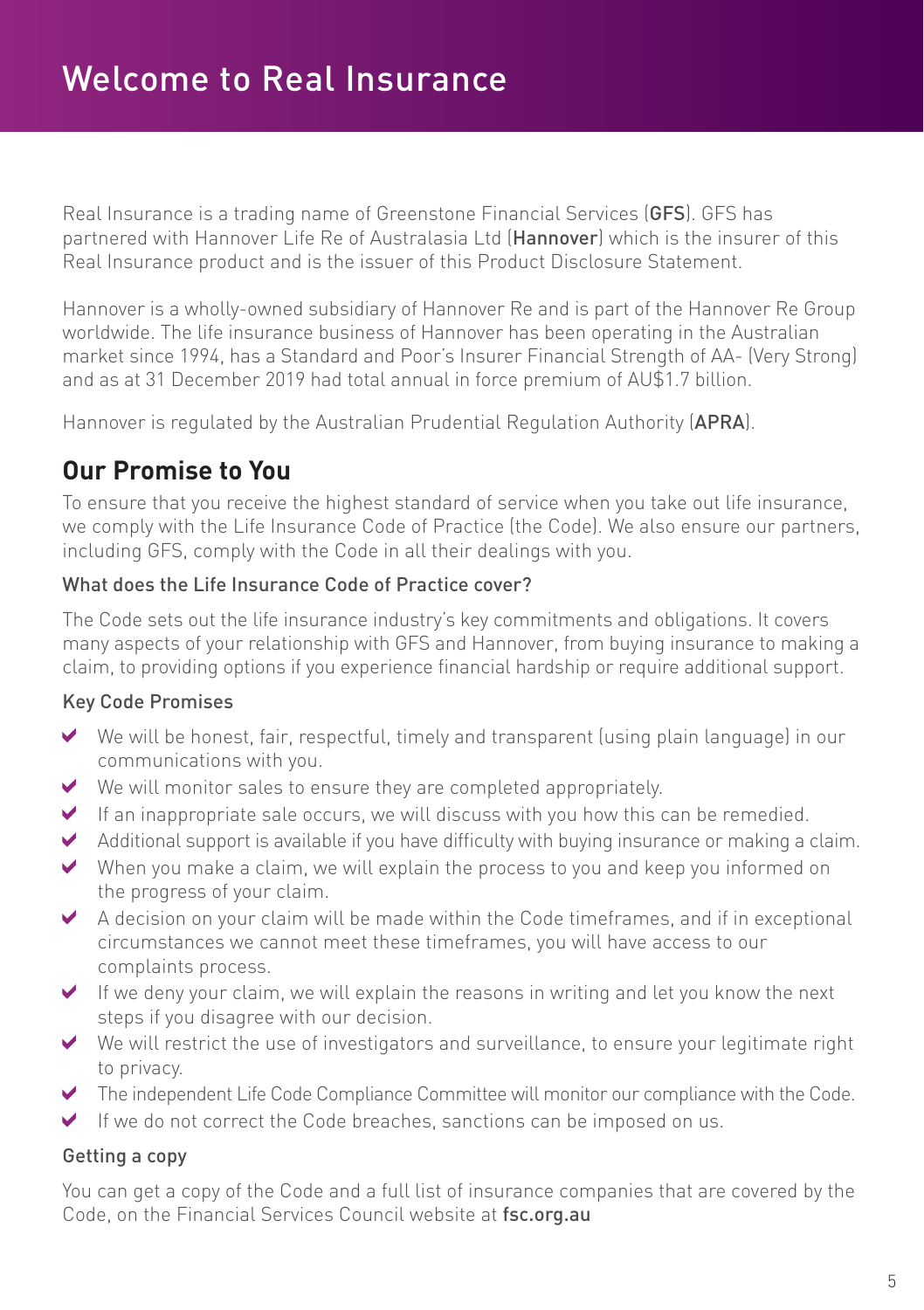Real Insurance is a trading name of Greenstone Financial Services (GFS). GFS has partnered with Hannover Life Re of Australasia Ltd (Hannover) which is the insurer of this Real Insurance product and is the issuer of this Product Disclosure Statement.

Hannover is a wholly-owned subsidiary of Hannover Re and is part of the Hannover Re Group worldwide. The life insurance business of Hannover has been operating in the Australian market since 1994, has a Standard and Poor's Insurer Financial Strength of AA- (Very Strong) and as at 31 December 2019 had total annual in force premium of AU\$1.7 billion.

Hannover is regulated by the Australian Prudential Regulation Authority (APRA).

## **Our Promise to You**

To ensure that you receive the highest standard of service when you take out life insurance, we comply with the Life Insurance Code of Practice (the Code). We also ensure our partners, including GFS, comply with the Code in all their dealings with you.

#### What does the Life Insurance Code of Practice cover?

The Code sets out the life insurance industry's key commitments and obligations. It covers many aspects of your relationship with GFS and Hannover, from buying insurance to making a claim, to providing options if you experience financial hardship or require additional support.

#### Key Code Promises

- $\blacktriangleright$  We will be honest, fair, respectful, timely and transparent (using plain language) in our communications with you.
- We will monitor sales to ensure they are completed appropriately.  $\blacktriangleright$
- $\blacktriangleright$  If an inappropriate sale occurs, we will discuss with you how this can be remedied.
- Additional support is available if you have difficulty with buying insurance or making a claim.  $\vee$
- When you make a claim, we will explain the process to you and keep you informed on the progress of your claim.
- A decision on your claim will be made within the Code timeframes, and if in exceptional circumstances we cannot meet these timeframes, you will have access to our complaints process.
- $\blacktriangleright$  If we deny your claim, we will explain the reasons in writing and let you know the next steps if you disagree with our decision.
- We will restrict the use of investigators and surveillance, to ensure your legitimate right to privacy.
- The independent Life Code Compliance Committee will monitor our compliance with the Code.
- If we do not correct the Code breaches, sanctions can be imposed on us.  $\blacktriangledown$

#### Getting a copy

You can get a copy of the Code and a full list of insurance companies that are covered by the Code, on the Financial Services Council website at fsc.org.au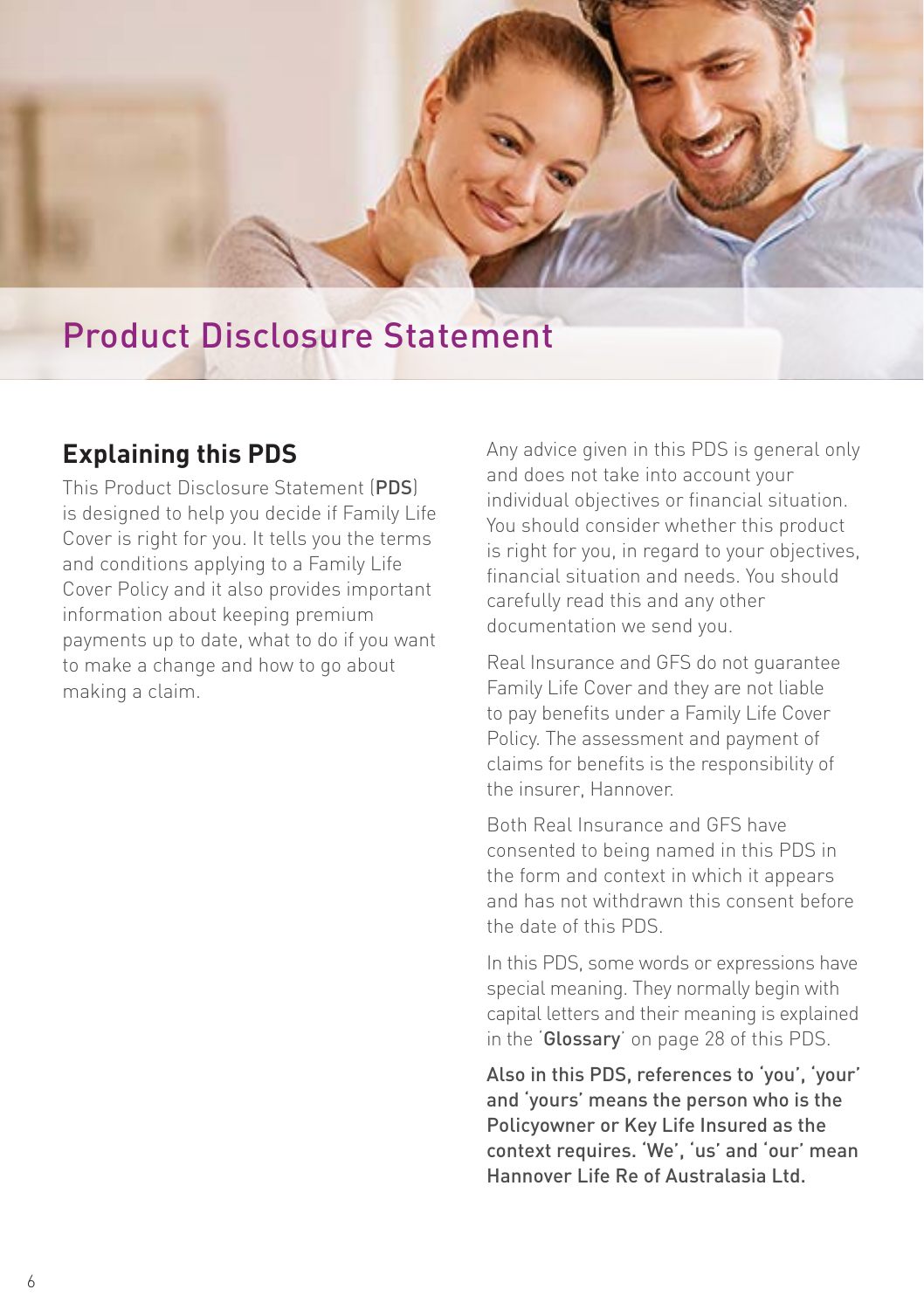

# Product Disclosure Statement

## **Explaining this PDS**

This Product Disclosure Statement (PDS) is designed to help you decide if Family Life Cover is right for you. It tells you the terms and conditions applying to a Family Life Cover Policy and it also provides important information about keeping premium payments up to date, what to do if you want to make a change and how to go about making a claim.

Any advice given in this PDS is general only and does not take into account your individual objectives or financial situation. You should consider whether this product is right for you, in regard to your objectives, financial situation and needs. You should carefully read this and any other documentation we send you.

Real Insurance and GFS do not guarantee Family Life Cover and they are not liable to pay benefits under a Family Life Cover Policy. The assessment and payment of claims for benefits is the responsibility of the insurer, Hannover.

Both Real Insurance and GFS have consented to being named in this PDS in the form and context in which it appears and has not withdrawn this consent before the date of this PDS.

In this PDS, some words or expressions have special meaning. They normally begin with capital letters and their meaning is explained in the 'Glossary' on page 28 of this PDS.

Also in this PDS, references to 'you', 'your' and 'yours' means the person who is the Policyowner or Key Life Insured as the context requires. 'We', 'us' and 'our' mean Hannover Life Re of Australasia Ltd.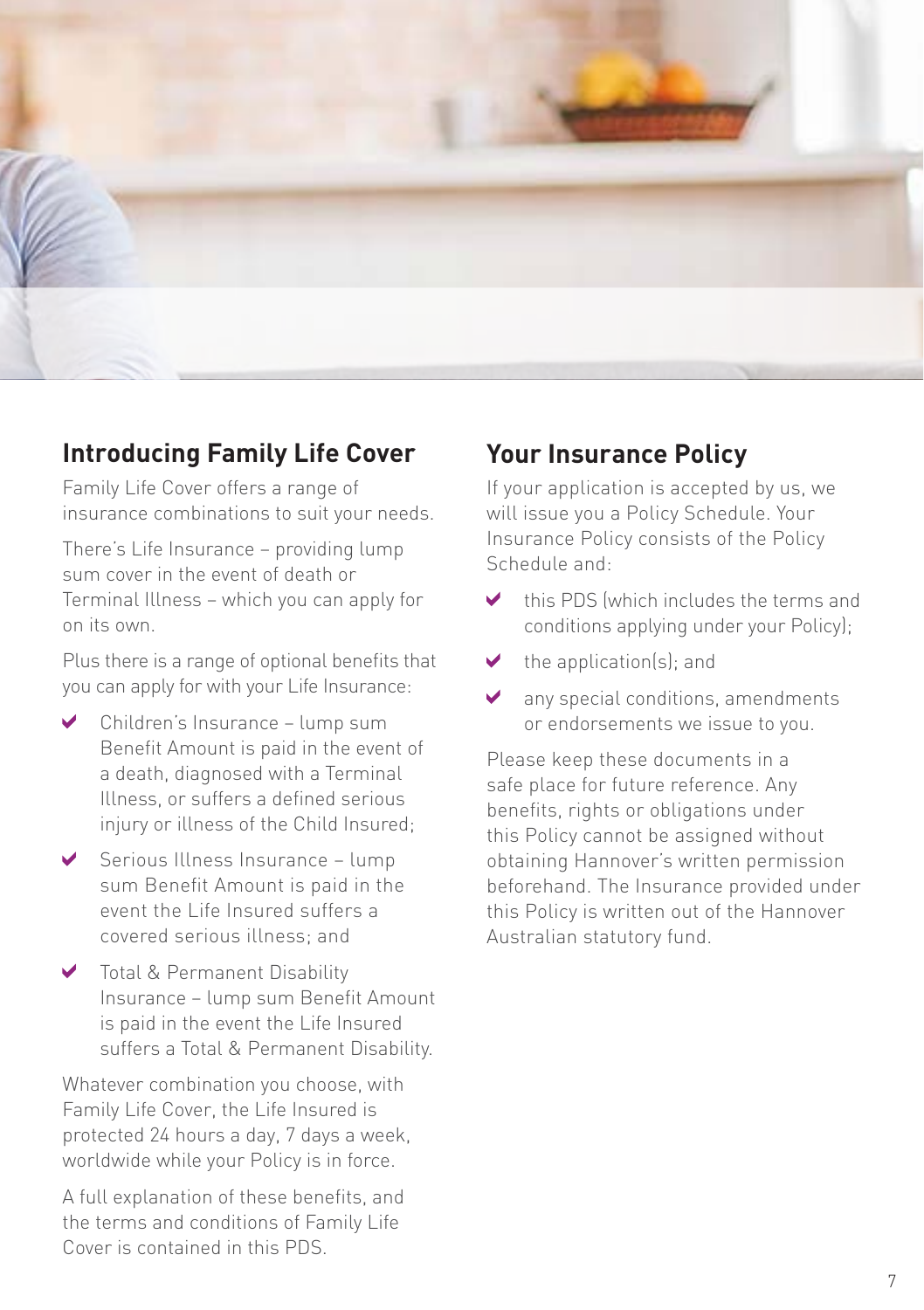

#### **Introducing Family Life Cover**

Family Life Cover offers a range of insurance combinations to suit your needs.

There's Life Insurance – providing lump sum cover in the event of death or Terminal Illness – which you can apply for on its own.

Plus there is a range of optional benefits that you can apply for with your Life Insurance:

- Children's Insurance lump sum Benefit Amount is paid in the event of a death, diagnosed with a Terminal Illness, or suffers a defined serious injury or illness of the Child Insured:
- Serious Illness Insurance lump sum Benefit Amount is paid in the event the Life Insured suffers a covered serious illness; and
- **V** Total & Permanent Disability Insurance – lump sum Benefit Amount is paid in the event the Life Insured suffers a Total & Permanent Disability.

Whatever combination you choose, with Family Life Cover, the Life Insured is protected 24 hours a day, 7 days a week, worldwide while your Policy is in force.

A full explanation of these benefits, and the terms and conditions of Family Life Cover is contained in this PDS.

## **Your Insurance Policy**

If your application is accepted by us, we will issue you a Policy Schedule. Your Insurance Policy consists of the Policy Schedule and:

- this PDS (which includes the terms and conditions applying under your Policy);
- $\blacktriangleright$  the application(s); and
- ◆ any special conditions, amendments or endorsements we issue to you.

Please keep these documents in a safe place for future reference. Any benefits, rights or obligations under this Policy cannot be assigned without obtaining Hannover's written permission beforehand. The Insurance provided under this Policy is written out of the Hannover Australian statutory fund.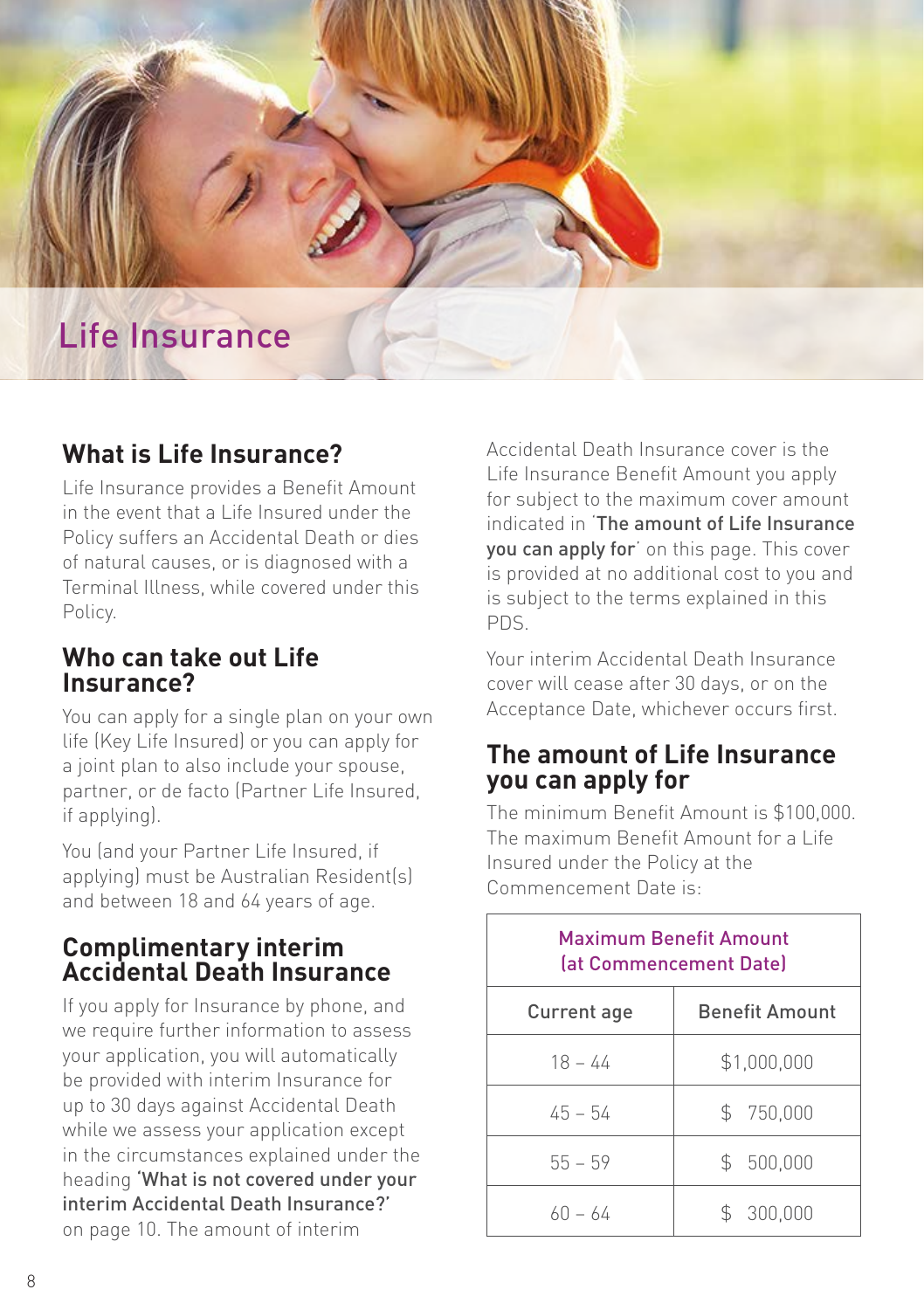

### **What is Life Insurance?**

Life Insurance provides a Benefit Amount in the event that a Life Insured under the Policy suffers an Accidental Death or dies of natural causes, or is diagnosed with a Terminal Illness, while covered under this Policy.

#### **Who can take out Life Insurance?**

You can apply for a single plan on your own life (Key Life Insured) or you can apply for a joint plan to also include your spouse, partner, or de facto (Partner Life Insured, if applying).

You (and your Partner Life Insured, if applying) must be Australian Resident(s) and between 18 and 64 years of age.

#### **Complimentary interim Accidental Death Insurance**

If you apply for Insurance by phone, and we require further information to assess your application, you will automatically be provided with interim Insurance for up to 30 days against Accidental Death while we assess your application except in the circumstances explained under the heading 'What is not covered under your interim Accidental Death Insurance?' on page 10. The amount of interim

Accidental Death Insurance cover is the Life Insurance Benefit Amount you apply for subject to the maximum cover amount indicated in 'The amount of Life Insurance you can apply for' on this page. This cover is provided at no additional cost to you and is subject to the terms explained in this PDS.

Your interim Accidental Death Insurance cover will cease after 30 days, or on the Acceptance Date, whichever occurs first.

#### **The amount of Life Insurance you can apply for**

The minimum Benefit Amount is \$100,000. The maximum Benefit Amount for a Life Insured under the Policy at the Commencement Date is:

|             | <b>Maximum Benefit Amount</b><br>lat Commencement Datel |
|-------------|---------------------------------------------------------|
| Current age | <b>Benefit Amount</b>                                   |
| $18 - 44$   | \$1,000,000                                             |
| $45 - 54$   | \$ 750,000                                              |
| $55 - 59$   | \$ 500,000                                              |
| 60 – 64     | \$300,000                                               |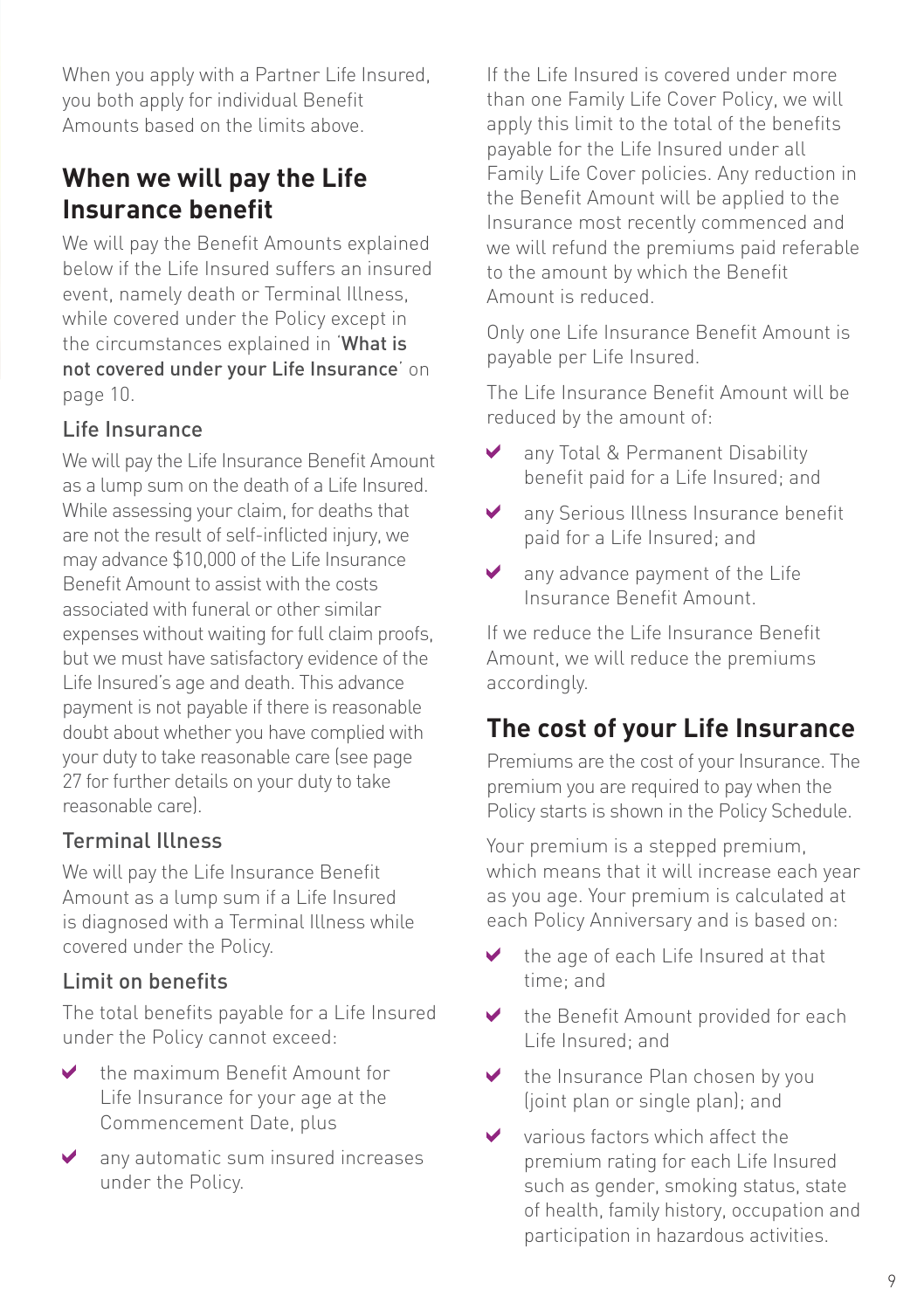When you apply with a Partner Life Insured, you both apply for individual Benefit Amounts based on the limits above.

## **When we will pay the Life Insurance benefit**

We will pay the Benefit Amounts explained below if the Life Insured suffers an insured event, namely death or Terminal Illness while covered under the Policy except in the circumstances explained in 'What is not covered under your Life Insurance' on page 10.

#### Life Insurance

We will pay the Life Insurance Benefit Amount as a lump sum on the death of a Life Insured. While assessing your claim, for deaths that are not the result of self-inflicted injury, we may advance \$10,000 of the Life Insurance Benefit Amount to assist with the costs associated with funeral or other similar expenses without waiting for full claim proofs, but we must have satisfactory evidence of the Life Insured's age and death. This advance payment is not payable if there is reasonable doubt about whether you have complied with your duty to take reasonable care (see page 27 for further details on your duty to take reasonable care).

#### Terminal Illness

We will pay the Life Insurance Benefit Amount as a lump sum if a Life Insured is diagnosed with a Terminal Illness while covered under the Policy.

#### Limit on benefits

The total benefits payable for a Life Insured under the Policy cannot exceed:

- $\checkmark$ the maximum Benefit Amount for Life Insurance for your age at the Commencement Date, plus
- any automatic sum insured increases under the Policy.

If the Life Insured is covered under more than one Family Life Cover Policy, we will apply this limit to the total of the benefits payable for the Life Insured under all Family Life Cover policies. Any reduction in the Benefit Amount will be applied to the Insurance most recently commenced and we will refund the premiums paid referable to the amount by which the Benefit Amount is reduced.

Only one Life Insurance Benefit Amount is payable per Life Insured.

The Life Insurance Benefit Amount will be reduced by the amount of:

- $\blacktriangledown$ any Total & Permanent Disability benefit paid for a Life Insured; and
- $\checkmark$ any Serious Illness Insurance benefit paid for a Life Insured; and
- ✔ any advance payment of the Life Insurance Benefit Amount.

If we reduce the Life Insurance Benefit Amount, we will reduce the premiums accordingly.

# **The cost of your Life Insurance**

Premiums are the cost of your Insurance. The premium you are required to pay when the Policy starts is shown in the Policy Schedule.

Your premium is a stepped premium, which means that it will increase each year as you age. Your premium is calculated at each Policy Anniversary and is based on:

- the age of each Life Insured at that time; and
- the Benefit Amount provided for each ✔ Life Insured; and
- ✔ the Insurance Plan chosen by you (joint plan or single plan); and
- ✔ various factors which affect the premium rating for each Life Insured such as gender, smoking status, state of health, family history, occupation and participation in hazardous activities.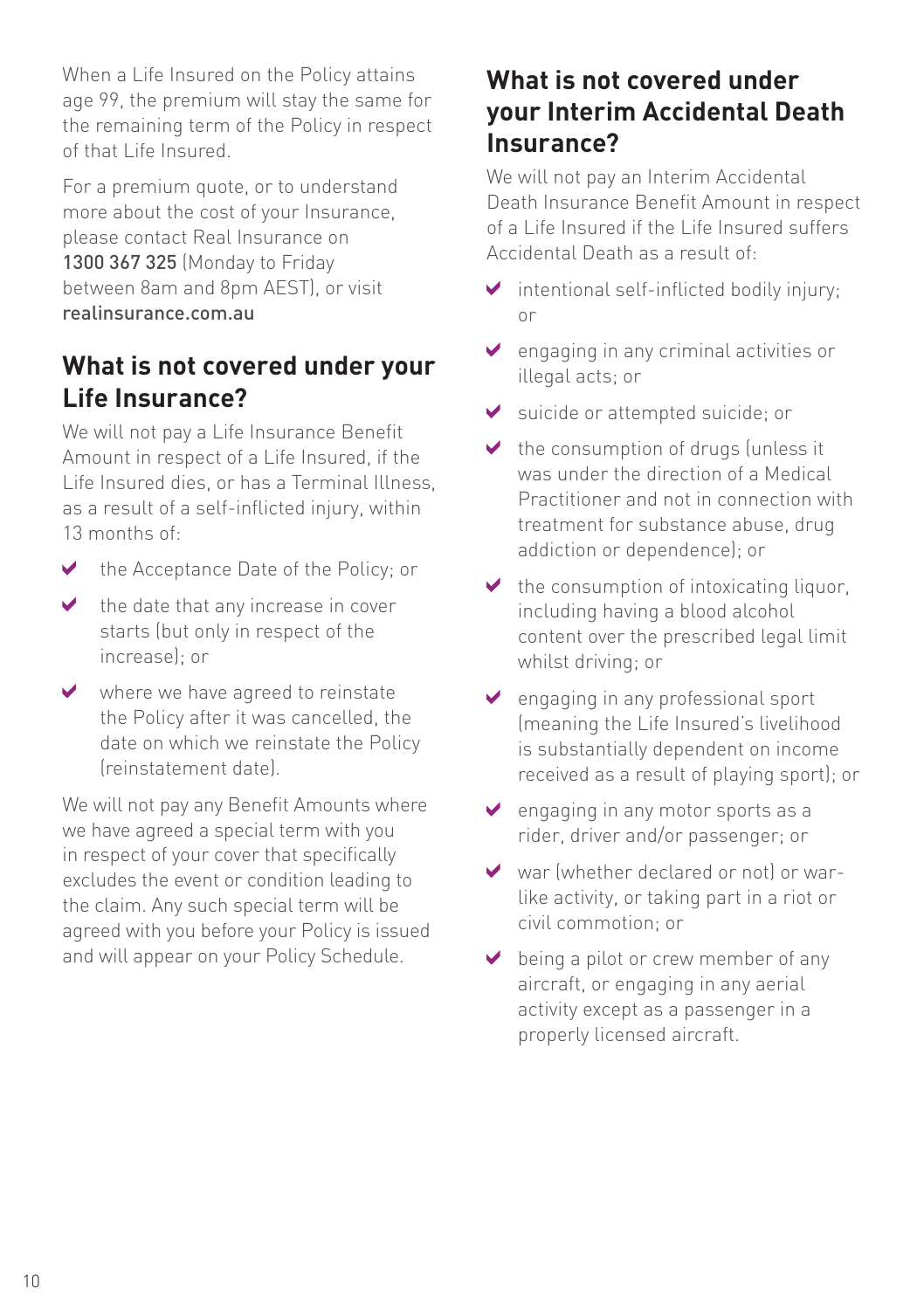When a Life Insured on the Policy attains age 99, the premium will stay the same for the remaining term of the Policy in respect of that Life Insured.

For a premium quote, or to understand more about the cost of your Insurance, please contact Real Insurance on 1300 367 325 (Monday to Friday between 8am and 8pm AEST), or visit realinsurance.com.au

## **What is not covered under your Life Insurance?**

We will not pay a Life Insurance Benefit Amount in respect of a Life Insured, if the Life Insured dies, or has a Terminal Illness, as a result of a self-inflicted injury, within 13 months of:

- $\blacktriangleright$  the Acceptance Date of the Policy; or
- the date that any increase in cover  $\blacktriangledown$ starts (but only in respect of the increase); or
- where we have agreed to reinstate  $\blacktriangledown$ the Policy after it was cancelled, the date on which we reinstate the Policy (reinstatement date).

We will not pay any Benefit Amounts where we have agreed a special term with you in respect of your cover that specifically excludes the event or condition leading to the claim. Any such special term will be agreed with you before your Policy is issued and will appear on your Policy Schedule.

## **What is not covered under your Interim Accidental Death Insurance?**

We will not pay an Interim Accidental Death Insurance Benefit Amount in respect of a Life Insured if the Life Insured suffers Accidental Death as a result of:

- $\blacktriangleright$  intentional self-inflicted bodily injury; or
- ◆ engaging in any criminal activities or illegal acts; or
- suicide or attempted suicide; or ✔
- the consumption of drugs (unless it  $\blacktriangleright$ was under the direction of a Medical Practitioner and not in connection with treatment for substance abuse, drug addiction or dependence); or
- $\blacktriangleright$  the consumption of intoxicating liquor, including having a blood alcohol content over the prescribed legal limit whilst driving; or
- $\triangleright$  engaging in any professional sport (meaning the Life Insured's livelihood is substantially dependent on income received as a result of playing sport); or
- $\vee$  engaging in any motor sports as a rider, driver and/or passenger; or
- war (whether declared or not) or warlike activity, or taking part in a riot or civil commotion; or
- $\triangleright$  being a pilot or crew member of any aircraft, or engaging in any aerial activity except as a passenger in a properly licensed aircraft.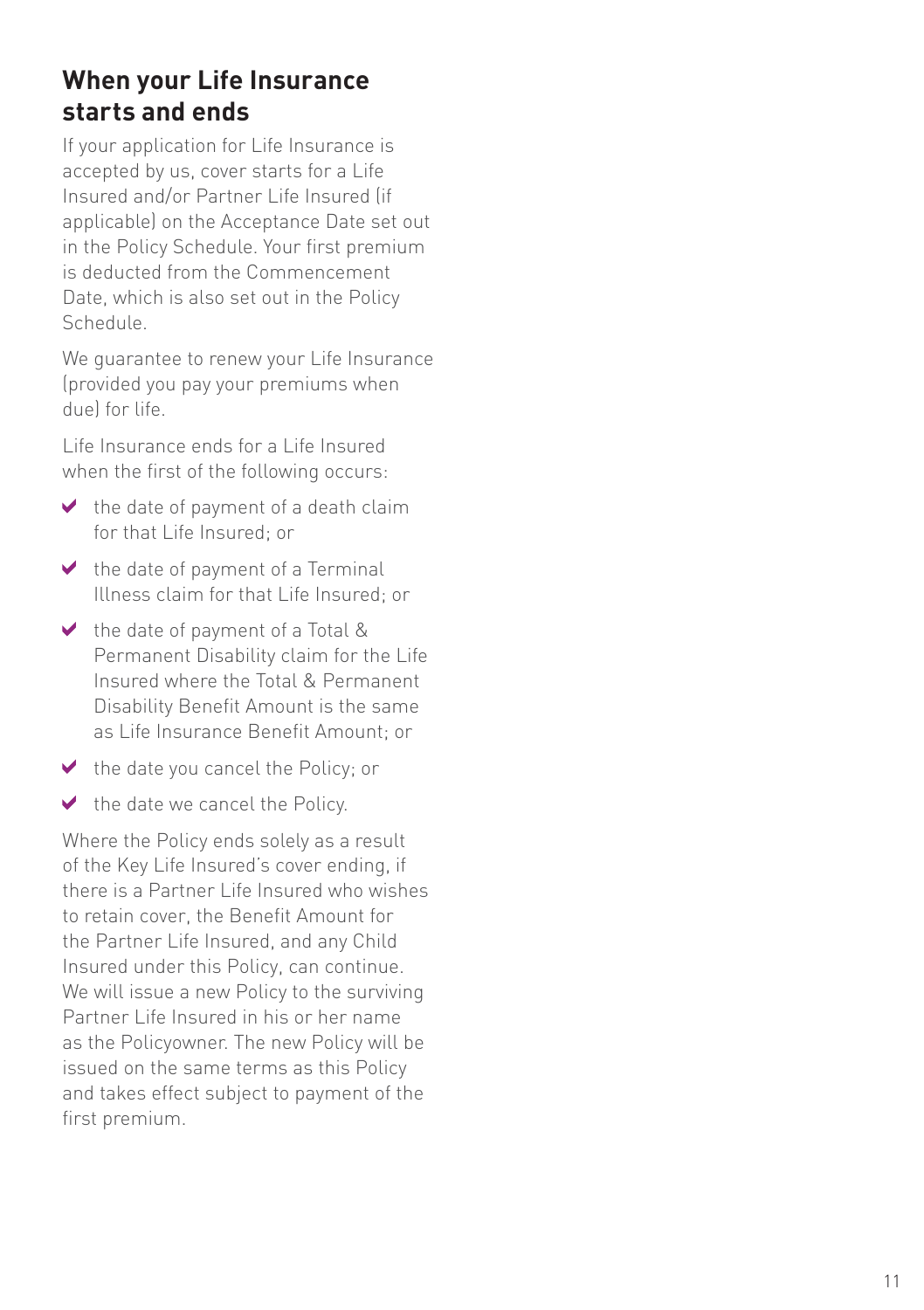## **When your Life Insurance starts and ends**

If your application for Life Insurance is accepted by us, cover starts for a Life Insured and/or Partner Life Insured (if applicable) on the Acceptance Date set out in the Policy Schedule. Your first premium is deducted from the Commencement Date, which is also set out in the Policy Schedule.

We guarantee to renew your Life Insurance (provided you pay your premiums when due) for life.

Life Insurance ends for a Life Insured when the first of the following occurs:

- $\blacktriangleright$  the date of payment of a death claim for that Life Insured; or
- $\vee$  the date of payment of a Terminal Illness claim for that Life Insured; or
- $\vee$  the date of payment of a Total & Permanent Disability claim for the Life Insured where the Total & Permanent Disability Benefit Amount is the same as Life Insurance Benefit Amount; or
- $\blacktriangleright$  the date you cancel the Policy; or
- $\blacktriangleright$  the date we cancel the Policy.

Where the Policy ends solely as a result of the Key Life Insured's cover ending, if there is a Partner Life Insured who wishes to retain cover, the Benefit Amount for the Partner Life Insured, and any Child Insured under this Policy, can continue. We will issue a new Policy to the surviving Partner Life Insured in his or her name as the Policyowner. The new Policy will be issued on the same terms as this Policy and takes effect subject to payment of the first premium.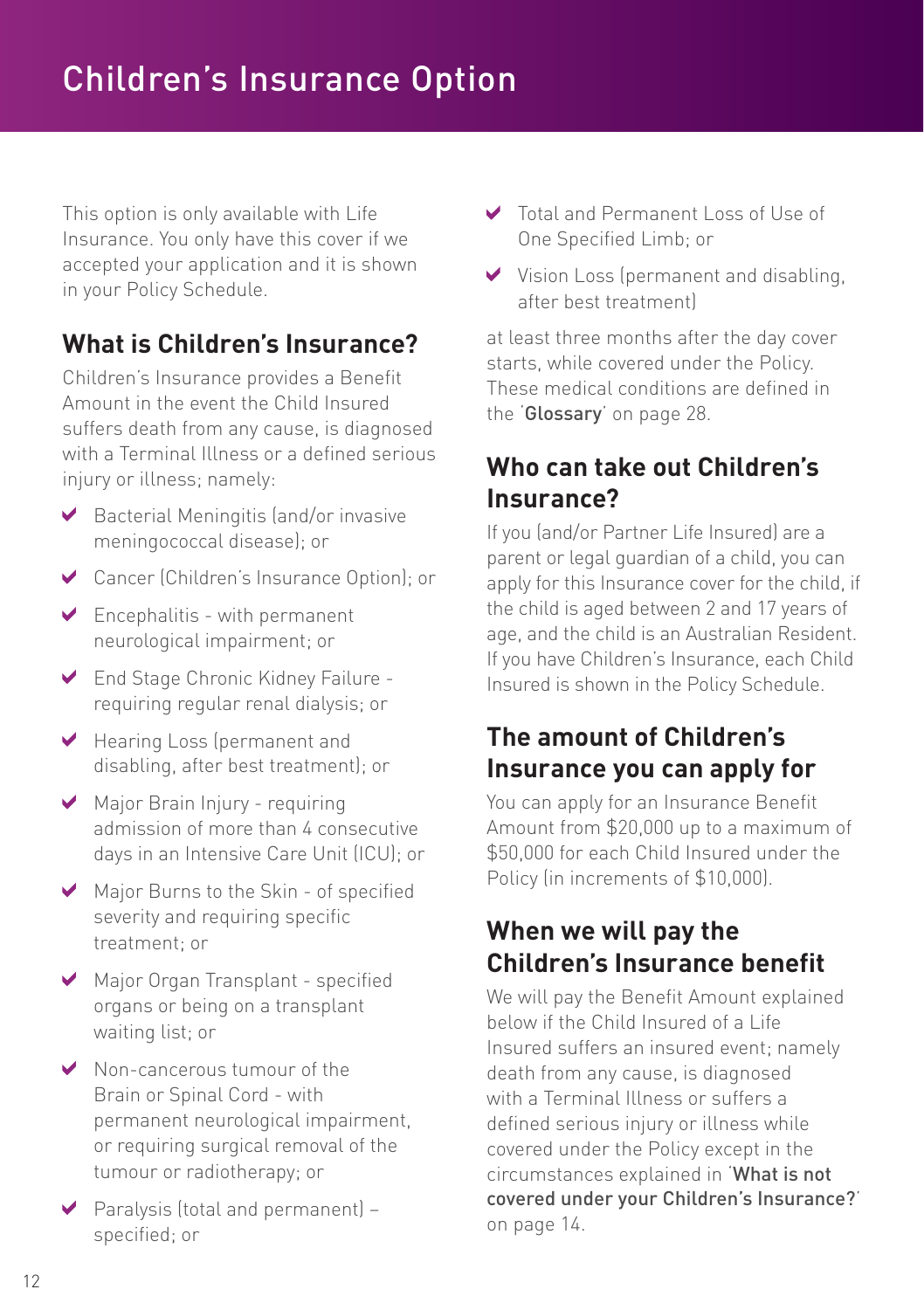This option is only available with Life Insurance. You only have this cover if we accepted your application and it is shown in your Policy Schedule.

## **What is Children's Insurance?**

Children's Insurance provides a Benefit Amount in the event the Child Insured suffers death from any cause, is diagnosed with a Terminal Illness or a defined serious injury or illness; namely:

- $\blacktriangleright$  Bacterial Meningitis (and/or invasive meningococcal disease); or
- Cancer (Children's Insurance Option); or
- $\triangleright$  Encephalitis with permanent neurological impairment; or
- End Stage Chronic Kidney Failure requiring regular renal dialysis; or
- Hearing Loss (permanent and disabling, after best treatment); or
- Major Brain Injury requiring admission of more than 4 consecutive days in an Intensive Care Unit (ICU); or
- Major Burns to the Skin of specified severity and requiring specific treatment; or
- Major Organ Transplant specified organs or being on a transplant waiting list; or
- ◆ Non-cancerous tumour of the Brain or Spinal Cord - with permanent neurological impairment, or requiring surgical removal of the tumour or radiotherapy; or
- $\triangleright$  Paralysis (total and permanent) specified; or
- Total and Permanent Loss of Use of One Specified Limb; or
- V Vision Loss (permanent and disabling, after best treatment)

at least three months after the day cover starts, while covered under the Policy. These medical conditions are defined in the 'Glossary' on page 28.

## **Who can take out Children's Insurance?**

If you (and/or Partner Life Insured) are a parent or legal guardian of a child, you can apply for this Insurance cover for the child, if the child is aged between 2 and 17 years of age, and the child is an Australian Resident. If you have Children's Insurance, each Child Insured is shown in the Policy Schedule.

## **The amount of Children's Insurance you can apply for**

You can apply for an Insurance Benefit Amount from \$20,000 up to a maximum of \$50,000 for each Child Insured under the Policy (in increments of \$10,000).

### **When we will pay the Children's Insurance benefit**

We will pay the Benefit Amount explained below if the Child Insured of a Life Insured suffers an insured event; namely death from any cause, is diagnosed with a Terminal Illness or suffers a defined serious injury or illness while covered under the Policy except in the circumstances explained in 'What is not covered under your Children's Insurance?' on page 14.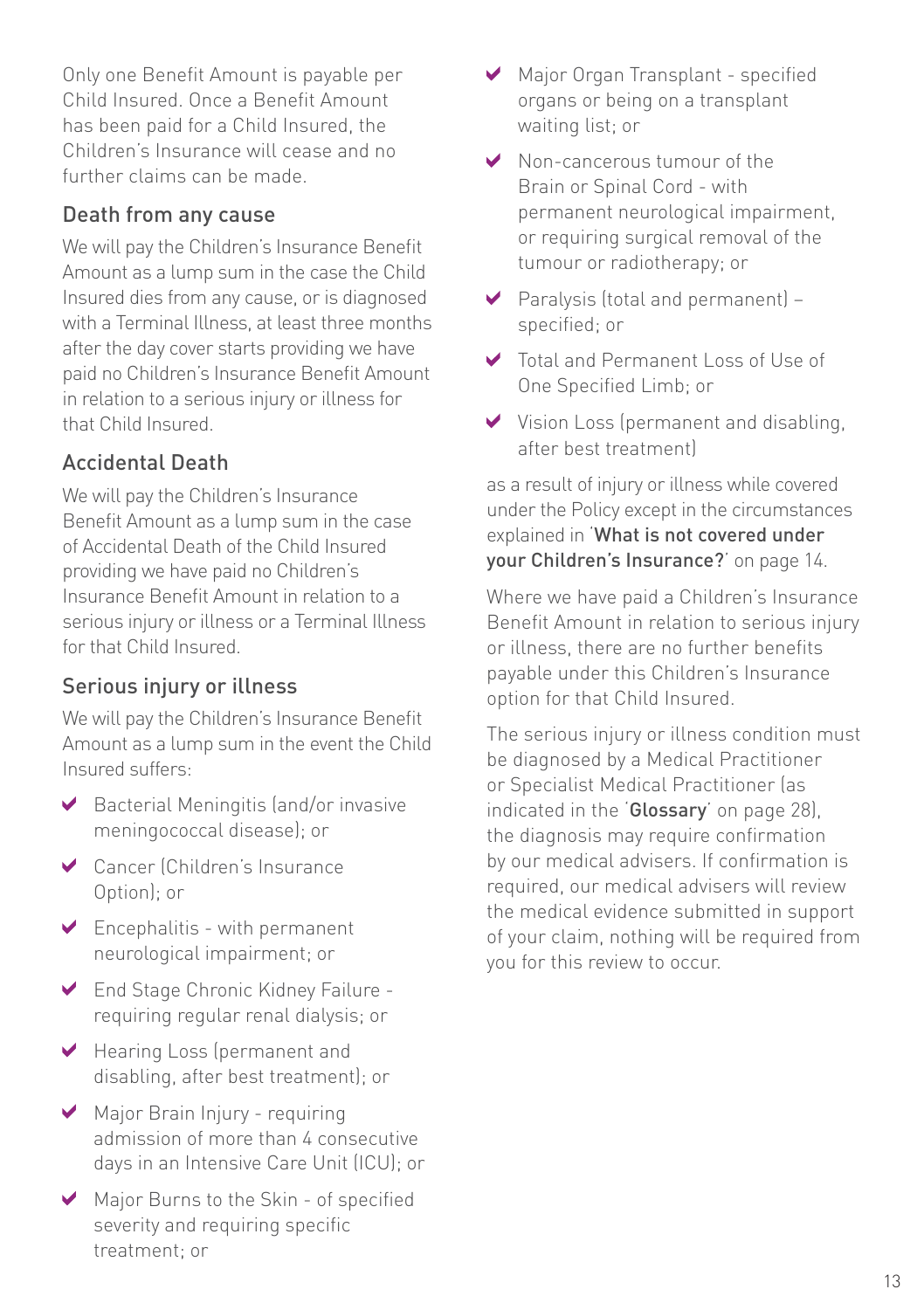Only one Benefit Amount is payable per Child Insured. Once a Benefit Amount has been paid for a Child Insured, the Children's Insurance will cease and no further claims can be made.

#### Death from any cause

We will pay the Children's Insurance Benefit Amount as a lump sum in the case the Child Insured dies from any cause, or is diagnosed with a Terminal Illness, at least three months after the day cover starts providing we have paid no Children's Insurance Benefit Amount in relation to a serious injury or illness for that Child Insured.

#### Accidental Death

We will pay the Children's Insurance Benefit Amount as a lump sum in the case of Accidental Death of the Child Insured providing we have paid no Children's Insurance Benefit Amount in relation to a serious injury or illness or a Terminal Illness for that Child Insured.

#### Serious injury or illness

We will pay the Children's Insurance Benefit Amount as a lump sum in the event the Child Insured suffers:

- Bacterial Meningitis (and/or invasive meningococcal disease); or
- Cancer (Children's Insurance Option); or
- $\blacktriangleright$  Encephalitis with permanent neurological impairment; or
- End Stage Chronic Kidney Failure requiring regular renal dialysis; or
- Hearing Loss (permanent and disabling, after best treatment); or
- Major Brain Injury requiring admission of more than 4 consecutive days in an Intensive Care Unit (ICU); or
- Major Burns to the Skin of specified severity and requiring specific treatment; or
- ◆ Major Organ Transplant specified organs or being on a transplant waiting list; or
- ◆ Non-cancerous tumour of the Brain or Spinal Cord - with permanent neurological impairment, or requiring surgical removal of the tumour or radiotherapy; or
- Paralysis (total and permanent) specified; or
- Total and Permanent Loss of Use of One Specified Limb; or
- V Vision Loss (permanent and disabling, after best treatment)

as a result of injury or illness while covered under the Policy except in the circumstances explained in 'What is not covered under your Children's Insurance?' on page 14.

Where we have paid a Children's Insurance Benefit Amount in relation to serious injury or illness, there are no further benefits payable under this Children's Insurance option for that Child Insured.

The serious injury or illness condition must be diagnosed by a Medical Practitioner or Specialist Medical Practitioner (as indicated in the 'Glossary' on page 28). the diagnosis may require confirmation by our medical advisers. If confirmation is required, our medical advisers will review the medical evidence submitted in support of your claim, nothing will be required from you for this review to occur.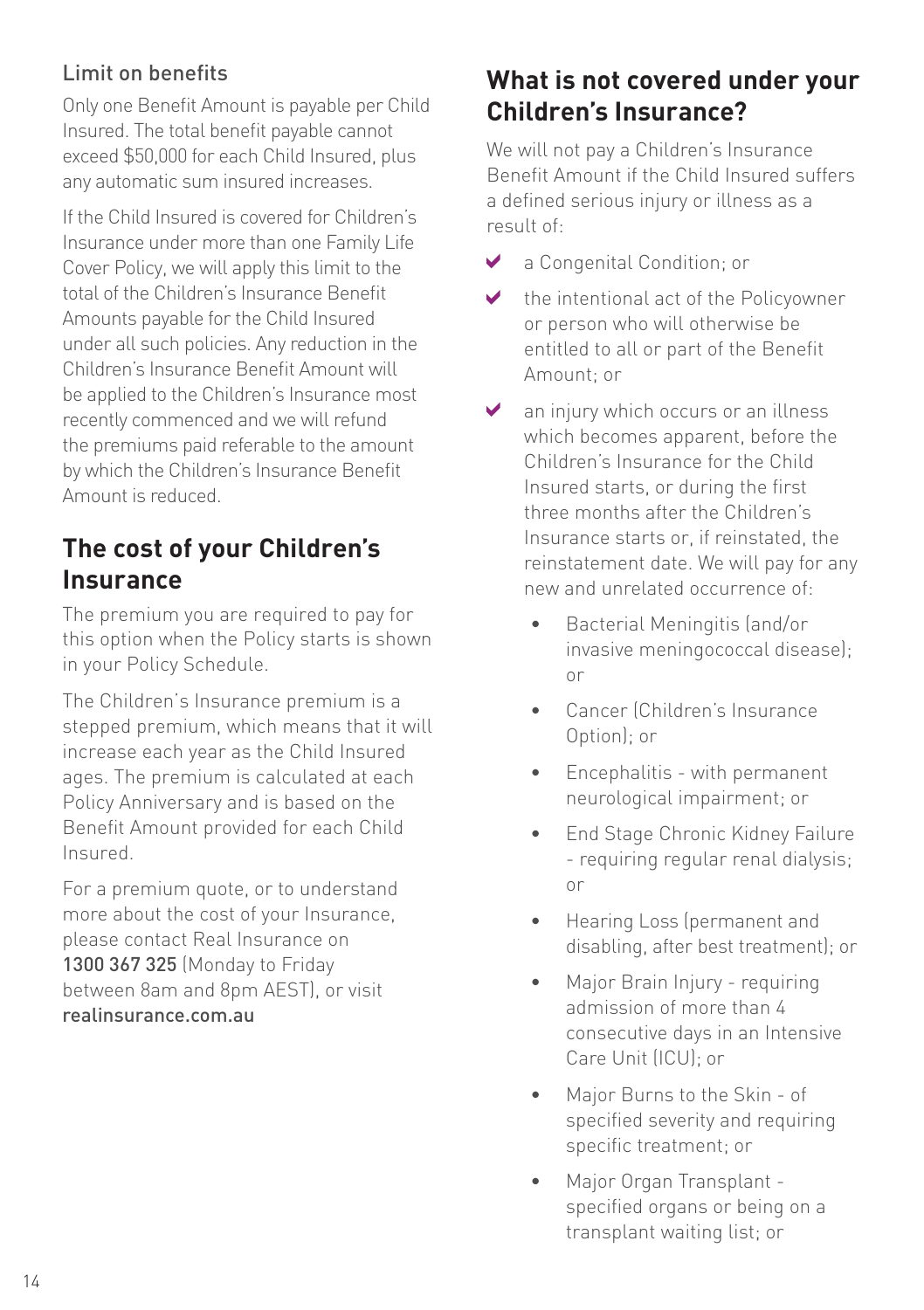#### Limit on benefits

Only one Benefit Amount is payable per Child Insured. The total benefit payable cannot exceed \$50,000 for each Child Insured, plus any automatic sum insured increases.

If the Child Insured is covered for Children's Insurance under more than one Family Life Cover Policy, we will apply this limit to the total of the Children's Insurance Benefit Amounts payable for the Child Insured under all such policies. Any reduction in the Children's Insurance Benefit Amount will be applied to the Children's Insurance most recently commenced and we will refund the premiums paid referable to the amount by which the Children's Insurance Benefit Amount is reduced.

## **The cost of your Children's Insurance**

The premium you are required to pay for this option when the Policy starts is shown in your Policy Schedule.

The Children's Insurance premium is a stepped premium, which means that it will increase each year as the Child Insured ages. The premium is calculated at each Policy Anniversary and is based on the Benefit Amount provided for each Child Insured.

For a premium quote, or to understand more about the cost of your Insurance, please contact Real Insurance on 1300 367 325 (Monday to Friday between 8am and 8pm AEST), or visit realinsurance.com.au

## **What is not covered under your Children's Insurance?**

We will not pay a Children's Insurance Benefit Amount if the Child Insured suffers a defined serious injury or illness as a result of:

- $\blacktriangledown$ a Congenital Condition; or
- $\blacktriangleright$ the intentional act of the Policyowner or person who will otherwise be entitled to all or part of the Benefit Amount; or
- $\checkmark$ an injury which occurs or an illness which becomes apparent, before the Children's Insurance for the Child Insured starts, or during the first three months after the Children's Insurance starts or, if reinstated, the reinstatement date. We will pay for any new and unrelated occurrence of:
	- Bacterial Meningitis (and/or invasive meningococcal disease); or
	- Cancer (Children's Insurance Option); or
	- Encephalitis with permanent neurological impairment; or
	- End Stage Chronic Kidney Failure - requiring regular renal dialysis; or
	- Hearing Loss (permanent and disabling, after best treatment); or
	- Major Brain Injury requiring admission of more than 4 consecutive days in an Intensive Care Unit (ICU); or
	- Major Burns to the Skin of specified severity and requiring specific treatment; or
	- Major Organ Transplant specified organs or being on a transplant waiting list; or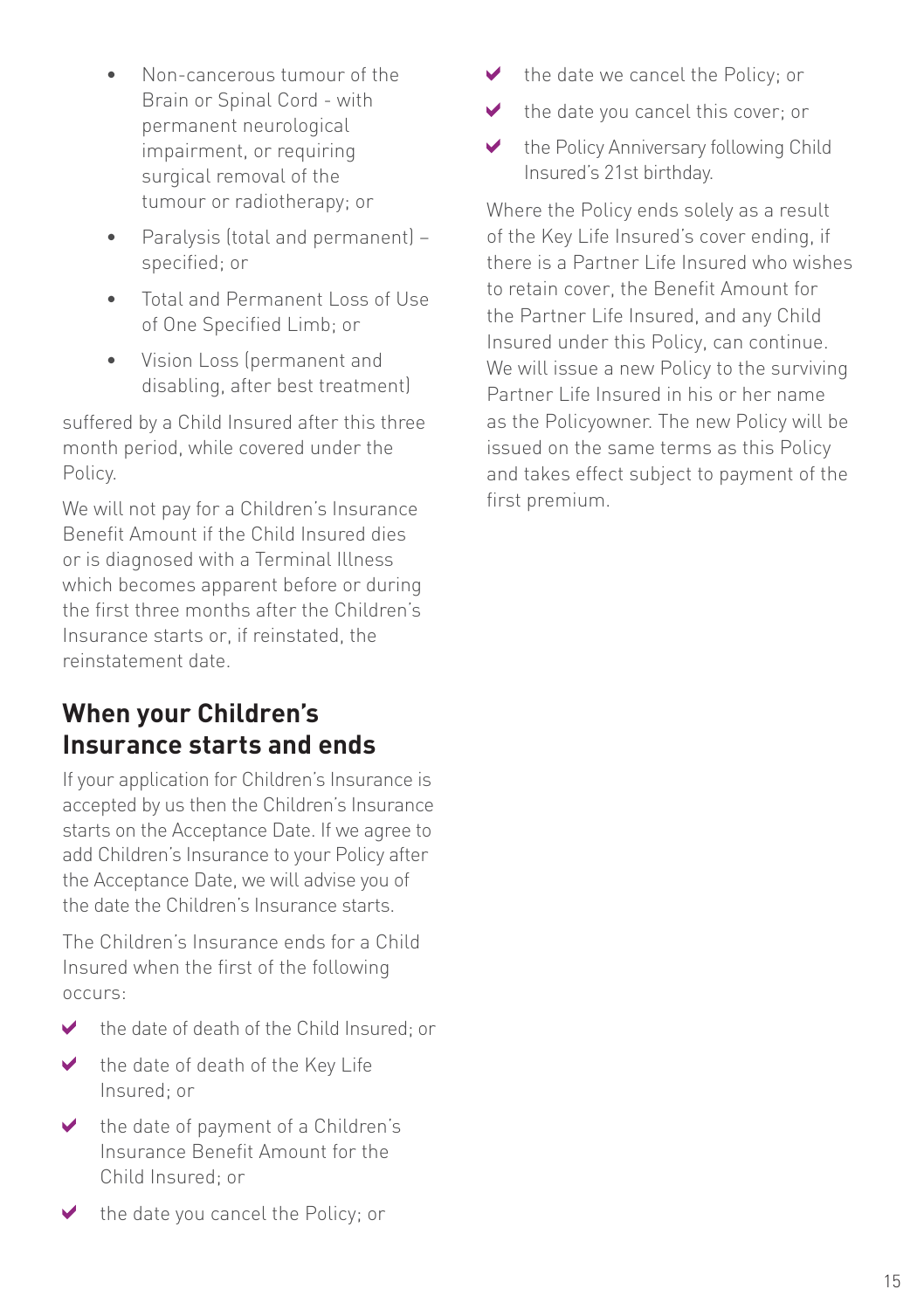- Non-cancerous tumour of the Brain or Spinal Cord - with permanent neurological impairment, or requiring surgical removal of the tumour or radiotherapy; or
- Paralysis (total and permanent) specified; or
- Total and Permanent Loss of Use of One Specified Limb; or
- Vision Loss (permanent and disabling, after best treatment)

suffered by a Child Insured after this three month period, while covered under the Policy.

We will not pay for a Children's Insurance Benefit Amount if the Child Insured dies or is diagnosed with a Terminal Illness which becomes apparent before or during the first three months after the Children's Insurance starts or, if reinstated, the reinstatement date.

## **When your Children's Insurance starts and ends**

If your application for Children's Insurance is accepted by us then the Children's Insurance starts on the Acceptance Date. If we agree to add Children's Insurance to your Policy after the Acceptance Date, we will advise you of the date the Children's Insurance starts.

The Children's Insurance ends for a Child Insured when the first of the following occurs:

- the date of death of the Child Insured; or  $\blacktriangleright$
- $\checkmark$ the date of death of the Key Life Insured; or
- the date of payment of a Children's  $\blacktriangleright$ Insurance Benefit Amount for the Child Insured; or
- the date we cancel the Policy; or ✔
- ✔ the date you cancel this cover; or
- ✔ the Policy Anniversary following Child Insured's 21st birthday.

Where the Policy ends solely as a result of the Key Life Insured's cover ending, if there is a Partner Life Insured who wishes to retain cover, the Benefit Amount for the Partner Life Insured, and any Child Insured under this Policy, can continue. We will issue a new Policy to the surviving Partner Life Insured in his or her name as the Policyowner. The new Policy will be issued on the same terms as this Policy and takes effect subject to payment of the first premium.

✔ the date you cancel the Policy; or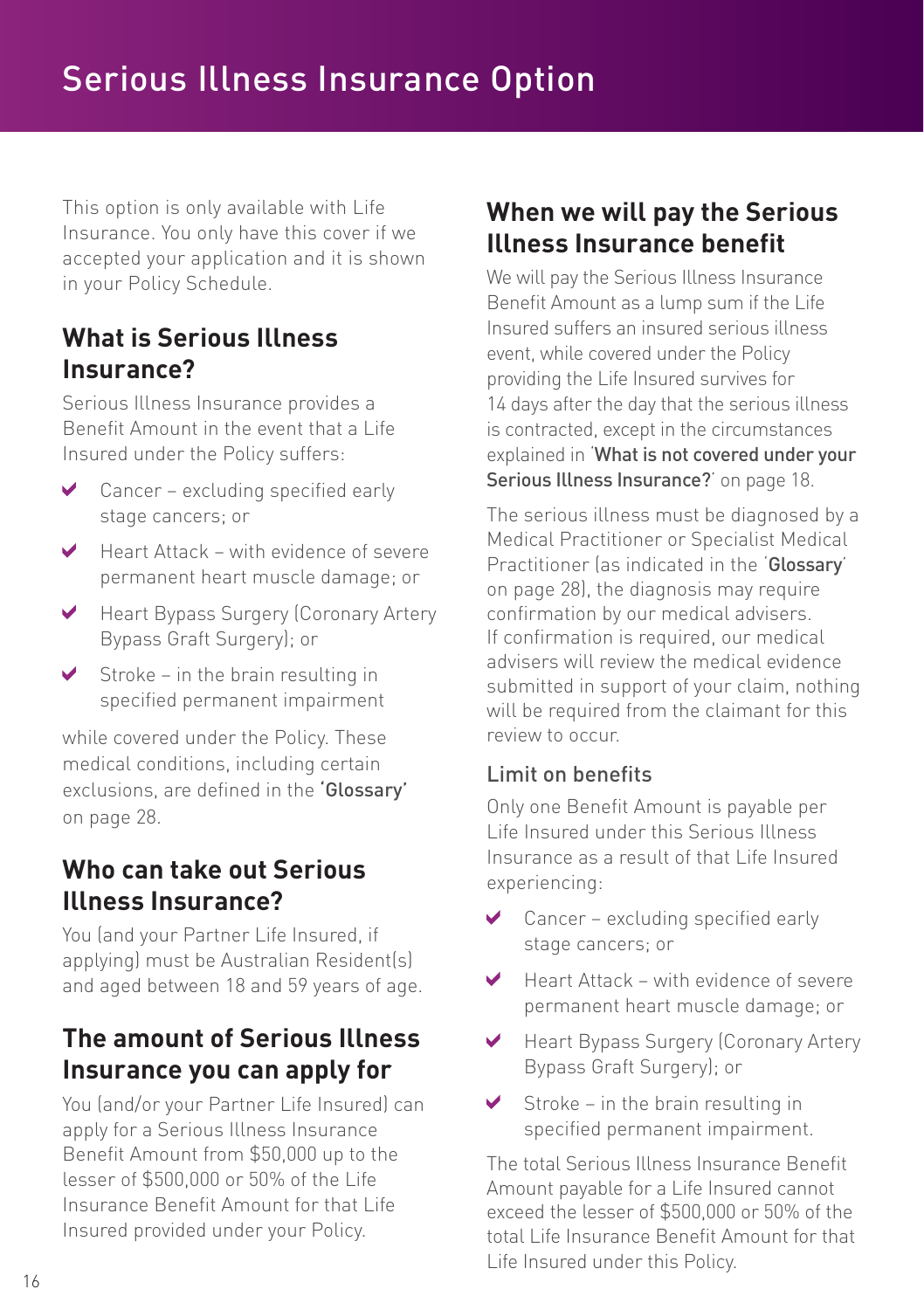This option is only available with Life Insurance. You only have this cover if we accepted your application and it is shown in your Policy Schedule.

## **What is Serious Illness Insurance?**

Serious Illness Insurance provides a Benefit Amount in the event that a Life Insured under the Policy suffers:

- Cancer excluding specified early ✔ stage cancers; or
- Heart Attack with evidence of severe  $\blacktriangleright$ permanent heart muscle damage; or
- Heart Bypass Surgery (Coronary Artery  $\blacktriangleright$ Bypass Graft Surgery); or
- $\triangleright$  Stroke in the brain resulting in specified permanent impairment

while covered under the Policy. These medical conditions, including certain exclusions, are defined in the 'Glossary' on page 28.

## **Who can take out Serious Illness Insurance?**

You (and your Partner Life Insured, if applying) must be Australian Resident(s) and aged between 18 and 59 years of age.

## **The amount of Serious Illness Insurance you can apply for**

You (and/or your Partner Life Insured) can apply for a Serious Illness Insurance Benefit Amount from \$50,000 up to the lesser of \$500,000 or 50% of the Life Insurance Benefit Amount for that Life Insured provided under your Policy.

## **When we will pay the Serious Illness Insurance benefit**

We will pay the Serious Illness Insurance Benefit Amount as a lump sum if the Life Insured suffers an insured serious illness event, while covered under the Policy providing the Life Insured survives for 14 days after the day that the serious illness is contracted, except in the circumstances explained in 'What is not covered under your Serious Illness Insurance?' on page 18.

The serious illness must be diagnosed by a Medical Practitioner or Specialist Medical Practitioner (as indicated in the 'Glossary' on page 28), the diagnosis may require confirmation by our medical advisers. If confirmation is required, our medical advisers will review the medical evidence submitted in support of your claim, nothing will be required from the claimant for this review to occur.

#### Limit on benefits

Only one Benefit Amount is payable per Life Insured under this Serious Illness Insurance as a result of that Life Insured experiencing:

- Cancer excluding specified early  $\blacktriangledown$ stage cancers; or
- Heart Attack with evidence of severe ✔ permanent heart muscle damage; or
- ✔ Heart Bypass Surgery (Coronary Artery Bypass Graft Surgery); or
- $\blacktriangledown$ Stroke – in the brain resulting in specified permanent impairment.

The total Serious Illness Insurance Benefit Amount payable for a Life Insured cannot exceed the lesser of \$500,000 or 50% of the total Life Insurance Benefit Amount for that Life Insured under this Policy.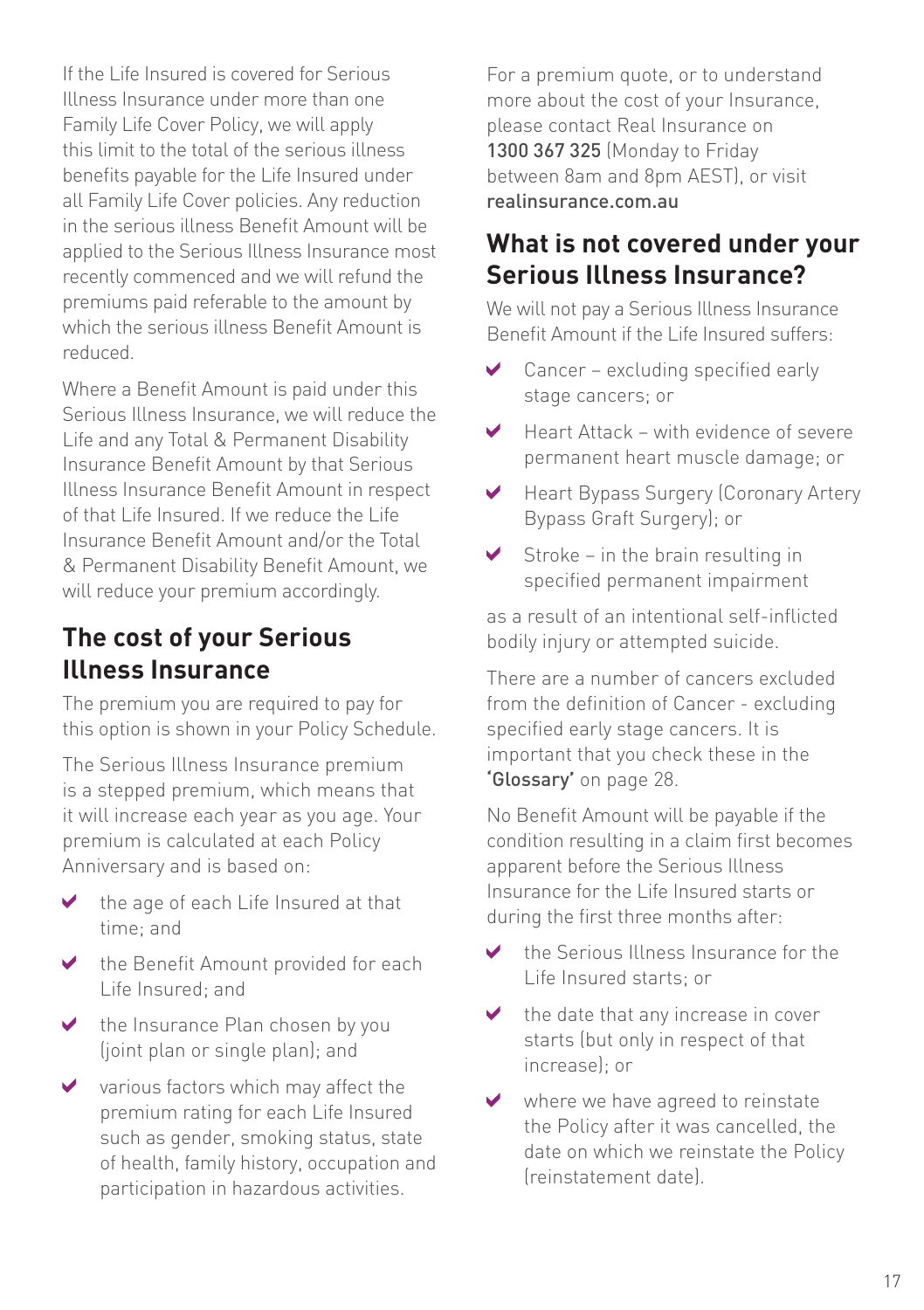If the Life Insured is covered for Serious Illness Insurance under more than one Family Life Cover Policy, we will apply this limit to the total of the serious illness benefits payable for the Life Insured under all Family Life Cover policies. Any reduction in the serious illness Benefit Amount will be applied to the Serious Illness Insurance most recently commenced and we will refund the premiums paid referable to the amount by which the serious illness Benefit Amount is reduced.

Where a Benefit Amount is paid under this Serious Illness Insurance, we will reduce the Life and any Total & Permanent Disability Insurance Benefit Amount by that Serious Illness Insurance Benefit Amount in respect of that Life Insured. If we reduce the Life Insurance Benefit Amount and/or the Total & Permanent Disability Benefit Amount, we will reduce your premium accordingly.

## **The cost of your Serious Illness Insurance**

The premium you are required to pay for this option is shown in your Policy Schedule.

The Serious Illness Insurance premium is a stepped premium, which means that it will increase each year as you age. Your premium is calculated at each Policy Anniversary and is based on:

- $\blacktriangleright$  the age of each Life Insured at that time; and
- the Benefit Amount provided for each  $\blacktriangleright$ Life Insured; and
- the Insurance Plan chosen by you  $\blacktriangledown$ (joint plan or single plan); and
- $\vee$ various factors which may affect the premium rating for each Life Insured such as gender, smoking status, state of health, family history, occupation and participation in hazardous activities.

For a premium quote, or to understand more about the cost of your Insurance, please contact Real Insurance on 1300 367 325 (Monday to Friday between 8am and 8pm AEST), or visit realinsurance.com.au

## **What is not covered under your Serious Illness Insurance?**

We will not pay a Serious Illness Insurance Benefit Amount if the Life Insured suffers:

- Cancer excluding specified early ✔ stage cancers; or
- $\mathbf v$ Heart Attack – with evidence of severe permanent heart muscle damage; or
- Heart Bypass Surgery (Coronary Artery ✔ Bypass Graft Surgery); or
- $\blacktriangleright$ Stroke – in the brain resulting in specified permanent impairment

as a result of an intentional self-inflicted bodily injury or attempted suicide.

There are a number of cancers excluded from the definition of Cancer - excluding specified early stage cancers. It is important that you check these in the **'**Glossary**'** on page 28.

No Benefit Amount will be payable if the condition resulting in a claim first becomes apparent before the Serious Illness Insurance for the Life Insured starts or during the first three months after:

- $\blacktriangleright$ the Serious Illness Insurance for the Life Insured starts; or
- ✔ the date that any increase in cover starts (but only in respect of that increase); or
- V. where we have agreed to reinstate the Policy after it was cancelled, the date on which we reinstate the Policy (reinstatement date).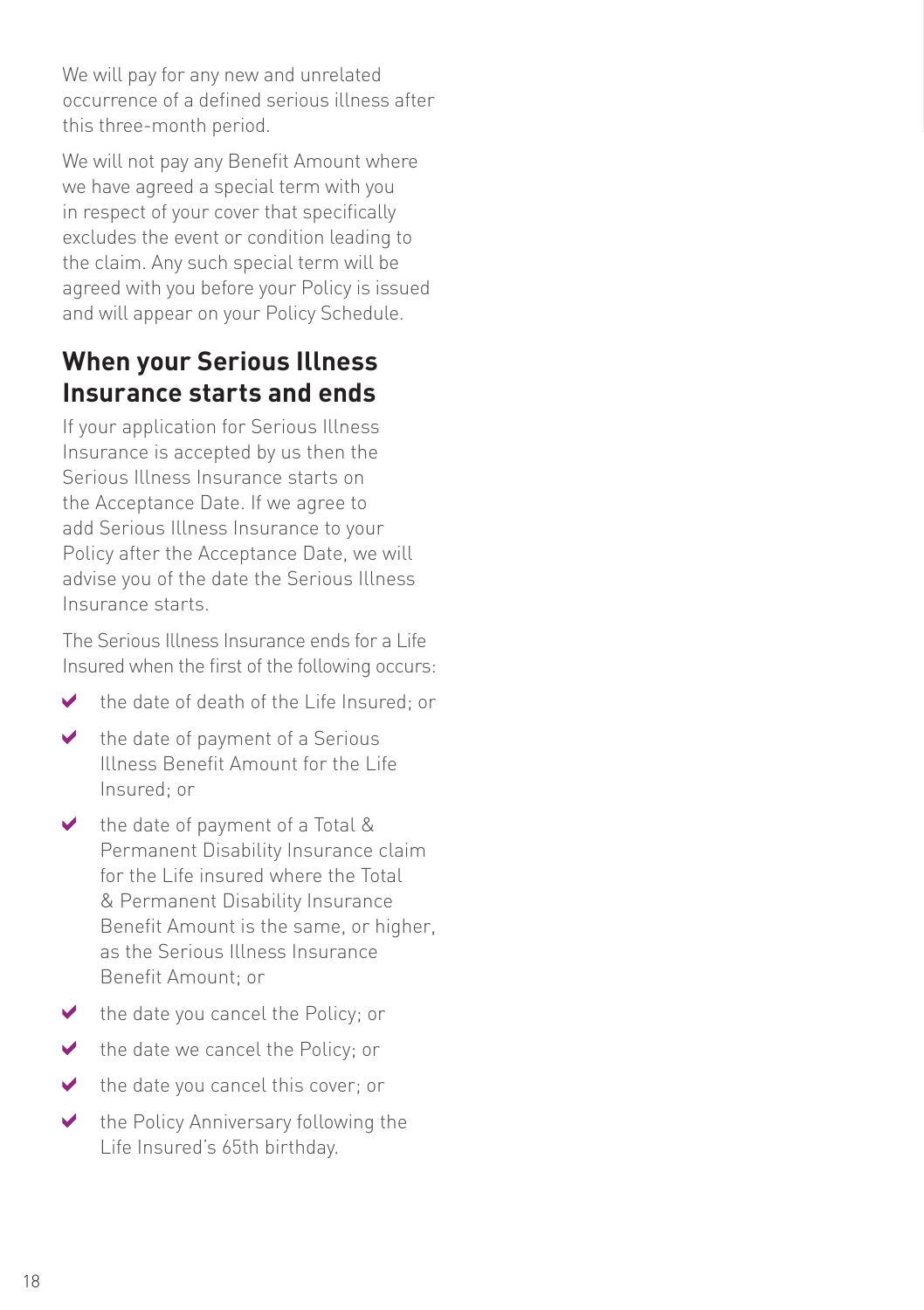We will pay for any new and unrelated occurrence of a defined serious illness after this three-month period.

We will not pay any Benefit Amount where we have agreed a special term with you in respect of your cover that specifically excludes the event or condition leading to the claim. Any such special term will be agreed with you before your Policy is issued and will appear on your Policy Schedule.

## **When your Serious Illness Insurance starts and ends**

If your application for Serious Illness Insurance is accepted by us then the Serious Illness Insurance starts on the Acceptance Date. If we agree to add Serious Illness Insurance to your Policy after the Acceptance Date, we will advise you of the date the Serious Illness Insurance starts.

The Serious Illness Insurance ends for a Life Insured when the first of the following occurs:

- $\blacktriangleright$ the date of death of the Life Insured; or
- $\checkmark$ the date of payment of a Serious Illness Benefit Amount for the Life Insured; or
- $\vee$  the date of payment of a Total & Permanent Disability Insurance claim for the Life insured where the Total & Permanent Disability Insurance Benefit Amount is the same, or higher, as the Serious Illness Insurance Benefit Amount; or
- $\blacktriangleright$  the date you cancel the Policy: or
- the date we cancel the Policy; or  $\mathcal{P}$
- $\blacktriangleright$ the date you cancel this cover; or
- $\checkmark$ the Policy Anniversary following the Life Insured's 65th birthday.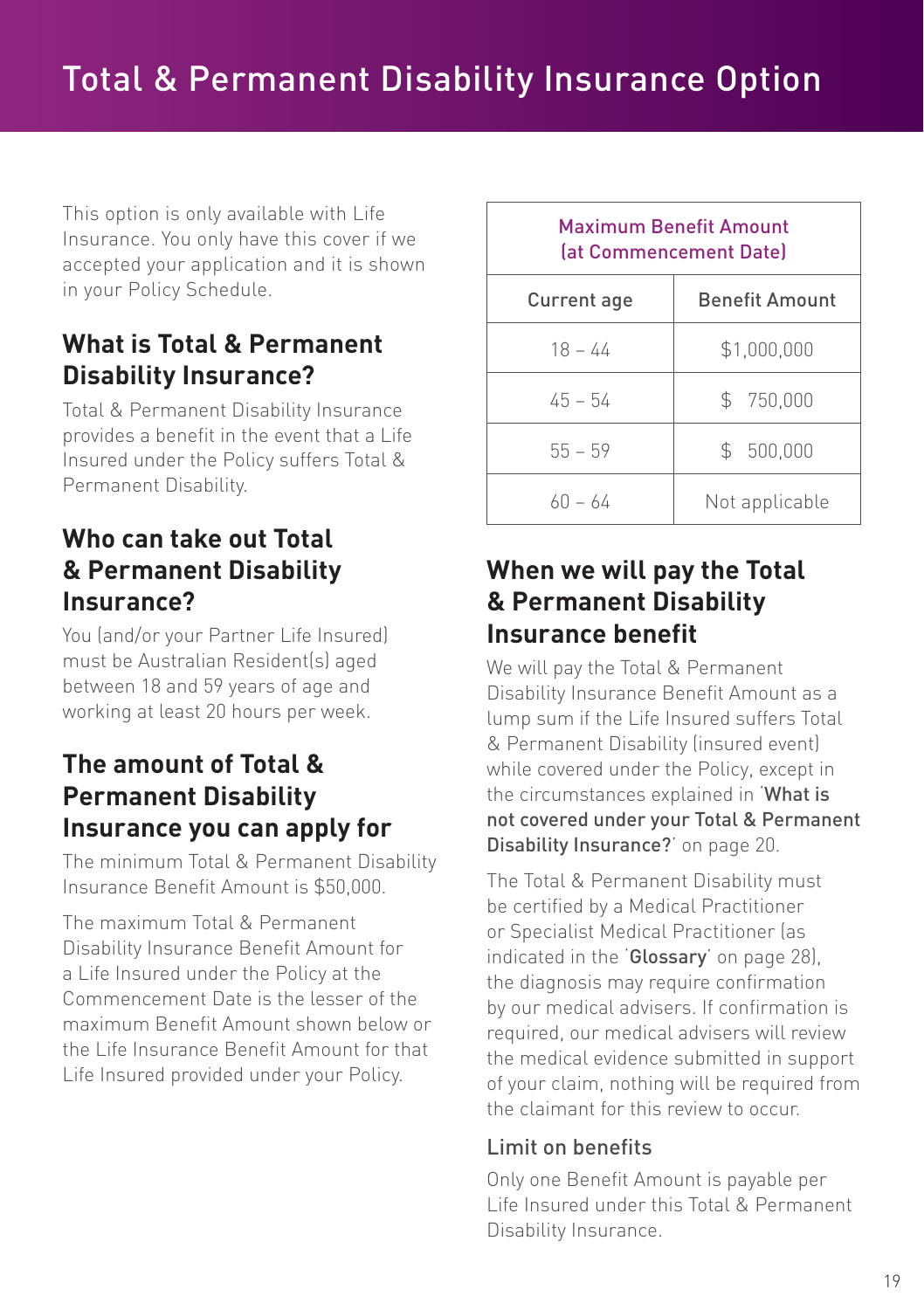This option is only available with Life Insurance. You only have this cover if we accepted your application and it is shown in your Policy Schedule.

## **What is Total & Permanent Disability Insurance?**

Total & Permanent Disability Insurance provides a benefit in the event that a Life Insured under the Policy suffers Total & Permanent Disability.

## **Who can take out Total & Permanent Disability Insurance?**

You (and/or your Partner Life Insured) must be Australian Resident(s) aged between 18 and 59 years of age and working at least 20 hours per week.

## **The amount of Total & Permanent Disability Insurance you can apply for**

The minimum Total & Permanent Disability Insurance Benefit Amount is \$50,000.

The maximum Total & Permanent Disability Insurance Benefit Amount for a Life Insured under the Policy at the Commencement Date is the lesser of the maximum Benefit Amount shown below or the Life Insurance Benefit Amount for that Life Insured provided under your Policy.

|             | <b>Maximum Benefit Amount</b><br>(at Commencement Date) |
|-------------|---------------------------------------------------------|
| Current age | <b>Benefit Amount</b>                                   |
| $18 - 44$   | \$1,000,000                                             |
| $45 - 54$   | \$750,000                                               |
| $55 - 59$   | \$ 500,000                                              |
| $60 - 64$   | Not applicable                                          |

## **When we will pay the Total & Permanent Disability Insurance benefit**

We will pay the Total & Permanent Disability Insurance Benefit Amount as a lump sum if the Life Insured suffers Total & Permanent Disability (insured event) while covered under the Policy, except in the circumstances explained in 'What is not covered under your Total & Permanent Disability Insurance?' on page 20.

The Total & Permanent Disability must be certified by a Medical Practitioner or Specialist Medical Practitioner (as indicated in the 'Glossary' on page 28), the diagnosis may require confirmation by our medical advisers. If confirmation is required, our medical advisers will review the medical evidence submitted in support of your claim, nothing will be required from the claimant for this review to occur.

#### Limit on benefits

Only one Benefit Amount is payable per Life Insured under this Total & Permanent Disability Insurance.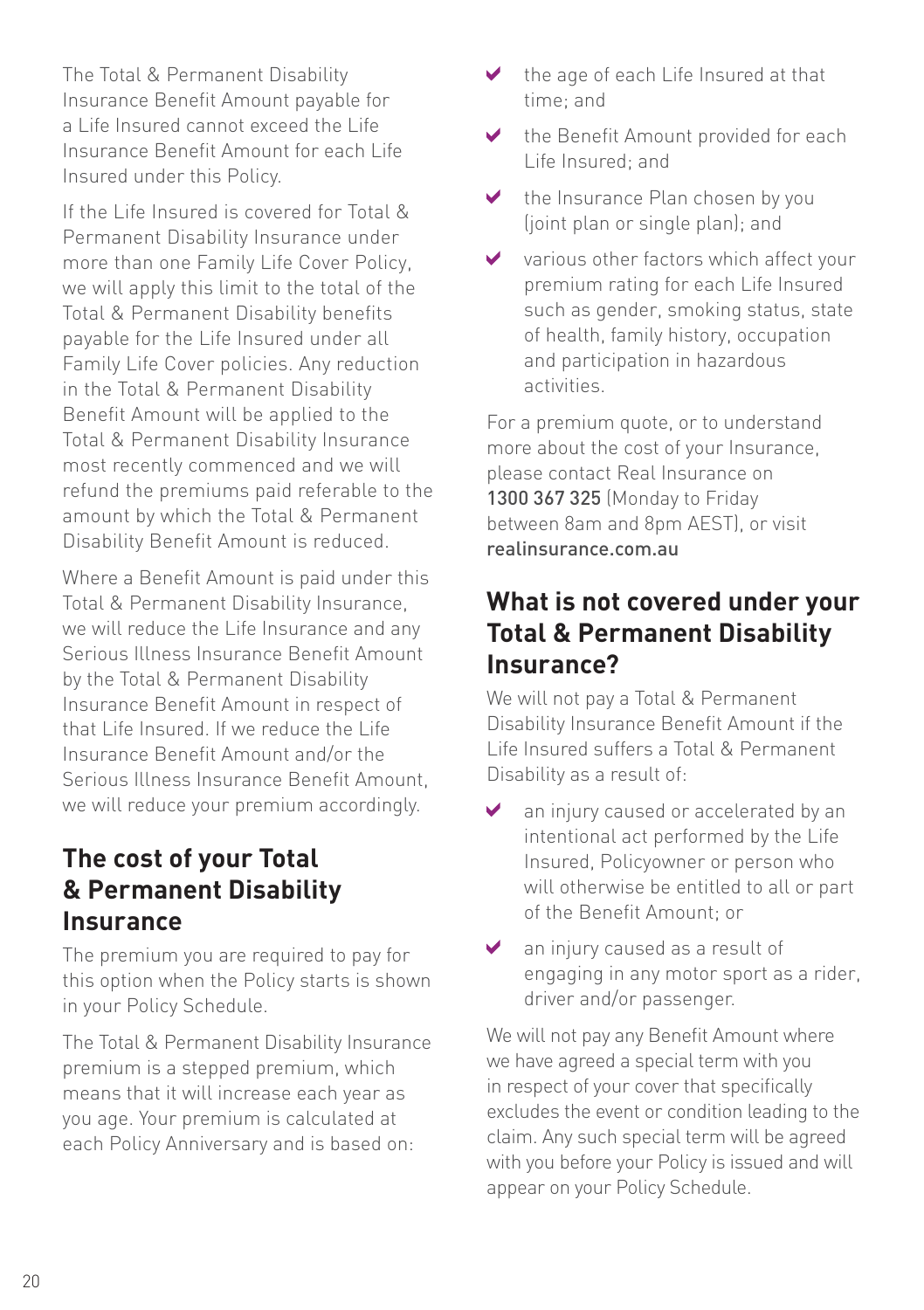The Total & Permanent Disability Insurance Benefit Amount payable for a Life Insured cannot exceed the Life Insurance Benefit Amount for each Life Insured under this Policy.

If the Life Insured is covered for Total & Permanent Disability Insurance under more than one Family Life Cover Policy, we will apply this limit to the total of the Total & Permanent Disability benefits payable for the Life Insured under all Family Life Cover policies. Any reduction in the Total & Permanent Disability Benefit Amount will be applied to the Total & Permanent Disability Insurance most recently commenced and we will refund the premiums paid referable to the amount by which the Total & Permanent Disability Benefit Amount is reduced.

Where a Benefit Amount is paid under this Total & Permanent Disability Insurance, we will reduce the Life Insurance and any Serious Illness Insurance Benefit Amount by the Total & Permanent Disability Insurance Benefit Amount in respect of that Life Insured. If we reduce the Life Insurance Benefit Amount and/or the Serious Illness Insurance Benefit Amount, we will reduce your premium accordingly.

## **The cost of your Total & Permanent Disability Insurance**

The premium you are required to pay for this option when the Policy starts is shown in your Policy Schedule.

The Total & Permanent Disability Insurance premium is a stepped premium, which means that it will increase each year as you age. Your premium is calculated at each Policy Anniversary and is based on:

- the age of each Life Insured at that time; and
- the Benefit Amount provided for each Life Insured; and
- ✔ the Insurance Plan chosen by you (joint plan or single plan); and
- V various other factors which affect your premium rating for each Life Insured such as gender, smoking status, state of health, family history, occupation and participation in hazardous activities.

For a premium quote, or to understand more about the cost of your Insurance, please contact Real Insurance on 1300 367 325 (Monday to Friday between 8am and 8pm AEST), or visit realinsurance.com.au

## **What is not covered under your Total & Permanent Disability Insurance?**

We will not pay a Total & Permanent Disability Insurance Benefit Amount if the Life Insured suffers a Total & Permanent Disability as a result of:

- Ø an injury caused or accelerated by an intentional act performed by the Life Insured, Policyowner or person who will otherwise be entitled to all or part of the Benefit Amount; or
- an injury caused as a result of ✔ engaging in any motor sport as a rider, driver and/or passenger.

We will not pay any Benefit Amount where we have agreed a special term with you in respect of your cover that specifically excludes the event or condition leading to the claim. Any such special term will be agreed with you before your Policy is issued and will appear on your Policy Schedule.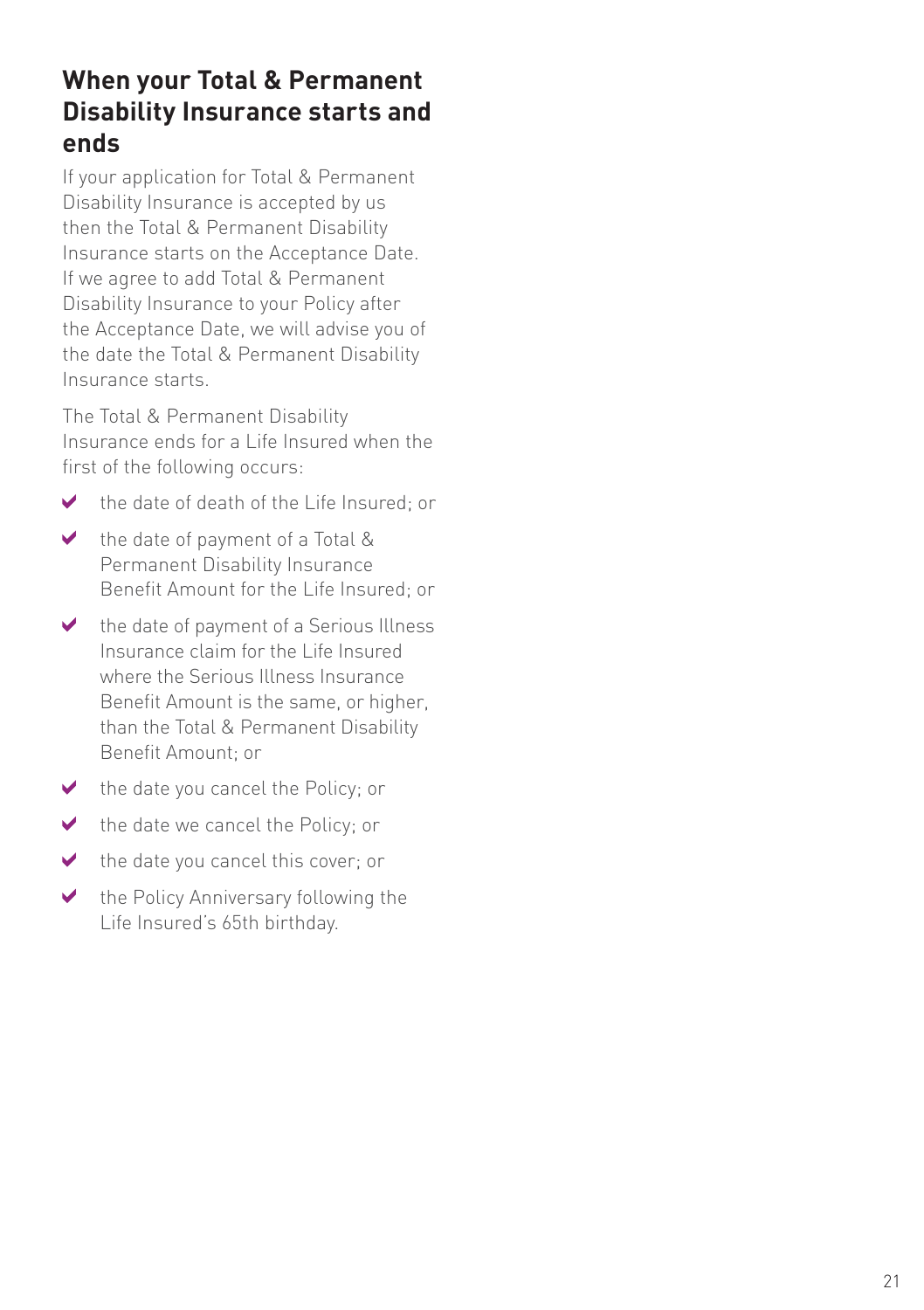## **When your Total & Permanent Disability Insurance starts and ends**

If your application for Total & Permanent Disability Insurance is accepted by us then the Total & Permanent Disability Insurance starts on the Acceptance Date. If we agree to add Total & Permanent Disability Insurance to your Policy after the Acceptance Date, we will advise you of the date the Total & Permanent Disability Insurance starts.

The Total & Permanent Disability Insurance ends for a Life Insured when the first of the following occurs:

- the date of death of the Life Insured; or ✔
- the date of payment of a Total &  $\blacktriangledown$ Permanent Disability Insurance Benefit Amount for the Life Insured; or
- the date of payment of a Serious Illness  $\vee$ Insurance claim for the Life Insured where the Serious Illness Insurance Benefit Amount is the same, or higher, than the Total & Permanent Disability Benefit Amount; or
- $\blacktriangleright$  the date you cancel the Policy; or
- $\mathbf{v}$ the date we cancel the Policy; or
- $\blacktriangledown$ the date you cancel this cover; or
- $\blacktriangleright$ the Policy Anniversary following the Life Insured's 65th birthday.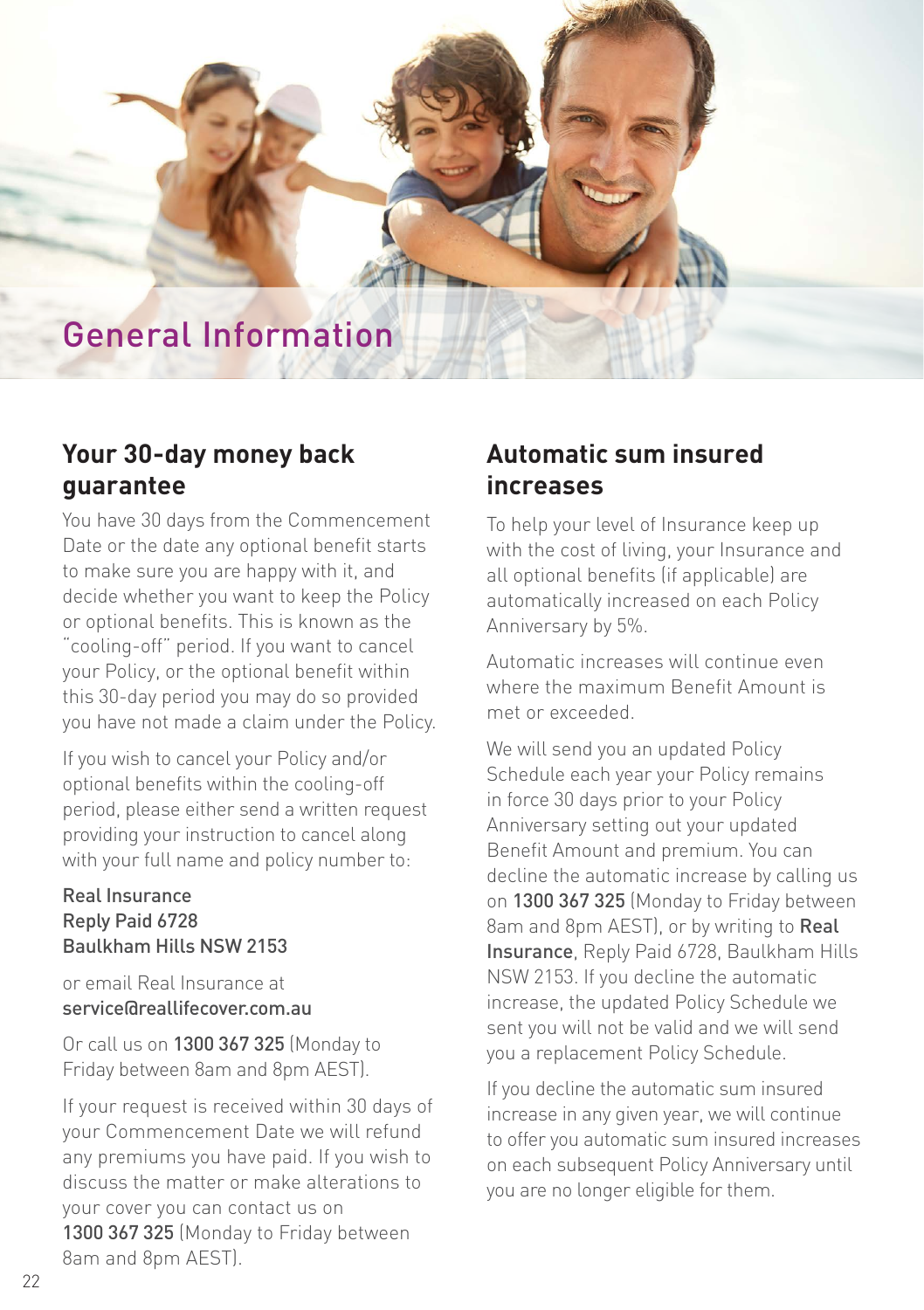# General Information

## **Your 30-day money back guarantee**

You have 30 days from the Commencement Date or the date any optional benefit starts to make sure you are happy with it, and decide whether you want to keep the Policy or optional benefits. This is known as the "cooling-off" period. If you want to cancel your Policy, or the optional benefit within this 30-day period you may do so provided you have not made a claim under the Policy.

If you wish to cancel your Policy and/or optional benefits within the cooling-off period, please either send a written request providing your instruction to cancel along with your full name and policy number to:

#### Real Insurance Reply Paid 6728 Baulkham Hills NSW 2153

or email Real Insurance at service@reallifecover.com.au

Or call us on 1300 367 325 (Monday to Friday between 8am and 8pm AEST).

If your request is received within 30 days of your Commencement Date we will refund any premiums you have paid. If you wish to discuss the matter or make alterations to your cover you can contact us on 1300 367 325 (Monday to Friday between 8am and 8pm AEST).

## **Automatic sum insured increases**

To help your level of Insurance keep up with the cost of living, your Insurance and all optional benefits (if applicable) are automatically increased on each Policy Anniversary by 5%.

Automatic increases will continue even where the maximum Benefit Amount is met or exceeded.

We will send you an updated Policy Schedule each year your Policy remains in force 30 days prior to your Policy Anniversary setting out your updated Benefit Amount and premium. You can decline the automatic increase by calling us on 1300 367 325 (Monday to Friday between 8am and 8pm AEST), or by writing to Real Insurance, Reply Paid 6728, Baulkham Hills NSW 2153. If you decline the automatic increase, the updated Policy Schedule we sent you will not be valid and we will send you a replacement Policy Schedule.

If you decline the automatic sum insured increase in any given year, we will continue to offer you automatic sum insured increases on each subsequent Policy Anniversary until you are no longer eligible for them.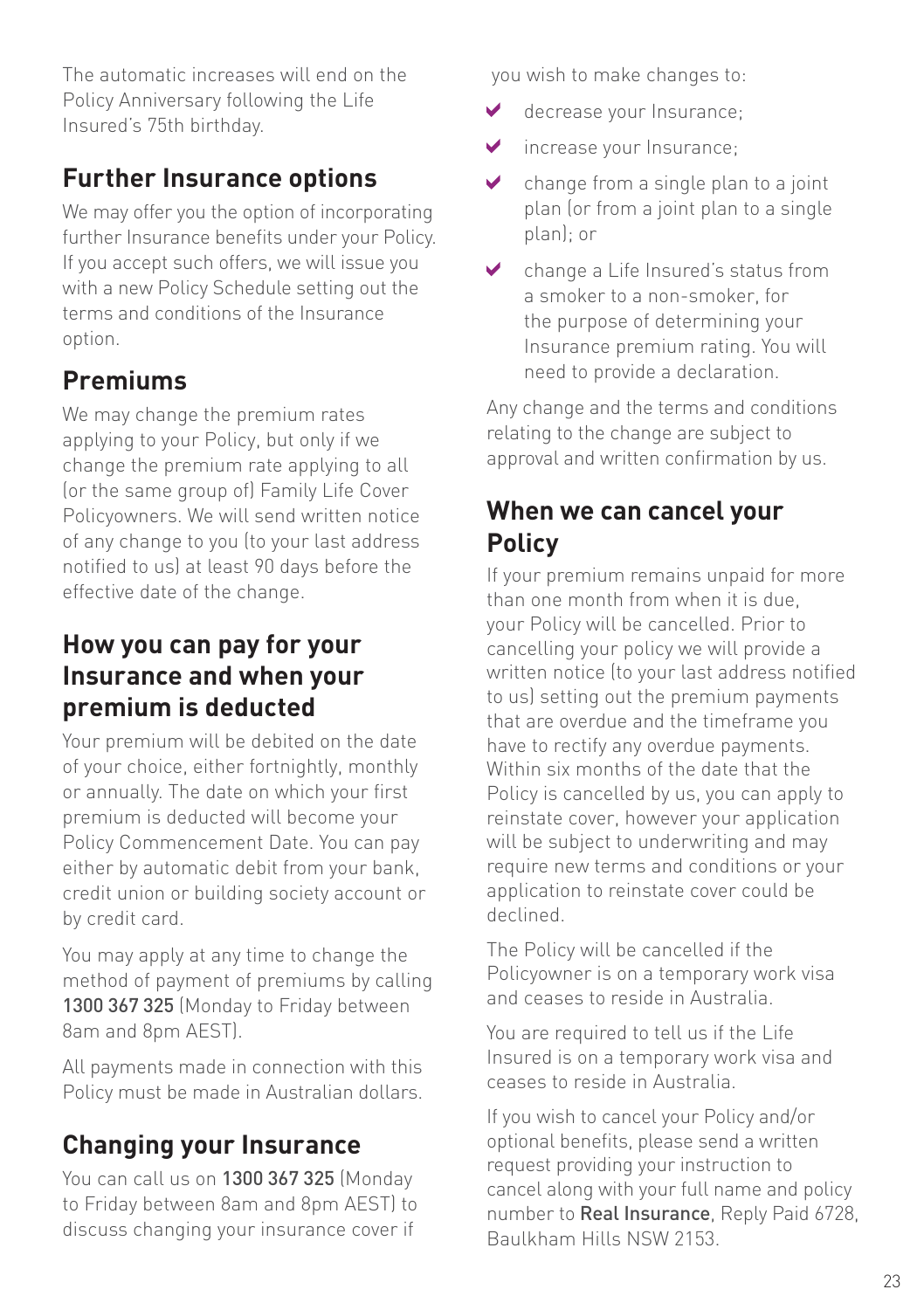The automatic increases will end on the Policy Anniversary following the Life Insured's 75th birthday.

## **Further Insurance options**

We may offer you the option of incorporating further Insurance benefits under your Policy. If you accept such offers, we will issue you with a new Policy Schedule setting out the terms and conditions of the Insurance option.

# **Premiums**

We may change the premium rates applying to your Policy, but only if we change the premium rate applying to all (or the same group of) Family Life Cover Policyowners. We will send written notice of any change to you (to your last address notified to us) at least 90 days before the effective date of the change.

## **How you can pay for your Insurance and when your premium is deducted**

Your premium will be debited on the date of your choice, either fortnightly, monthly or annually. The date on which your first premium is deducted will become your Policy Commencement Date. You can pay either by automatic debit from your bank, credit union or building society account or by credit card.

You may apply at any time to change the method of payment of premiums by calling 1300 367 325 (Monday to Friday between 8am and 8pm AEST).

All payments made in connection with this Policy must be made in Australian dollars.

# **Changing your Insurance**

You can call us on 1300 367 325 (Monday to Friday between 8am and 8pm AEST) to discuss changing your insurance cover if

you wish to make changes to:

- ✓ decrease your Insurance;
- ✔ increase your Insurance;
- change from a single plan to a joint ✔ plan (or from a joint plan to a single plan); or
- change a Life Insured's status from a smoker to a non-smoker, for the purpose of determining your Insurance premium rating. You will need to provide a declaration.

Any change and the terms and conditions relating to the change are subject to approval and written confirmation by us.

## **When we can cancel your Policy**

If your premium remains unpaid for more than one month from when it is due, your Policy will be cancelled. Prior to cancelling your policy we will provide a written notice (to your last address notified to us) setting out the premium payments that are overdue and the timeframe you have to rectify any overdue payments. Within six months of the date that the Policy is cancelled by us, you can apply to reinstate cover, however your application will be subject to underwriting and may require new terms and conditions or your application to reinstate cover could be declined.

The Policy will be cancelled if the Policyowner is on a temporary work visa and ceases to reside in Australia.

You are required to tell us if the Life Insured is on a temporary work visa and ceases to reside in Australia.

If you wish to cancel your Policy and/or optional benefits, please send a written request providing your instruction to cancel along with your full name and policy number to Real Insurance, Reply Paid 6728, Baulkham Hills NSW 2153.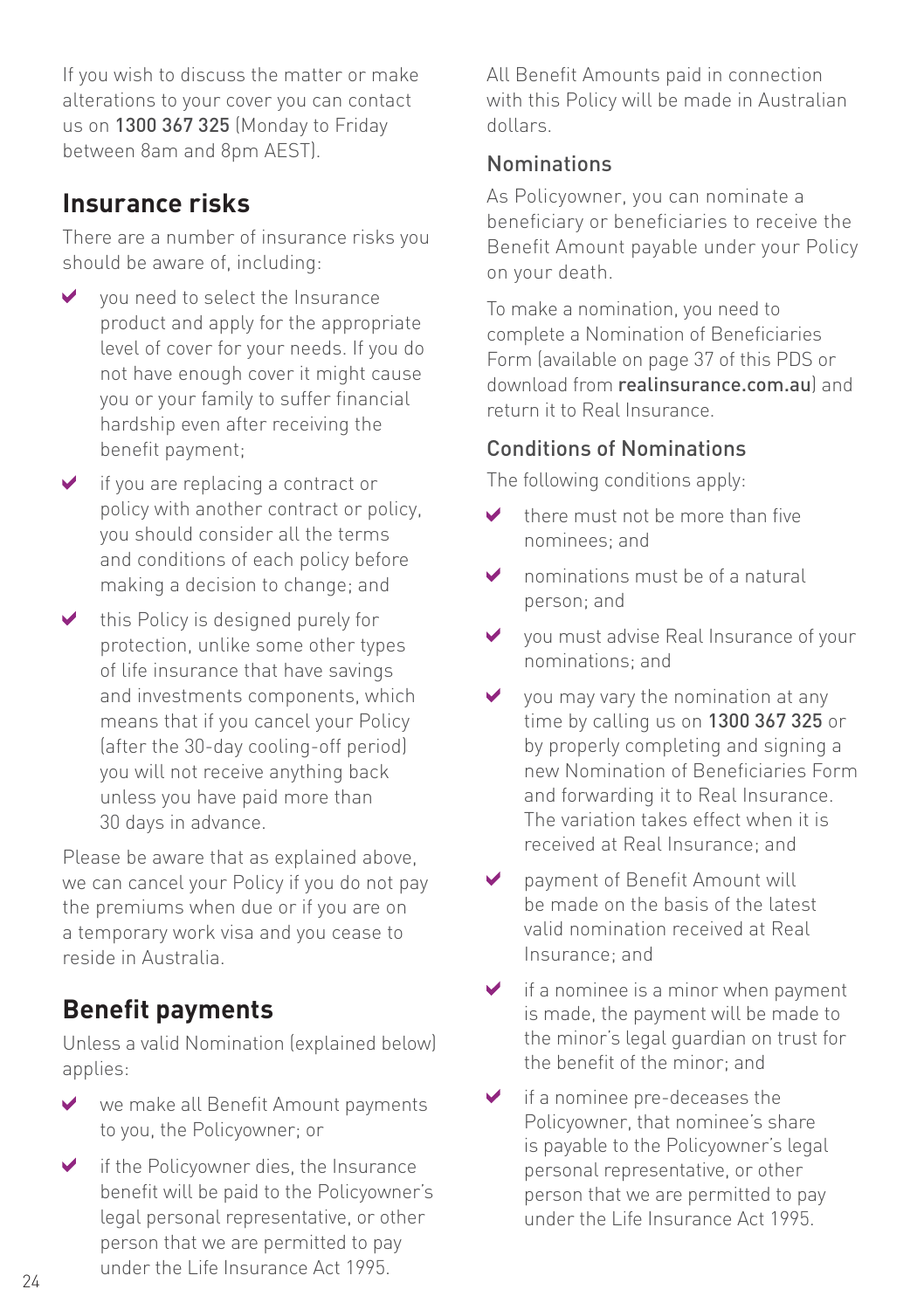If you wish to discuss the matter or make alterations to your cover you can contact us on 1300 367 325 (Monday to Friday between 8am and 8pm AEST).

#### **Insurance risks**

There are a number of insurance risks you should be aware of, including:

- $\vee$  vou need to select the Insurance product and apply for the appropriate level of cover for your needs. If you do not have enough cover it might cause you or your family to suffer financial hardship even after receiving the benefit payment;
- $\vee$  if you are replacing a contract or policy with another contract or policy, you should consider all the terms and conditions of each policy before making a decision to change; and
- $\blacktriangleright$  this Policy is designed purely for protection, unlike some other types of life insurance that have savings and investments components, which means that if you cancel your Policy (after the 30-day cooling-off period) you will not receive anything back unless you have paid more than 30 days in advance.

Please be aware that as explained above, we can cancel your Policy if you do not pay the premiums when due or if you are on a temporary work visa and you cease to reside in Australia.

## **Benefit payments**

Unless a valid Nomination (explained below) applies:

- we make all Benefit Amount payments  $\sqrt{2}$ to you, the Policyowner; or
- $\blacktriangleright$  if the Policyowner dies, the Insurance benefit will be paid to the Policyowner's legal personal representative, or other person that we are permitted to pay under the Life Insurance Act 1995.

All Benefit Amounts paid in connection with this Policy will be made in Australian dollars.

#### Nominations

As Policyowner, you can nominate a beneficiary or beneficiaries to receive the Benefit Amount payable under your Policy on your death.

To make a nomination, you need to complete a Nomination of Beneficiaries Form (available on page 37 of this PDS or download from realinsurance.com.au) and return it to Real Insurance.

#### Conditions of Nominations

The following conditions apply:

- there must not be more than five nominees; and
- $\triangleright$  nominations must be of a natural person; and
- you must advise Real Insurance of your nominations; and
- $\vee$  you may vary the nomination at any time by calling us on 1300 367 325 or by properly completing and signing a new Nomination of Beneficiaries Form and forwarding it to Real Insurance. The variation takes effect when it is received at Real Insurance; and
- payment of Benefit Amount will ✔ be made on the basis of the latest valid nomination received at Real Insurance; and
- $\blacktriangleright$  if a nominee is a minor when payment is made, the payment will be made to the minor's legal guardian on trust for the benefit of the minor; and
- $\blacktriangleright$  if a nominee pre-deceases the Policyowner, that nominee's share is payable to the Policyowner's legal personal representative, or other person that we are permitted to pay under the Life Insurance Act 1995.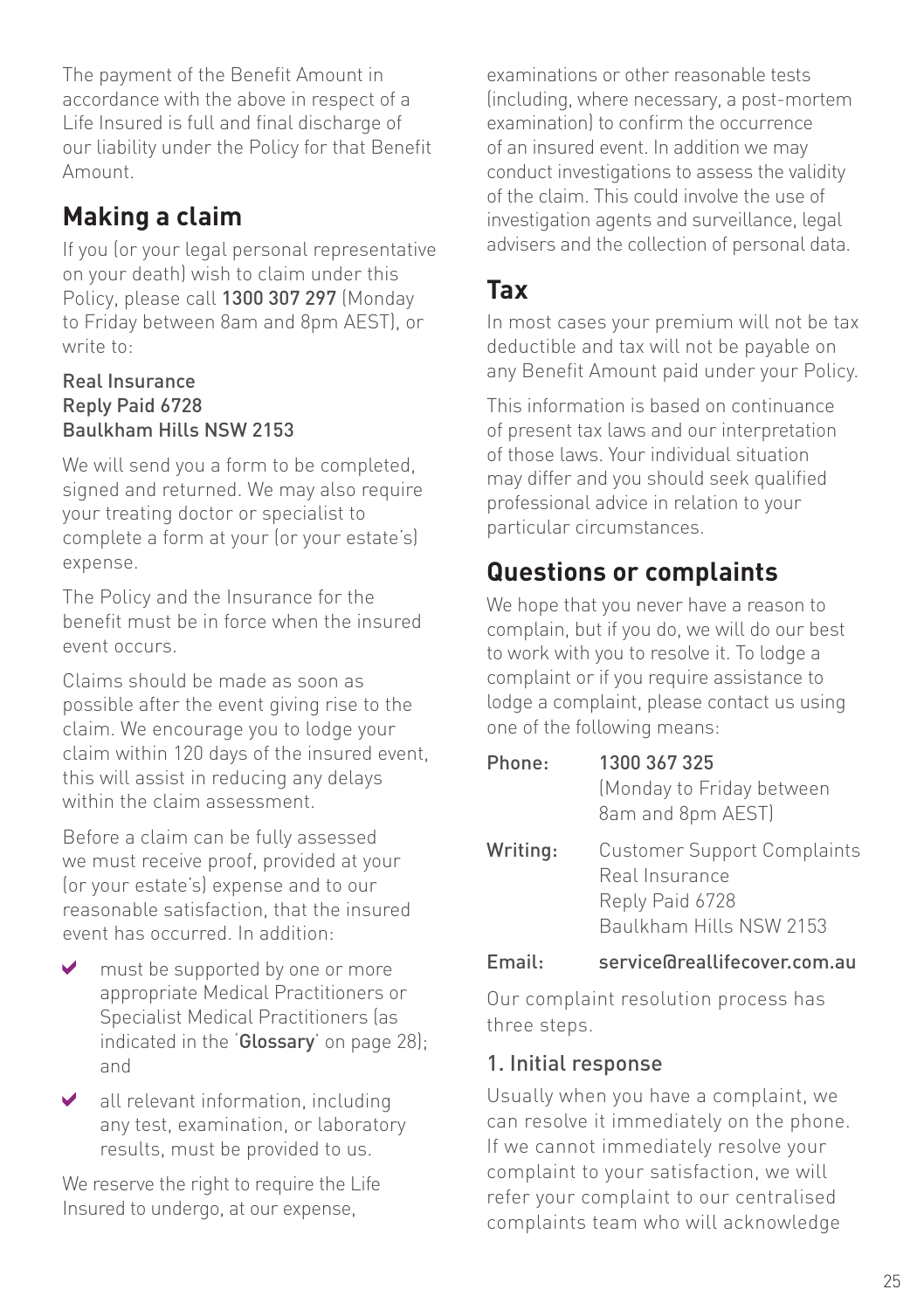The payment of the Benefit Amount in accordance with the above in respect of a Life Insured is full and final discharge of our liability under the Policy for that Benefit Amount.

## **Making a claim**

If you (or your legal personal representative on your death) wish to claim under this Policy, please call 1300 307 297 (Monday to Friday between 8am and 8pm AEST), or write to:

#### Real Insurance Reply Paid 6728 Baulkham Hills NSW 2153

We will send you a form to be completed, signed and returned. We may also require your treating doctor or specialist to complete a form at your (or your estate's) expense.

The Policy and the Insurance for the benefit must be in force when the insured event occurs.

Claims should be made as soon as possible after the event giving rise to the claim. We encourage you to lodge your claim within 120 days of the insured event, this will assist in reducing any delays within the claim assessment.

Before a claim can be fully assessed we must receive proof, provided at your (or your estate's) expense and to our reasonable satisfaction, that the insured event has occurred. In addition:

- must be supported by one or more appropriate Medical Practitioners or Specialist Medical Practitioners (as indicated in the 'Glossary' on page 28); and
- $\blacktriangleright$  all relevant information, including any test, examination, or laboratory results, must be provided to us.

We reserve the right to require the Life Insured to undergo, at our expense,

examinations or other reasonable tests (including, where necessary, a post-mortem examination) to confirm the occurrence of an insured event. In addition we may conduct investigations to assess the validity of the claim. This could involve the use of investigation agents and surveillance, legal advisers and the collection of personal data.

## **Tax**

In most cases your premium will not be tax deductible and tax will not be payable on any Benefit Amount paid under your Policy.

This information is based on continuance of present tax laws and our interpretation of those laws. Your individual situation may differ and you should seek qualified professional advice in relation to your particular circumstances.

# **Questions or complaints**

We hope that you never have a reason to complain, but if you do, we will do our best to work with you to resolve it. To lodge a complaint or if you require assistance to lodge a complaint, please contact us using one of the following means:

| Phone:   | 1300 367 325<br>(Monday to Friday between<br>8am and 8pm AEST)                                     |
|----------|----------------------------------------------------------------------------------------------------|
| Writing: | <b>Customer Support Complaints</b><br>Real Insurance<br>Reply Paid 6728<br>Baulkham Hills NSW 2153 |

#### Email: service@reallifecover.com.au

Our complaint resolution process has three steps.

#### 1. Initial response

Usually when you have a complaint, we can resolve it immediately on the phone. If we cannot immediately resolve your complaint to your satisfaction, we will refer your complaint to our centralised complaints team who will acknowledge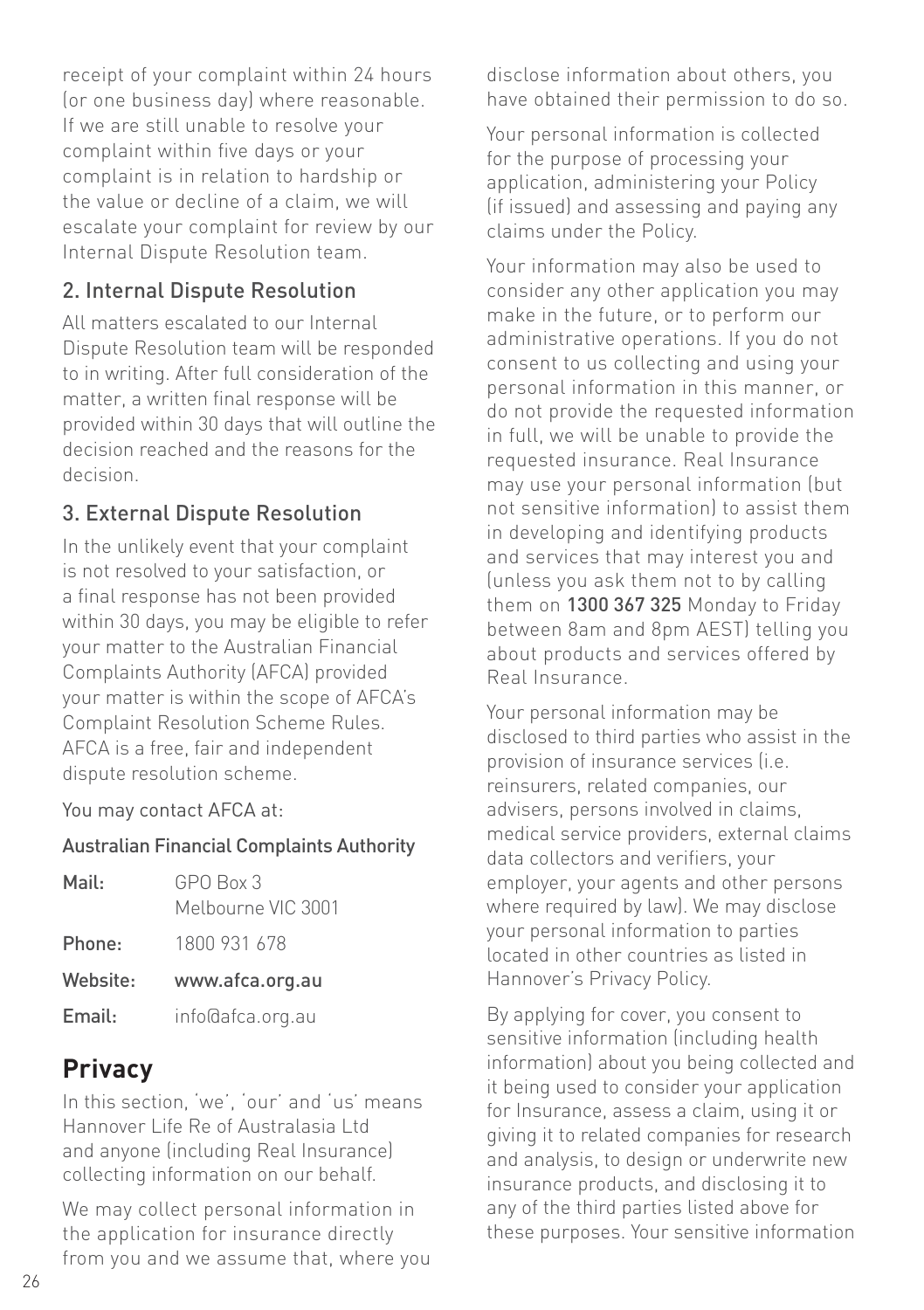receipt of your complaint within 24 hours (or one business day) where reasonable. If we are still unable to resolve your complaint within five days or your complaint is in relation to hardship or the value or decline of a claim, we will escalate your complaint for review by our Internal Dispute Resolution team.

#### 2. Internal Dispute Resolution

All matters escalated to our Internal Dispute Resolution team will be responded to in writing. After full consideration of the matter, a written final response will be provided within 30 days that will outline the decision reached and the reasons for the decision.

#### 3. External Dispute Resolution

In the unlikely event that your complaint is not resolved to your satisfaction, or a final response has not been provided within 30 days, you may be eligible to refer your matter to the Australian Financial Complaints Authority (AFCA) provided your matter is within the scope of AFCA's Complaint Resolution Scheme Rules. AFCA is a free, fair and independent dispute resolution scheme.

You may contact AFCA at:

#### Australian Financial Complaints Authority

| Mail:    | GPO Box 3<br>Melbourne VIC 3001 |
|----------|---------------------------------|
| Phone:   | 1800 931 678                    |
| Website: | www.afca.org.au                 |

Email: info@afca.org.au

## **Privacy**

In this section, 'we', 'our' and 'us' means Hannover Life Re of Australasia Ltd and anyone (including Real Insurance) collecting information on our behalf.

We may collect personal information in the application for insurance directly from you and we assume that, where you disclose information about others, you have obtained their permission to do so.

Your personal information is collected for the purpose of processing your application, administering your Policy (if issued) and assessing and paying any claims under the Policy.

Your information may also be used to consider any other application you may make in the future, or to perform our administrative operations. If you do not consent to us collecting and using your personal information in this manner, or do not provide the requested information in full, we will be unable to provide the requested insurance. Real Insurance may use your personal information (but not sensitive information) to assist them in developing and identifying products and services that may interest you and (unless you ask them not to by calling them on 1300 367 325 Monday to Friday between 8am and 8pm AEST) telling you about products and services offered by Real Insurance.

Your personal information may be disclosed to third parties who assist in the provision of insurance services (i.e. reinsurers, related companies, our advisers, persons involved in claims, medical service providers, external claims data collectors and verifiers, your employer, your agents and other persons where required by law). We may disclose your personal information to parties located in other countries as listed in Hannover's Privacy Policy.

By applying for cover, you consent to sensitive information (including health information) about you being collected and it being used to consider your application for Insurance, assess a claim, using it or giving it to related companies for research and analysis, to design or underwrite new insurance products, and disclosing it to any of the third parties listed above for these purposes. Your sensitive information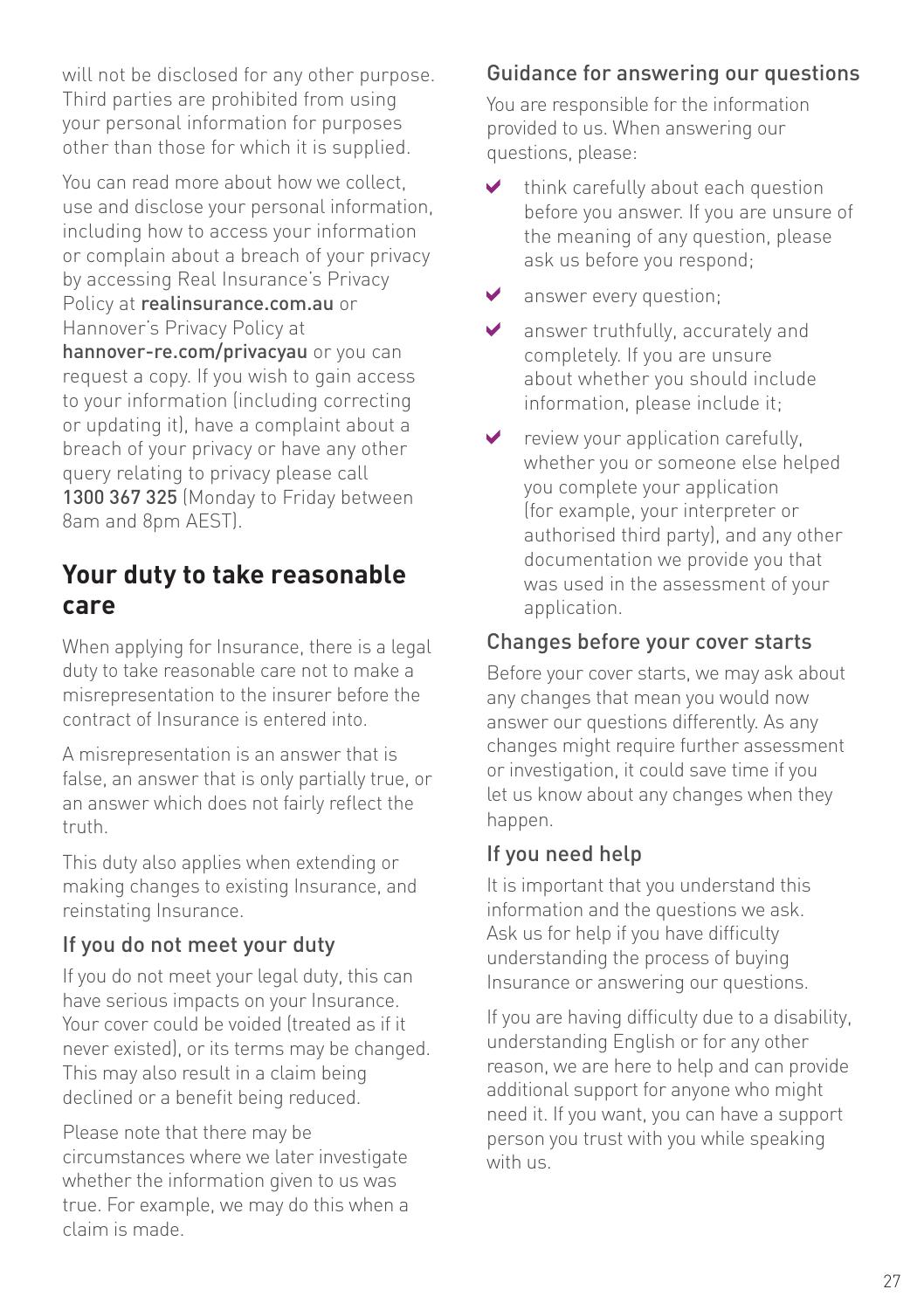will not be disclosed for any other purpose. Third parties are prohibited from using your personal information for purposes other than those for which it is supplied.

You can read more about how we collect, use and disclose your personal information, including how to access your information or complain about a breach of your privacy by accessing Real Insurance's Privacy Policy at realinsurance.com.au or Hannover's Privacy Policy at hannover-re.com/privacyau or you can request a copy. If you wish to gain access to your information (including correcting or updating it), have a complaint about a breach of your privacy or have any other query relating to privacy please call 1300 367 325 (Monday to Friday between 8am and 8pm AEST).

#### **Your duty to take reasonable care**

When applying for Insurance, there is a legal duty to take reasonable care not to make a misrepresentation to the insurer before the contract of Insurance is entered into.

A misrepresentation is an answer that is false, an answer that is only partially true, or an answer which does not fairly reflect the truth.

This duty also applies when extending or making changes to existing Insurance, and reinstating Insurance.

#### If you do not meet your duty

If you do not meet your legal duty, this can have serious impacts on your Insurance. Your cover could be voided (treated as if it never existed), or its terms may be changed. This may also result in a claim being declined or a benefit being reduced.

Please note that there may be circumstances where we later investigate whether the information given to us was true. For example, we may do this when a claim is made.

#### Guidance for answering our questions

You are responsible for the information provided to us. When answering our questions, please:

- V think carefully about each question before you answer. If you are unsure of the meaning of any question, please ask us before you respond;
- ✔ answer every question;
- ✓ answer truthfully, accurately and completely. If you are unsure about whether you should include information, please include it;
- ✔ review your application carefully, whether you or someone else helped you complete your application (for example, your interpreter or authorised third party), and any other documentation we provide you that was used in the assessment of your application.

#### Changes before your cover starts

Before your cover starts, we may ask about any changes that mean you would now answer our questions differently. As any changes might require further assessment or investigation, it could save time if you let us know about any changes when they happen.

#### If you need help

It is important that you understand this information and the questions we ask. Ask us for help if you have difficulty understanding the process of buying Insurance or answering our questions.

If you are having difficulty due to a disability, understanding English or for any other reason, we are here to help and can provide additional support for anyone who might need it. If you want, you can have a support person you trust with you while speaking with us.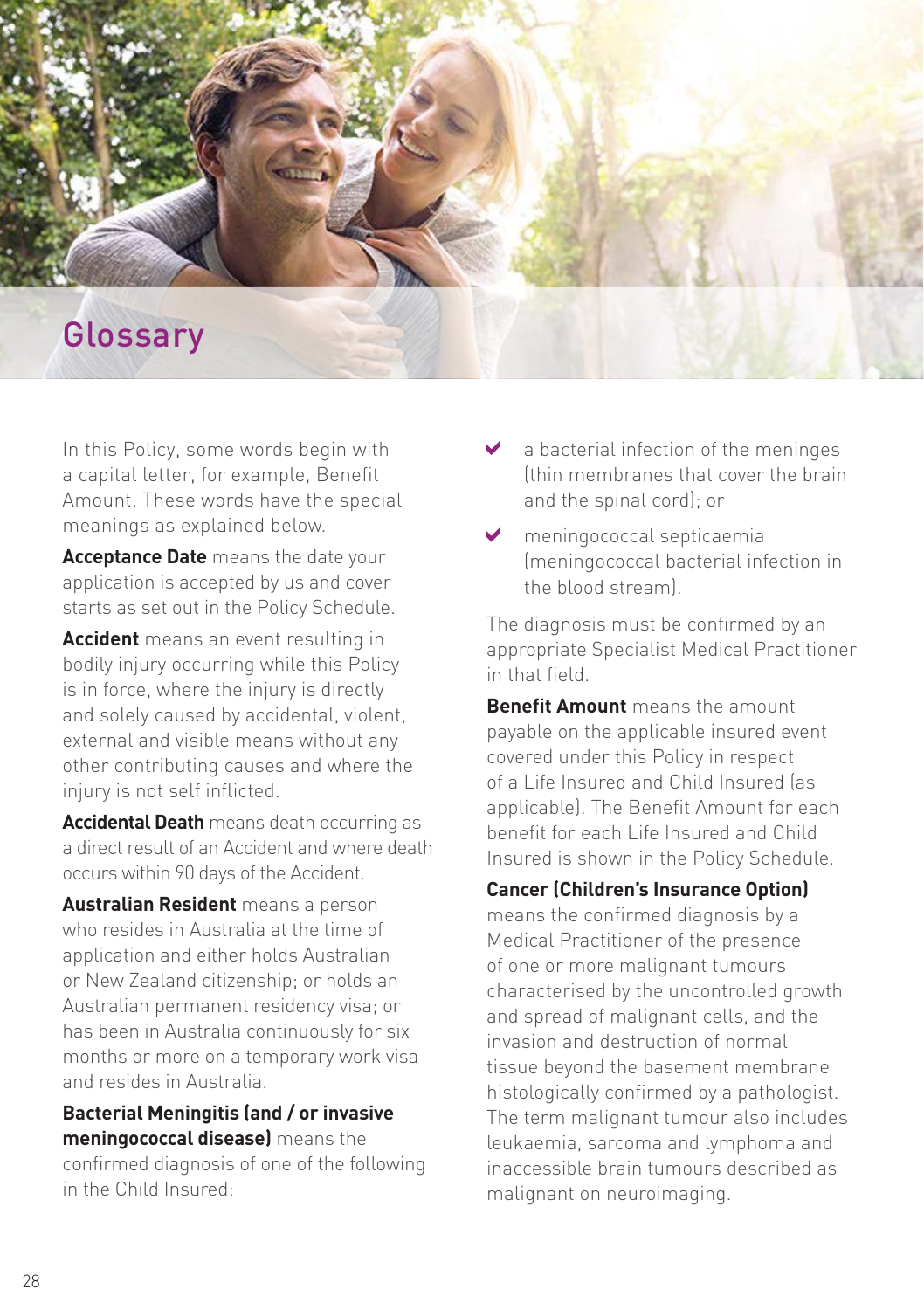

In this Policy, some words begin with a capital letter, for example, Benefit Amount. These words have the special meanings as explained below.

**Acceptance Date** means the date your application is accepted by us and cover starts as set out in the Policy Schedule.

**Accident** means an event resulting in bodily injury occurring while this Policy is in force, where the injury is directly and solely caused by accidental, violent, external and visible means without any other contributing causes and where the injury is not self inflicted.

**Accidental Death** means death occurring as a direct result of an Accident and where death occurs within 90 days of the Accident.

**Australian Resident** means a person who resides in Australia at the time of application and either holds Australian or New Zealand citizenship; or holds an Australian permanent residency visa; or has been in Australia continuously for six months or more on a temporary work visa and resides in Australia.

#### **Bacterial Meningitis (and / or invasive meningococcal disease)** means the

confirmed diagnosis of one of the following in the Child Insured:

- $\blacktriangleright$  a bacterial infection of the meninges (thin membranes that cover the brain and the spinal cord); or
- meningococcal septicaemia (meningococcal bacterial infection in the blood stream).

The diagnosis must be confirmed by an appropriate Specialist Medical Practitioner in that field.

**Benefit Amount** means the amount payable on the applicable insured event covered under this Policy in respect of a Life Insured and Child Insured (as applicable). The Benefit Amount for each benefit for each Life Insured and Child Insured is shown in the Policy Schedule.

#### **Cancer (Children's Insurance Option)**

means the confirmed diagnosis by a Medical Practitioner of the presence of one or more malignant tumours characterised by the uncontrolled growth and spread of malignant cells, and the invasion and destruction of normal tissue beyond the basement membrane histologically confirmed by a pathologist. The term malignant tumour also includes leukaemia, sarcoma and lymphoma and inaccessible brain tumours described as malignant on neuroimaging.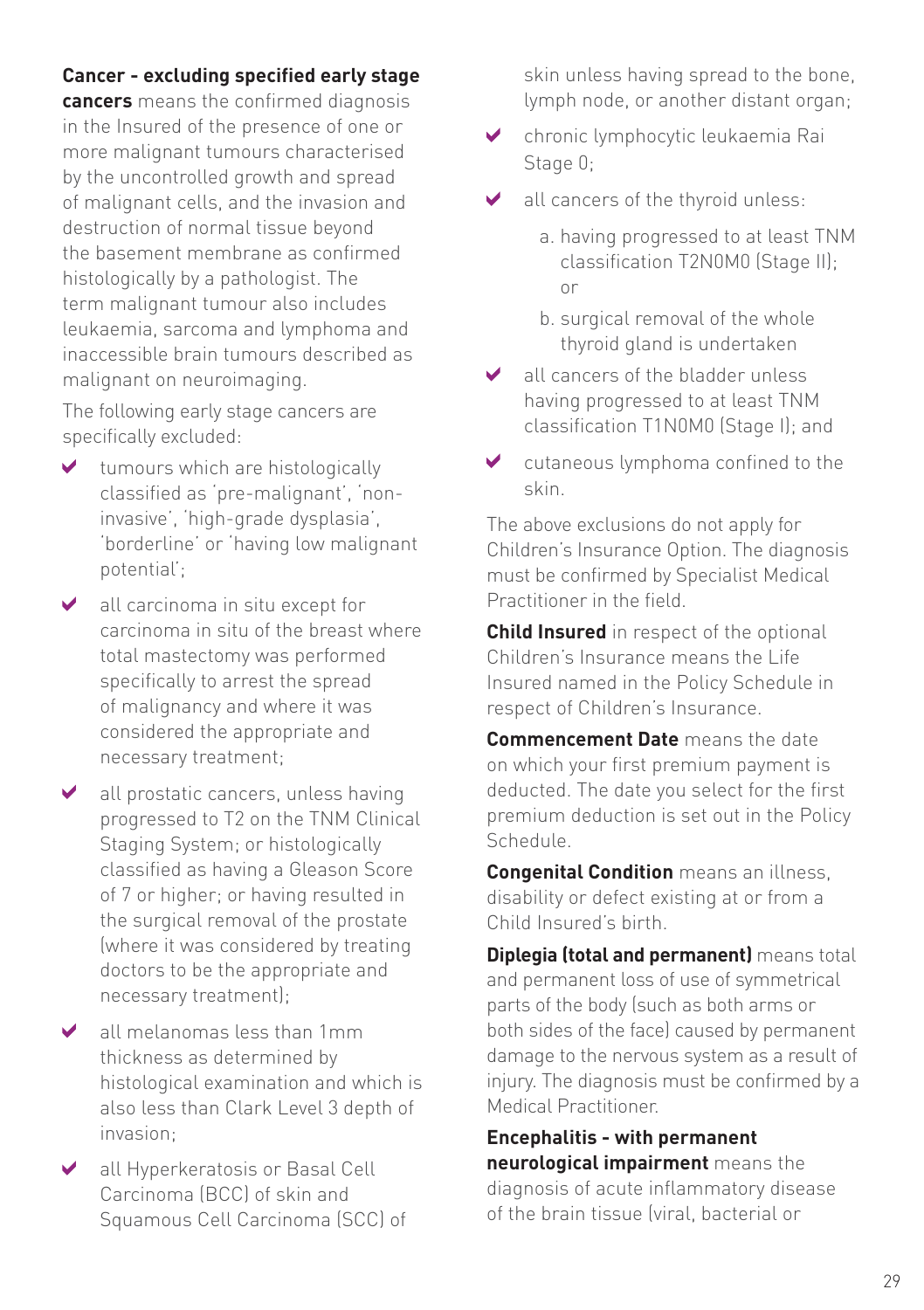#### **Cancer - excluding specified early stage**

**cancers** means the confirmed diagnosis in the Insured of the presence of one or more malignant tumours characterised by the uncontrolled growth and spread of malignant cells, and the invasion and destruction of normal tissue beyond the basement membrane as confirmed histologically by a pathologist. The term malignant tumour also includes leukaemia, sarcoma and lymphoma and inaccessible brain tumours described as malignant on neuroimaging.

The following early stage cancers are specifically excluded:

- $\blacktriangleright$  tumours which are histologically classified as 'pre-malignant', 'noninvasive', 'high-grade dysplasia', 'borderline' or 'having low malignant potential';
- $\blacktriangleright$  all carcinoma in situ except for carcinoma in situ of the breast where total mastectomy was performed specifically to arrest the spread of malignancy and where it was considered the appropriate and necessary treatment;
- ◆ all prostatic cancers, unless having progressed to T2 on the TNM Clinical Staging System; or histologically classified as having a Gleason Score of 7 or higher; or having resulted in the surgical removal of the prostate (where it was considered by treating doctors to be the appropriate and necessary treatment);
- all melanomas less than 1mm thickness as determined by histological examination and which is also less than Clark Level 3 depth of invasion;
- all Hyperkeratosis or Basal Cell Carcinoma (BCC) of skin and Squamous Cell Carcinoma (SCC) of

skin unless having spread to the bone, lymph node, or another distant organ;

- chronic lymphocytic leukaemia Rai Stage 0;
- all cancers of the thyroid unless: ✔
	- a. having progressed to at least TNM classification T2N0M0 (Stage II); or
	- b. surgical removal of the whole thyroid gland is undertaken
- **↓** all cancers of the bladder unless having progressed to at least TNM classification T1N0M0 (Stage I); and
- cutaneous lymphoma confined to the  $\blacktriangleright$ skin.

The above exclusions do not apply for Children's Insurance Option. The diagnosis must be confirmed by Specialist Medical Practitioner in the field.

**Child Insured** in respect of the optional Children's Insurance means the Life Insured named in the Policy Schedule in respect of Children's Insurance.

**Commencement Date** means the date on which your first premium payment is deducted. The date you select for the first premium deduction is set out in the Policy Schedule.

**Congenital Condition** means an illness, disability or defect existing at or from a Child Insured's birth.

**Diplegia (total and permanent)** means total and permanent loss of use of symmetrical parts of the body (such as both arms or both sides of the face) caused by permanent damage to the nervous system as a result of injury. The diagnosis must be confirmed by a Medical Practitioner.

**Encephalitis - with permanent neurological impairment** means the diagnosis of acute inflammatory disease of the brain tissue (viral, bacterial or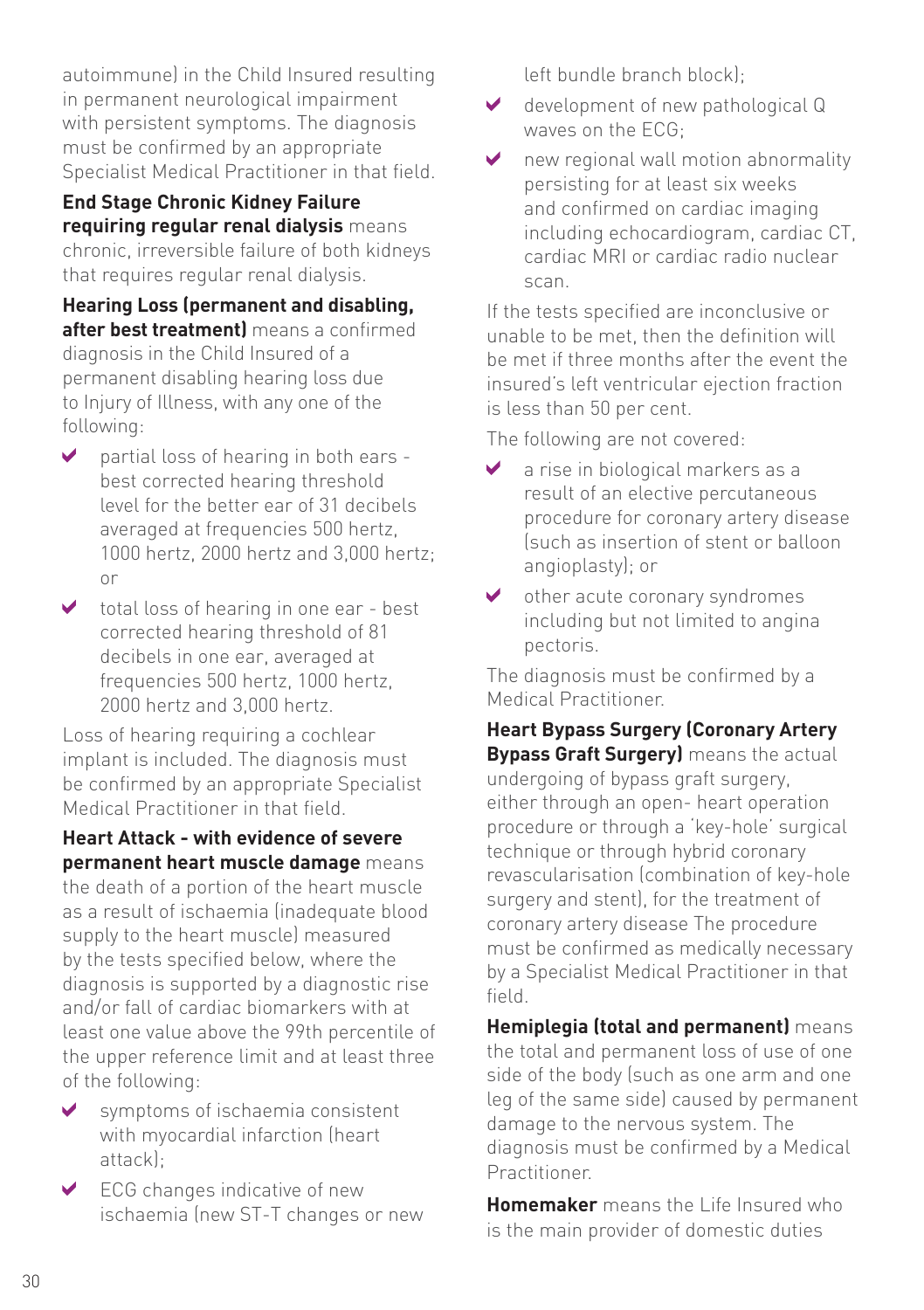autoimmune) in the Child Insured resulting in permanent neurological impairment with persistent symptoms. The diagnosis must be confirmed by an appropriate Specialist Medical Practitioner in that field.

**End Stage Chronic Kidney Failure requiring regular renal dialysis** means chronic, irreversible failure of both kidneys that requires regular renal dialysis.

**Hearing Loss (permanent and disabling, after best treatment)** means a confirmed diagnosis in the Child Insured of a permanent disabling hearing loss due to Injury of Illness, with any one of the following:

- partial loss of hearing in both ears best corrected hearing threshold level for the better ear of 31 decibels averaged at frequencies 500 hertz, 1000 hertz, 2000 hertz and 3,000 hertz; or
- $\triangleright$  total loss of hearing in one ear best corrected hearing threshold of 81 decibels in one ear, averaged at frequencies 500 hertz, 1000 hertz, 2000 hertz and 3,000 hertz.

Loss of hearing requiring a cochlear implant is included. The diagnosis must be confirmed by an appropriate Specialist Medical Practitioner in that field.

**Heart Attack - with evidence of severe permanent heart muscle damage** means the death of a portion of the heart muscle as a result of ischaemia (inadequate blood supply to the heart muscle) measured by the tests specified below, where the diagnosis is supported by a diagnostic rise and/or fall of cardiac biomarkers with at least one value above the 99th percentile of the upper reference limit and at least three of the following:

- symptoms of ischaemia consistent with myocardial infarction (heart attack);
- $\vee$  ECG changes indicative of new ischaemia (new ST-T changes or new

left bundle branch block);

- ◆ development of new pathological Q waves on the ECG;
- new regional wall motion abnormality ✔ persisting for at least six weeks and confirmed on cardiac imaging including echocardiogram, cardiac CT, cardiac MRI or cardiac radio nuclear scan.

If the tests specified are inconclusive or unable to be met, then the definition will be met if three months after the event the insured's left ventricular ejection fraction is less than 50 per cent.

The following are not covered:

- a rise in biological markers as a result of an elective percutaneous procedure for coronary artery disease (such as insertion of stent or balloon angioplasty); or
- ◆ other acute coronary syndromes including but not limited to angina pectoris.

The diagnosis must be confirmed by a Medical Practitioner.

**Heart Bypass Surgery (Coronary Artery Bypass Graft Surgery)** means the actual undergoing of bypass graft surgery, either through an open- heart operation procedure or through a 'key-hole' surgical technique or through hybrid coronary revascularisation (combination of key-hole surgery and stent), for the treatment of coronary artery disease The procedure must be confirmed as medically necessary by a Specialist Medical Practitioner in that field.

**Hemiplegia (total and permanent)** means the total and permanent loss of use of one side of the body (such as one arm and one leg of the same side) caused by permanent damage to the nervous system. The diagnosis must be confirmed by a Medical Practitioner.

**Homemaker** means the Life Insured who is the main provider of domestic duties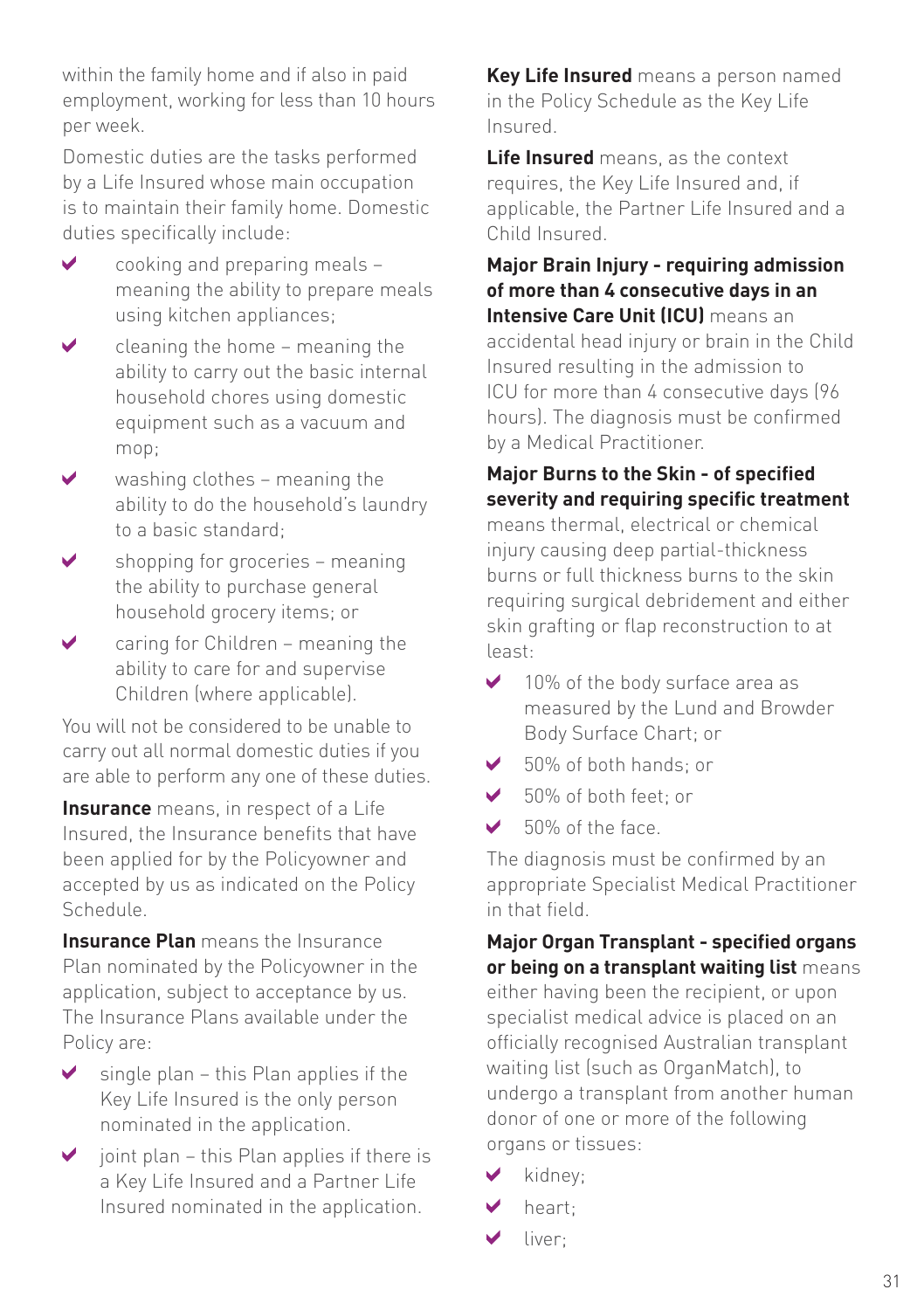within the family home and if also in paid employment, working for less than 10 hours per week.

Domestic duties are the tasks performed by a Life Insured whose main occupation is to maintain their family home. Domestic duties specifically include:

- $\triangleright$  cooking and preparing meals  $\triangleright$ meaning the ability to prepare meals using kitchen appliances;
- $\vee$  cleaning the home meaning the ability to carry out the basic internal household chores using domestic equipment such as a vacuum and mop;
- $\blacktriangleright$  washing clothes meaning the ability to do the household's laundry to a basic standard;
- shopping for groceries meaning the ability to purchase general household grocery items; or
- $\triangleright$  caring for Children meaning the ability to care for and supervise Children (where applicable).

You will not be considered to be unable to carry out all normal domestic duties if you are able to perform any one of these duties.

**Insurance** means, in respect of a Life Insured, the Insurance benefits that have been applied for by the Policyowner and accepted by us as indicated on the Policy Schedule.

**Insurance Plan** means the Insurance Plan nominated by the Policyowner in the application, subject to acceptance by us. The Insurance Plans available under the Policy are:

- $\blacktriangleright$ single plan – this Plan applies if the Key Life Insured is the only person nominated in the application.
- $\triangleright$  joint plan this Plan applies if there is a Key Life Insured and a Partner Life Insured nominated in the application.

**Key Life Insured** means a person named in the Policy Schedule as the Key Life Insured.

**Life Insured** means, as the context requires, the Key Life Insured and, if applicable, the Partner Life Insured and a Child Insured.

**Major Brain Injury - requiring admission of more than 4 consecutive days in an** 

**Intensive Care Unit (ICU)** means an accidental head injury or brain in the Child Insured resulting in the admission to ICU for more than 4 consecutive days (96 hours). The diagnosis must be confirmed by a Medical Practitioner.

#### **Major Burns to the Skin - of specified severity and requiring specific treatment**

means thermal, electrical or chemical injury causing deep partial-thickness burns or full thickness burns to the skin requiring surgical debridement and either skin grafting or flap reconstruction to at least:

- $\blacktriangleright$ 10% of the body surface area as measured by the Lund and Browder Body Surface Chart; or
- ✓ 50% of both hands; or
- Ø 50% of both feet; or
- $\overline{\mathbf{v}}$ 50% of the face.

The diagnosis must be confirmed by an appropriate Specialist Medical Practitioner in that field.

**Major Organ Transplant - specified organs or being on a transplant waiting list** means

either having been the recipient, or upon specialist medical advice is placed on an officially recognised Australian transplant waiting list (such as OrganMatch), to undergo a transplant from another human donor of one or more of the following organs or tissues:

- kidney;
- heart;
- liver; ◡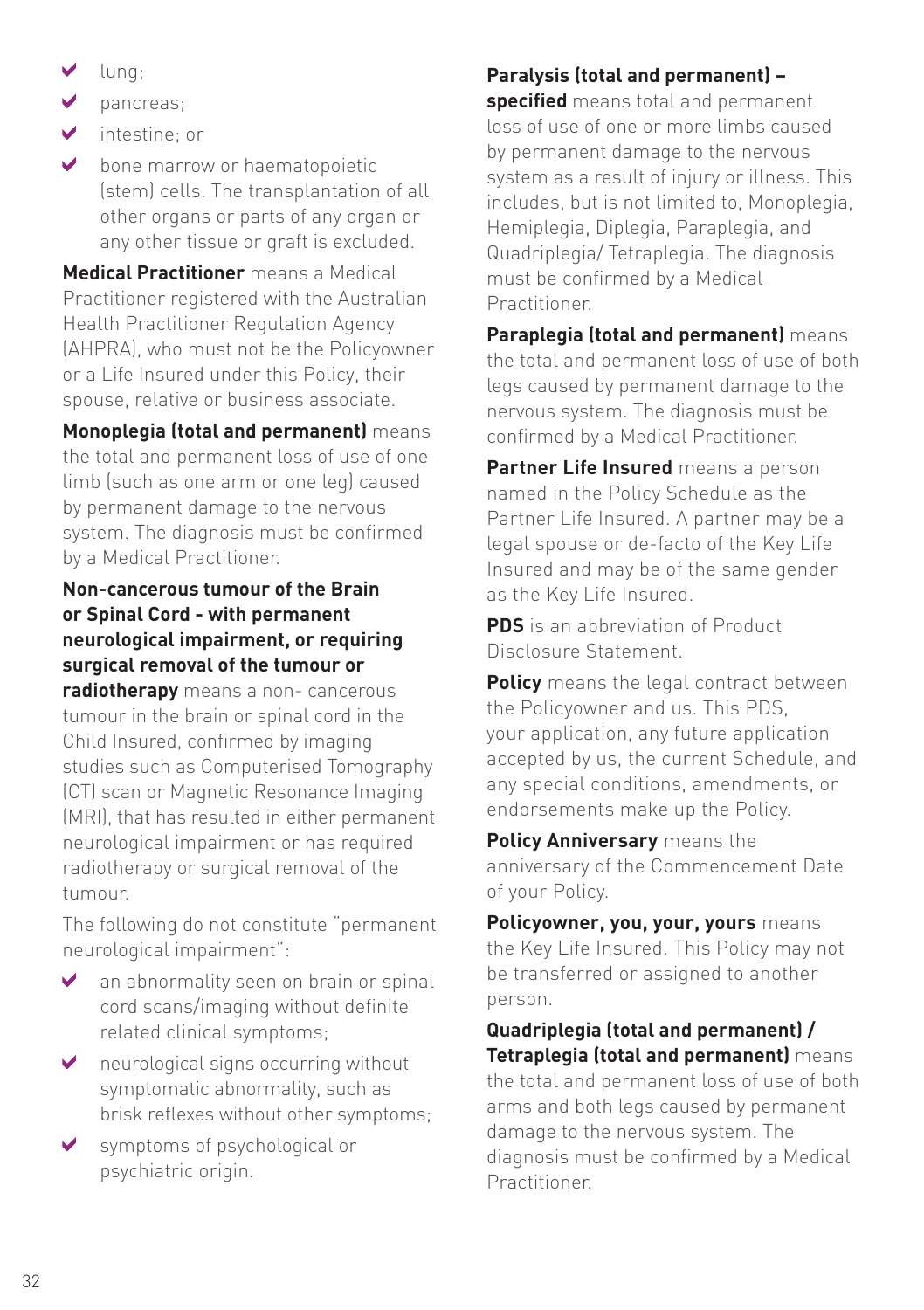- lung;
- $\mathbf{v}$ pancreas;
- $\mathcal{L}$ intestine; or
- $\blacktriangleright$ bone marrow or haematopoietic (stem) cells. The transplantation of all other organs or parts of any organ or any other tissue or graft is excluded.

**Medical Practitioner** means a Medical Practitioner registered with the Australian Health Practitioner Regulation Agency (AHPRA), who must not be the Policyowner or a Life Insured under this Policy, their spouse, relative or business associate.

**Monoplegia (total and permanent)** means the total and permanent loss of use of one limb (such as one arm or one leg) caused by permanent damage to the nervous system. The diagnosis must be confirmed by a Medical Practitioner.

#### **Non-cancerous tumour of the Brain or Spinal Cord - with permanent neurological impairment, or requiring surgical removal of the tumour or**

**radiotherapy** means a non- cancerous tumour in the brain or spinal cord in the Child Insured, confirmed by imaging studies such as Computerised Tomography (CT) scan or Magnetic Resonance Imaging (MRI), that has resulted in either permanent neurological impairment or has required radiotherapy or surgical removal of the tumour.

The following do not constitute "permanent neurological impairment":

- an abnormality seen on brain or spinal cord scans/imaging without definite related clinical symptoms;
- ◆ neurological signs occurring without symptomatic abnormality, such as brisk reflexes without other symptoms;
- symptoms of psychological or psychiatric origin.

#### **Paralysis (total and permanent) –**

**specified** means total and permanent loss of use of one or more limbs caused by permanent damage to the nervous system as a result of injury or illness. This includes, but is not limited to, Monoplegia, Hemiplegia, Diplegia, Paraplegia, and Quadriplegia/ Tetraplegia. The diagnosis must be confirmed by a Medical Practitioner.

**Paraplegia (total and permanent)** means the total and permanent loss of use of both legs caused by permanent damage to the nervous system. The diagnosis must be confirmed by a Medical Practitioner.

**Partner Life Insured** means a person named in the Policy Schedule as the Partner Life Insured. A partner may be a legal spouse or de-facto of the Key Life Insured and may be of the same gender as the Key Life Insured.

**PDS** is an abbreviation of Product Disclosure Statement.

**Policy** means the legal contract between the Policyowner and us. This PDS, your application, any future application accepted by us, the current Schedule, and any special conditions, amendments, or endorsements make up the Policy.

**Policy Anniversary** means the anniversary of the Commencement Date of your Policy.

**Policyowner, you, your, yours** means the Key Life Insured. This Policy may not be transferred or assigned to another person.

**Quadriplegia (total and permanent) / Tetraplegia (total and permanent)** means the total and permanent loss of use of both arms and both legs caused by permanent damage to the nervous system. The diagnosis must be confirmed by a Medical Practitioner.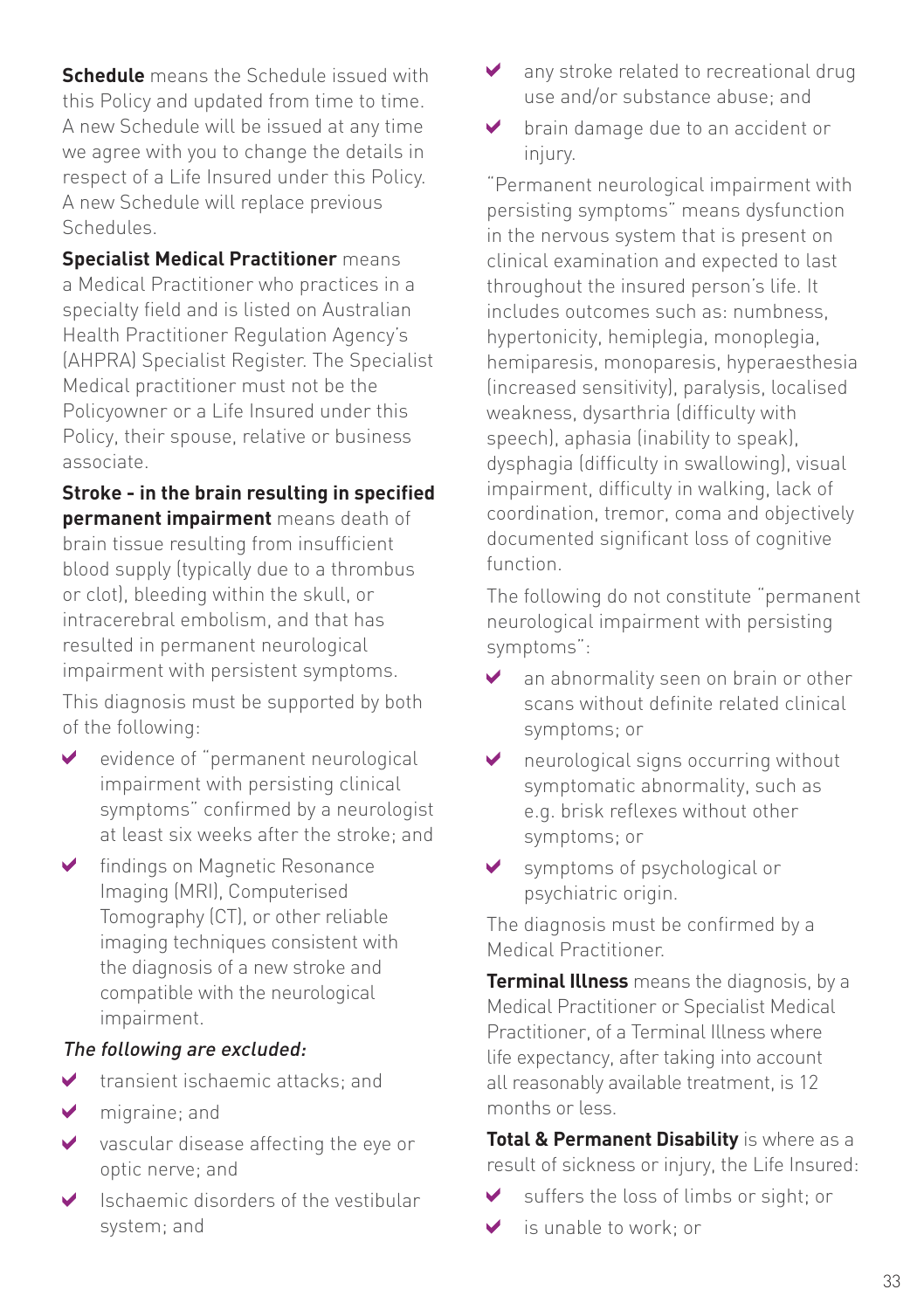**Schedule** means the Schedule issued with this Policy and updated from time to time. A new Schedule will be issued at any time we agree with you to change the details in respect of a Life Insured under this Policy. A new Schedule will replace previous Schedules.

**Specialist Medical Practitioner** means a Medical Practitioner who practices in a specialty field and is listed on Australian Health Practitioner Regulation Agency's (AHPRA) Specialist Register. The Specialist Medical practitioner must not be the Policyowner or a Life Insured under this Policy, their spouse, relative or business associate.

**Stroke - in the brain resulting in specified permanent impairment** means death of brain tissue resulting from insufficient blood supply (typically due to a thrombus or clot), bleeding within the skull, or intracerebral embolism, and that has resulted in permanent neurological impairment with persistent symptoms.

This diagnosis must be supported by both of the following:

- v evidence of "permanent neurological impairment with persisting clinical symptoms" confirmed by a neurologist at least six weeks after the stroke; and
- ◆ findings on Magnetic Resonance Imaging (MRI), Computerised Tomography (CT), or other reliable imaging techniques consistent with the diagnosis of a new stroke and compatible with the neurological impairment.

#### The following are excluded:

- transient ischaemic attacks; and  $\blacktriangledown$
- migraine; and
- vascular disease affecting the eye or optic nerve; and
- Ischaemic disorders of the vestibular system; and
- ◆ any stroke related to recreational drug use and/or substance abuse; and
- **v** brain damage due to an accident or injury.

"Permanent neurological impairment with persisting symptoms" means dysfunction in the nervous system that is present on clinical examination and expected to last throughout the insured person's life. It includes outcomes such as: numbness, hypertonicity, hemiplegia, monoplegia, hemiparesis, monoparesis, hyperaesthesia (increased sensitivity), paralysis, localised weakness, dysarthria (difficulty with speech), aphasia (inability to speak), dysphagia (difficulty in swallowing), visual impairment, difficulty in walking, lack of coordination, tremor, coma and objectively documented significant loss of cognitive function.

The following do not constitute "permanent neurological impairment with persisting symptoms":

- an abnormality seen on brain or other scans without definite related clinical symptoms; or
- ◆ neurological signs occurring without symptomatic abnormality, such as e.g. brisk reflexes without other symptoms; or
- symptoms of psychological or psychiatric origin.

The diagnosis must be confirmed by a Medical Practitioner.

**Terminal Illness** means the diagnosis, by a Medical Practitioner or Specialist Medical Practitioner, of a Terminal Illness where life expectancy, after taking into account all reasonably available treatment, is 12 months or less.

**Total & Permanent Disability** is where as a result of sickness or injury, the Life Insured:

- suffers the loss of limbs or sight; or
- is unable to work; or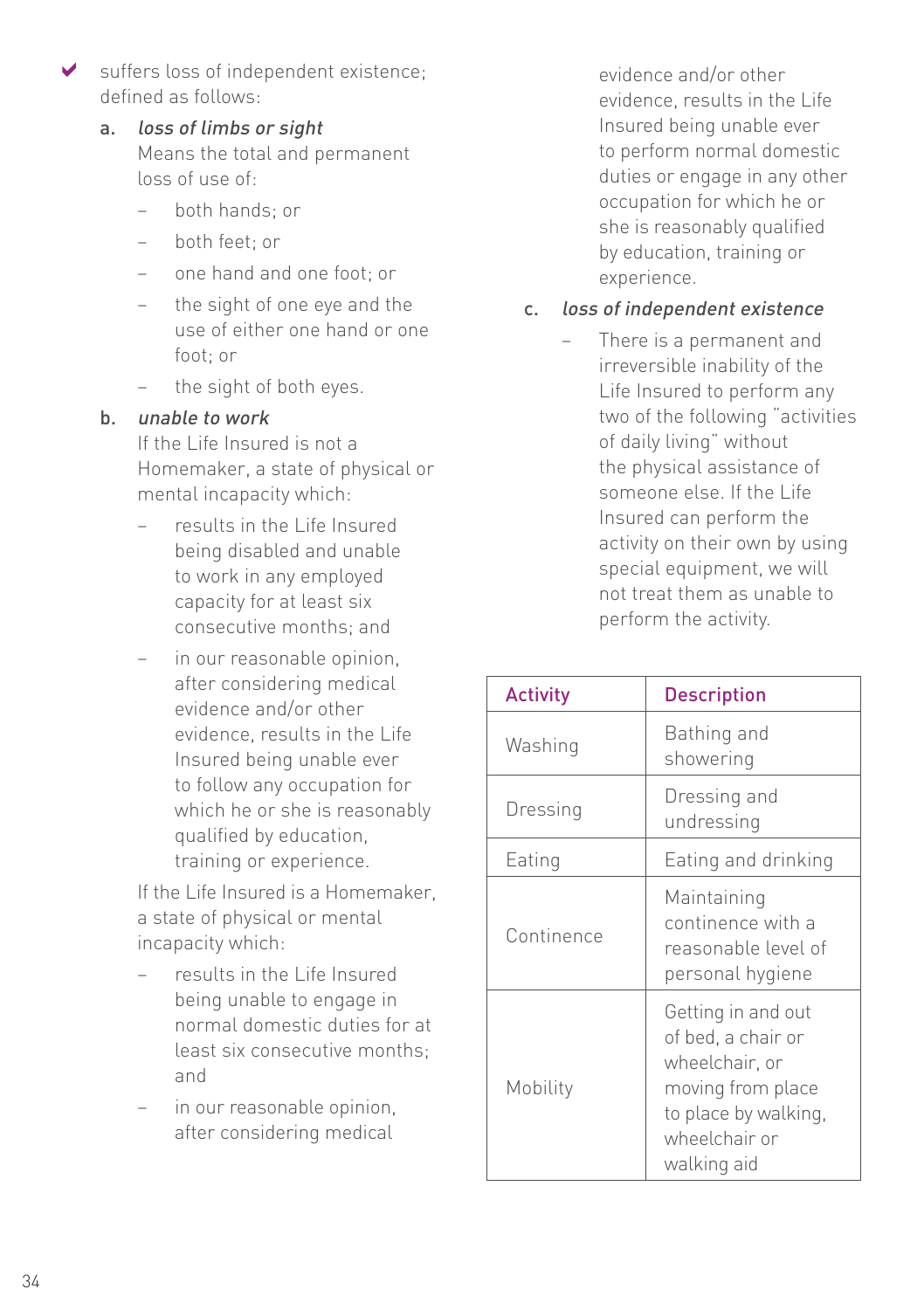- suffers loss of independent existence; defined as follows:
	- a. loss of limbs or sight Means the total and permanent loss of use of:
		- $-$  both hands; or
		- both feet; or
		- one hand and one foot; or
		- the sight of one eye and the use of either one hand or one foot; or
		- the sight of both eyes.

#### b. unable to work

If the Life Insured is not a Homemaker, a state of physical or mental incapacity which:

- results in the Life Insured being disabled and unable to work in any employed capacity for at least six consecutive months; and
- in our reasonable opinion, after considering medical evidence and/or other evidence, results in the Life Insured being unable ever to follow any occupation for which he or she is reasonably qualified by education, training or experience.

If the Life Insured is a Homemaker, a state of physical or mental incapacity which:

- results in the Life Insured being unable to engage in normal domestic duties for at least six consecutive months; and
- in our reasonable opinion, after considering medical

evidence and/or other evidence, results in the Life Insured being unable ever to perform normal domestic duties or engage in any other occupation for which he or she is reasonably qualified by education, training or experience.

#### c. loss of independent existence

– There is a permanent and irreversible inability of the Life Insured to perform any two of the following "activities of daily living" without the physical assistance of someone else. If the Life Insured can perform the activity on their own by using special equipment, we will not treat them as unable to perform the activity.

| <b>Activity</b> | <b>Description</b>                                                                                                                      |
|-----------------|-----------------------------------------------------------------------------------------------------------------------------------------|
| Washing         | Bathing and<br>showering                                                                                                                |
| Dressing        | Dressing and<br>undressing                                                                                                              |
| Eating          | Eating and drinking                                                                                                                     |
| Continence      | Maintaining<br>continence with a<br>reasonable level of<br>personal hygiene                                                             |
| Mobility        | Getting in and out<br>of bed, a chair or<br>wheelchair, or<br>moving from place<br>to place by walking,<br>wheelchair or<br>walking aid |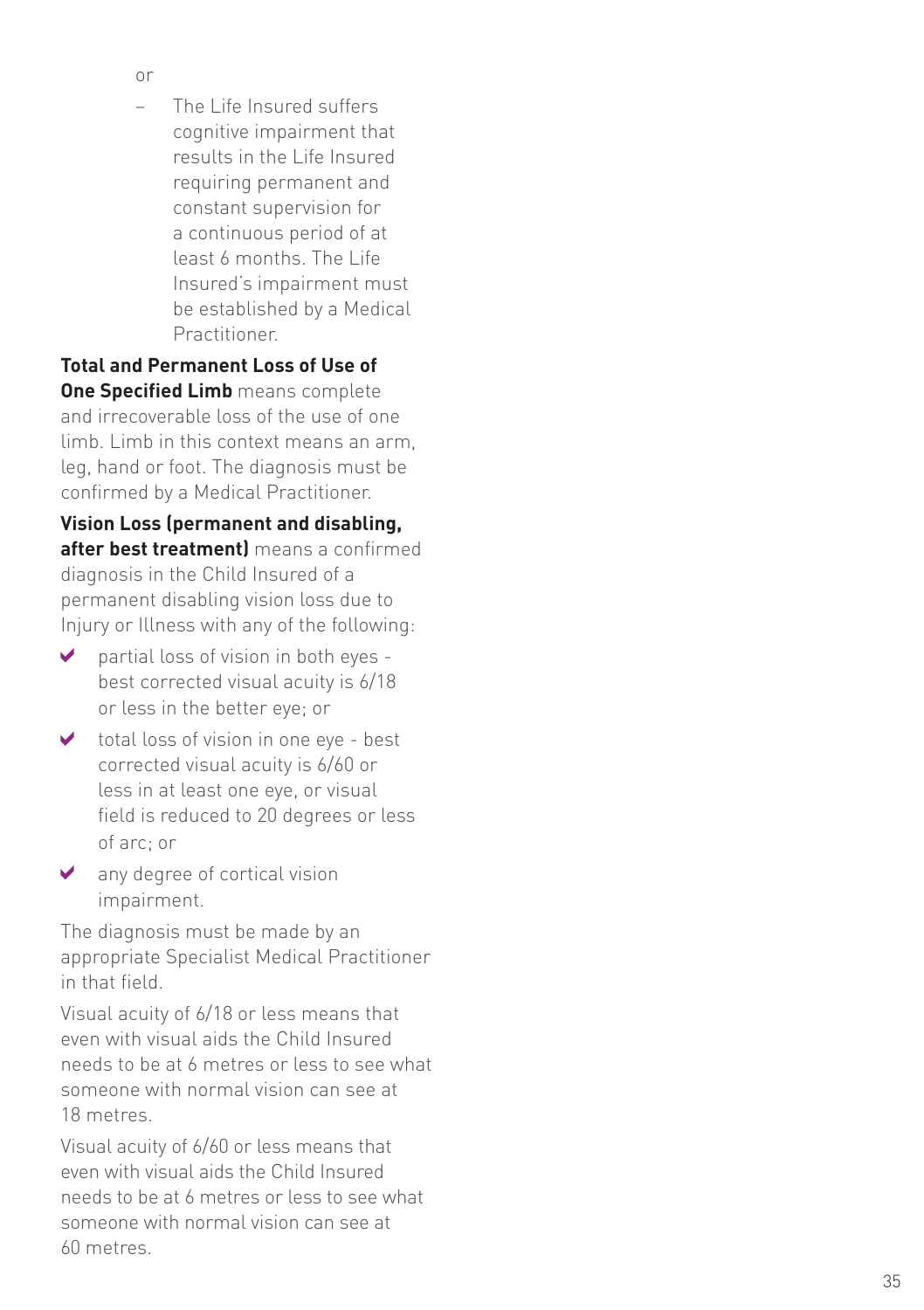- 
- or– The Life Insured suffers cognitive impairment that results in the Life Insured requiring permanent and constant supervision for a continuous period of at least 6 months. The Life Insured's impairment must be established by a Medical Practitioner.

**Total and Permanent Loss of Use of One Specified Limb** means complete and irrecoverable loss of the use of one limb. Limb in this context means an arm, leg, hand or foot. The diagnosis must be confirmed by a Medical Practitioner.

**Vision Loss (permanent and disabling, after best treatment)** means a confirmed diagnosis in the Child Insured of a permanent disabling vision loss due to Injury or Illness with any of the following:

- $\overline{\mathbf{v}}$ partial loss of vision in both eyes best corrected visual acuity is 6/18 or less in the better eye; or
- $\blacktriangleright$ total loss of vision in one eye - best corrected visual acuity is 6/60 or less in at least one eye, or visual field is reduced to 20 degrees or less of arc; or
- any degree of cortical vision impairment.

The diagnosis must be made by an appropriate Specialist Medical Practitioner in that field.

Visual acuity of 6/18 or less means that even with visual aids the Child Insured needs to be at 6 metres or less to see what someone with normal vision can see at 18 metres.

Visual acuity of 6/60 or less means that even with visual aids the Child Insured needs to be at 6 metres or less to see what someone with normal vision can see at 60 metres.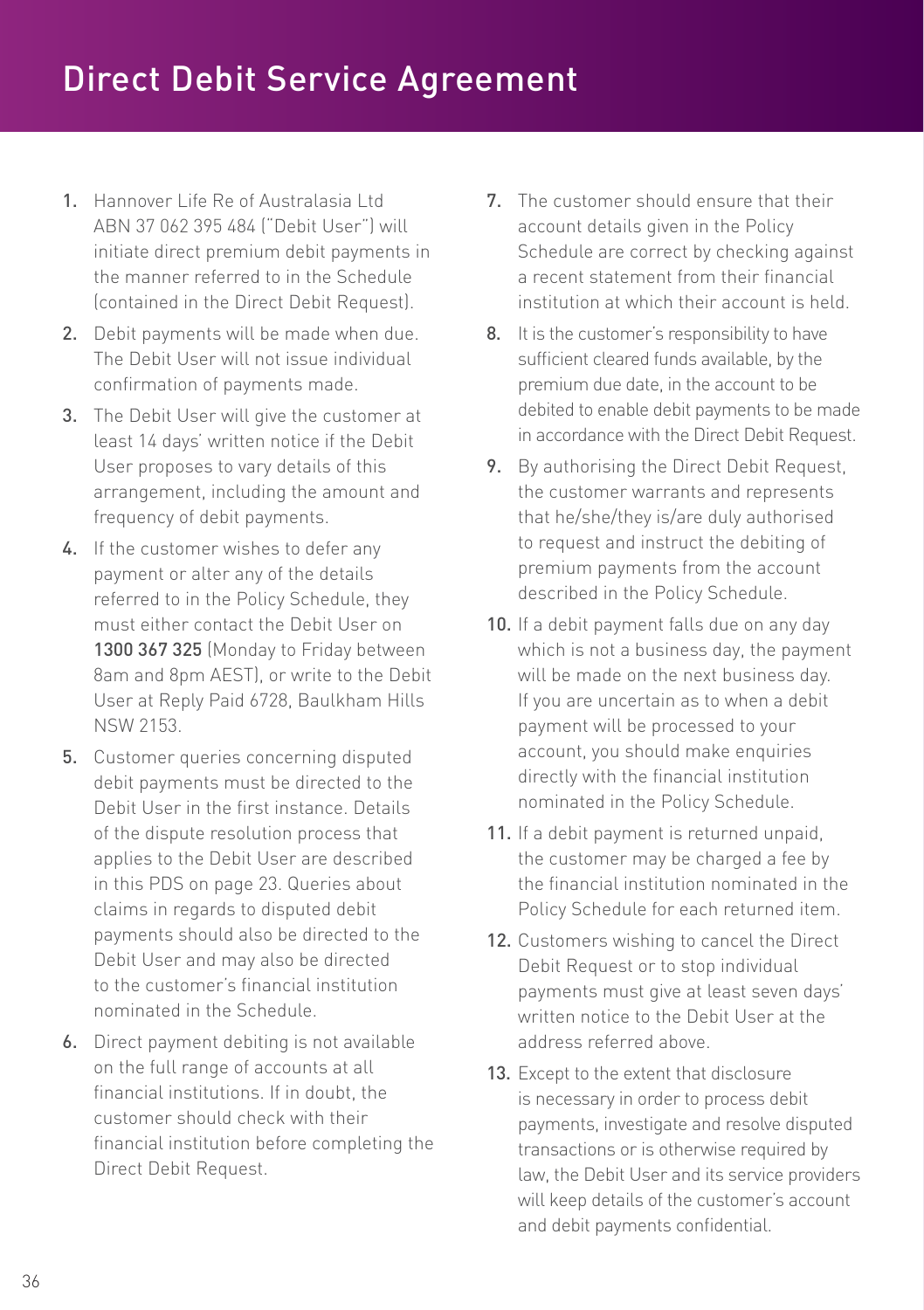- 1. Hannover Life Re of Australasia Ltd ABN 37 062 395 484 ("Debit User") will initiate direct premium debit payments in the manner referred to in the Schedule (contained in the Direct Debit Request).
- 2. Debit payments will be made when due. The Debit User will not issue individual confirmation of payments made.
- 3. The Debit User will give the customer at least 14 days' written notice if the Debit User proposes to vary details of this arrangement, including the amount and frequency of debit payments.
- 4. If the customer wishes to defer any payment or alter any of the details referred to in the Policy Schedule, they must either contact the Debit User on 1300 367 325 (Monday to Friday between 8am and 8pm AEST), or write to the Debit User at Reply Paid 6728, Baulkham Hills NSW 2153.
- 5. Customer queries concerning disputed debit payments must be directed to the Debit User in the first instance. Details of the dispute resolution process that applies to the Debit User are described in this PDS on page 23. Queries about claims in regards to disputed debit payments should also be directed to the Debit User and may also be directed to the customer's financial institution nominated in the Schedule.
- 6. Direct payment debiting is not available on the full range of accounts at all financial institutions. If in doubt, the customer should check with their financial institution before completing the Direct Debit Request.
- 7. The customer should ensure that their account details given in the Policy Schedule are correct by checking against a recent statement from their financial institution at which their account is held.
- 8. It is the customer's responsibility to have sufficient cleared funds available, by the premium due date, in the account to be debited to enable debit payments to be made in accordance with the Direct Debit Request.
- 9. By authorising the Direct Debit Request, the customer warrants and represents that he/she/they is/are duly authorised to request and instruct the debiting of premium payments from the account described in the Policy Schedule.
- 10. If a debit payment falls due on any day which is not a business day, the payment will be made on the next business day. If you are uncertain as to when a debit payment will be processed to your account, you should make enquiries directly with the financial institution nominated in the Policy Schedule.
- 11. If a debit payment is returned unpaid, the customer may be charged a fee by the financial institution nominated in the Policy Schedule for each returned item.
- 12. Customers wishing to cancel the Direct Debit Request or to stop individual payments must give at least seven days' written notice to the Debit User at the address referred above.
- 13. Except to the extent that disclosure is necessary in order to process debit payments, investigate and resolve disputed transactions or is otherwise required by law, the Debit User and its service providers will keep details of the customer's account and debit payments confidential.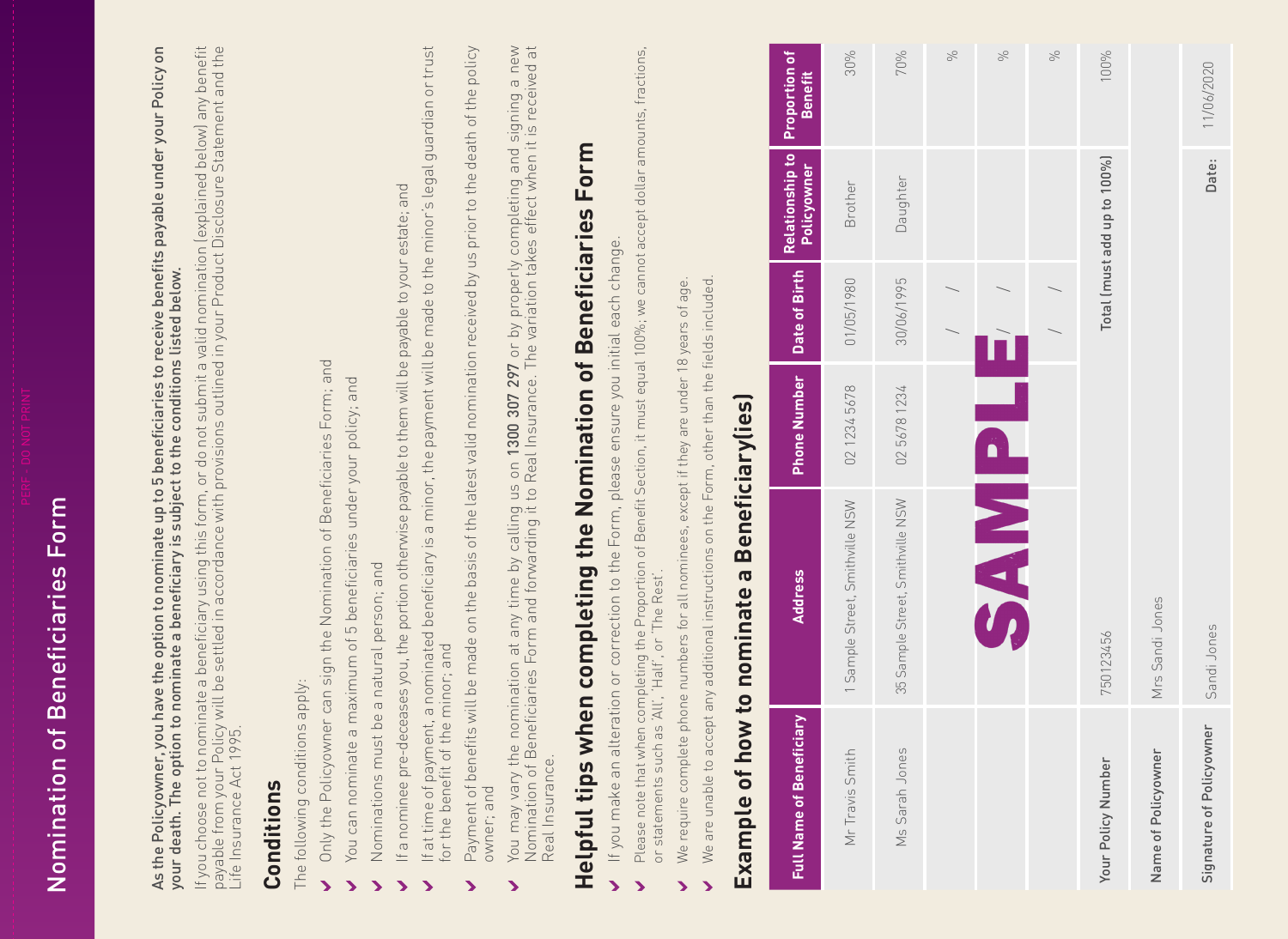| your death. The opti                                                                | payable from your Policy will be settled in accordance with provisions outlined in your Product Disclosure Statement and the<br>Life Insurance Act 1995.<br>If you choose not to nominate a beneficiary using this form, or do not submit a valid nomination (explained below) any benefit<br>on to nominate a beneficiary is subject to the conditions listed below. |                                           |               |                                       |                                        |
|-------------------------------------------------------------------------------------|-----------------------------------------------------------------------------------------------------------------------------------------------------------------------------------------------------------------------------------------------------------------------------------------------------------------------------------------------------------------------|-------------------------------------------|---------------|---------------------------------------|----------------------------------------|
| Life Insurance Act 1<br>Conditions                                                  |                                                                                                                                                                                                                                                                                                                                                                       |                                           |               |                                       |                                        |
| The following conditions apply:                                                     |                                                                                                                                                                                                                                                                                                                                                                       |                                           |               |                                       |                                        |
| $\blacktriangleright$                                                               | Only the Policyowner can sign the Nomination of Beneficiaries Form; and                                                                                                                                                                                                                                                                                               |                                           |               |                                       |                                        |
| You can nominat<br>⋗                                                                | te a maximum of 5 beneficiaries under your policy; and                                                                                                                                                                                                                                                                                                                |                                           |               |                                       |                                        |
| ゝ                                                                                   | Nominations must be a natural person; and                                                                                                                                                                                                                                                                                                                             |                                           |               |                                       |                                        |
| for the benefit of the minor; and<br>$\blacktriangleright$<br>$\blacktriangleright$ | If at time of payment, a nominated beneficiary is a minor, the payment will be made to the minor's legal guardian or trust<br>If a nominee pre-deceases you, the portion otherwise payable to them will be payable to your estate; and                                                                                                                                |                                           |               |                                       |                                        |
| owner; and<br>ゝ                                                                     | Payment of benefits will be made on the basis of the latest valid nomination received by us prior to the death of the policy                                                                                                                                                                                                                                          |                                           |               |                                       |                                        |
| You may vary the<br>Real Insurance.<br>$\blacktriangleright$                        | You may vary the nomination at any time by calling us on <b>1300 307 297</b> or by properly completing and signing a new<br>Nomination of Beneficiaries Form and forwarding it to Real Insurance. The variation takes effect when it i                                                                                                                                | on 1300 307 297 or by properly completing |               |                                       | and signing                            |
| Helpful tips                                                                        | when completing the Nomination of Beneficiaries                                                                                                                                                                                                                                                                                                                       |                                           |               | Form                                  |                                        |
| $\blacktriangleright$                                                               | If you make an alteration or correction to the Form, please ensure you initial each change.                                                                                                                                                                                                                                                                           |                                           |               |                                       |                                        |
| ↘                                                                                   | Please note that when completing the Proportion of Benefit Section, it must equal 100%; we cannot accept dollar amounts, fractions,<br>or statements such as 'All', 'Half', or 'The Rest'.                                                                                                                                                                            |                                           |               |                                       |                                        |
| ゝ                                                                                   | We require complete phone numbers for all nominees, except if they are under 18 years of ag                                                                                                                                                                                                                                                                           |                                           | $\omega$      |                                       |                                        |
| Example of h<br>Þ                                                                   | We are unable to accept any additional instructions on the Form, other than the fields included<br>ow to nominate a                                                                                                                                                                                                                                                   | Beneficiarylies                           |               |                                       |                                        |
| <b>Full Name of Beneficiary</b>                                                     | Address                                                                                                                                                                                                                                                                                                                                                               | <b>Phone Number</b>                       | Date of Birth | <b>Relationship to</b><br>Policyowner | <b>Proportion of</b><br><b>Benefit</b> |
| Mr Travis Smith                                                                     | Street, Smithville NSW<br>Sample:<br>$\overline{\phantom{m}}$                                                                                                                                                                                                                                                                                                         | 02 1234 5678                              | 01/05/1980    | Brother                               | 30%                                    |
| Sarah Jones<br>$\frac{1}{2}$                                                        | Smithville NSW<br>35 Sample Street,                                                                                                                                                                                                                                                                                                                                   | 56781234<br>02                            | 30/06/1995    | Daughter                              | 70%                                    |
|                                                                                     |                                                                                                                                                                                                                                                                                                                                                                       |                                           |               |                                       | SC                                     |
|                                                                                     | <b>HelMPS</b>                                                                                                                                                                                                                                                                                                                                                         |                                           |               |                                       | S                                      |
|                                                                                     |                                                                                                                                                                                                                                                                                                                                                                       |                                           |               |                                       | $\%$                                   |
| Your Policy Number                                                                  | 750123456                                                                                                                                                                                                                                                                                                                                                             |                                           |               | Total (must add up to 100%)           | 100%                                   |
| Name of Policyowner                                                                 | Mrs Sandi Jones                                                                                                                                                                                                                                                                                                                                                       |                                           |               |                                       |                                        |
| Signature of Policyowner                                                            | Sandi Jones                                                                                                                                                                                                                                                                                                                                                           |                                           |               | Date:                                 | 11/06/2020                             |
|                                                                                     |                                                                                                                                                                                                                                                                                                                                                                       |                                           |               |                                       |                                        |

Nomination of Beneficiaries Form

Nomination of Beneficiaries Form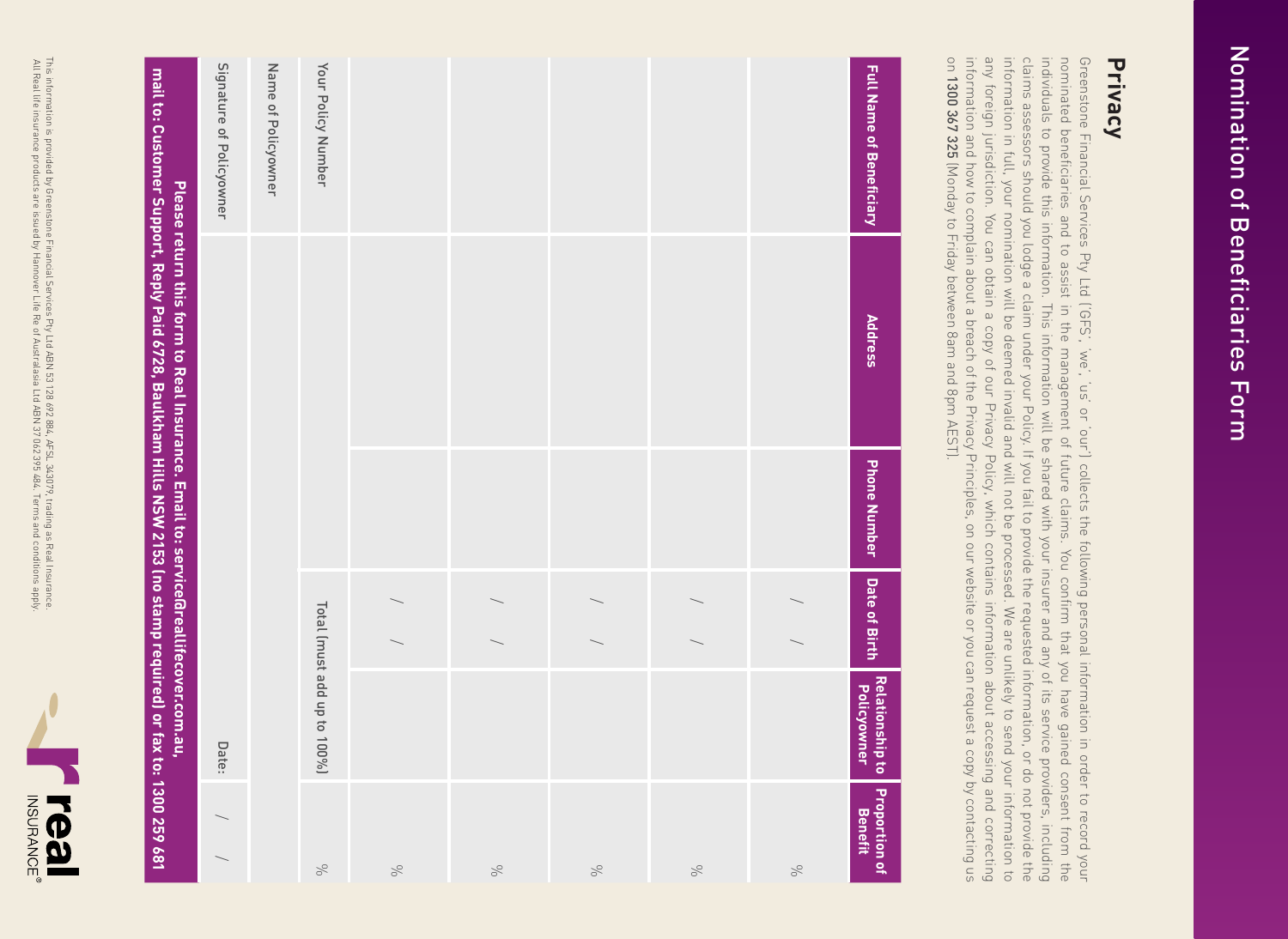

## Signature of Policyowner Name of Policyowner Your Policy Number **Full Name of Beneficiary** Signature of Policyowner Name of Policyowner Your Policy Number mail to: Customer Support, Reply Paid 6728, Baulkham Hills NSW 2153 (no stamp required) or fax to: 1300 259 681 **Full Name of Beneficiary mail to: Customer Support, Reply Paid 6728, Baulkham Hills NSW 2153 (no stamp required) or fax to: 1300 259 681** Please return this form to Real Insurance. Email to: service@reallifecover.com.au, **Please return this form to Real Insurance. Email to: service@reallifecover.com.au, Address Address** Phone Number **Phone Number** Date of Birth **Date of Birth** / / / / / / / / / / Total (must add up to 100%) Total (must add up to 100%)**Relationship to Policyowner** Date:Proportion of<br>Benefit / / %  $\aleph$ %  $\%$  $\%$ %

**Privacy**

Nomination of Beneficiaries Form Nomination of Beneficiaries Form

information and how to complain about a breach of the Privacy Principles, on our website or you can request a copy by contacting us<br>on **1300 367 325** (Monday to Friday between 8am and 8pm AEST). any foreign jurisdiction. You can obtain a copy of our Privacy Policy, which contains information about accessing and correcting information in full, your nomination will be deemed invalid and will not be processed. We are unlikely to send your information to claims assessors should you lodge a claim under your Policy. If you fail to provide the requested information, or do not provide the individuals to provide this information. This information will be shared with your insurer and any of its service providers, including Greenstone Financial Services Pty Ltd ('GFS', 'we', 'us' or 'our') collects the following personal information in order to record your<br>nominated beneficiaries and to assist in the management of future claims. You confirm t information and how to complain about a breach any foreign jurisdiction. You can obtain a copy of our Privacy Policy, which contains information about accessing and correcting information in full, your nomination will be deemed invalid and will not be processed. We are unlikely to send your information to claims assessors should you lodge a claim under your Policy. If you fail to provide the requested information, or do not provide the individuals to provide this information. This information will be shared with your insurer and any of its service providers, including nominated beneficiaries and to assist in the management of future claims. You confirm that you have gained consent from the Greenstone Financial Services Pty Ltd ('GFS', 'we', 'us' or 'our') collects the following personal information in order to record your 1300 367 325 (Monday to Friday between 8am and 8pm AEST). of the Privacy Principles, on our website or you can request a copy by contacting us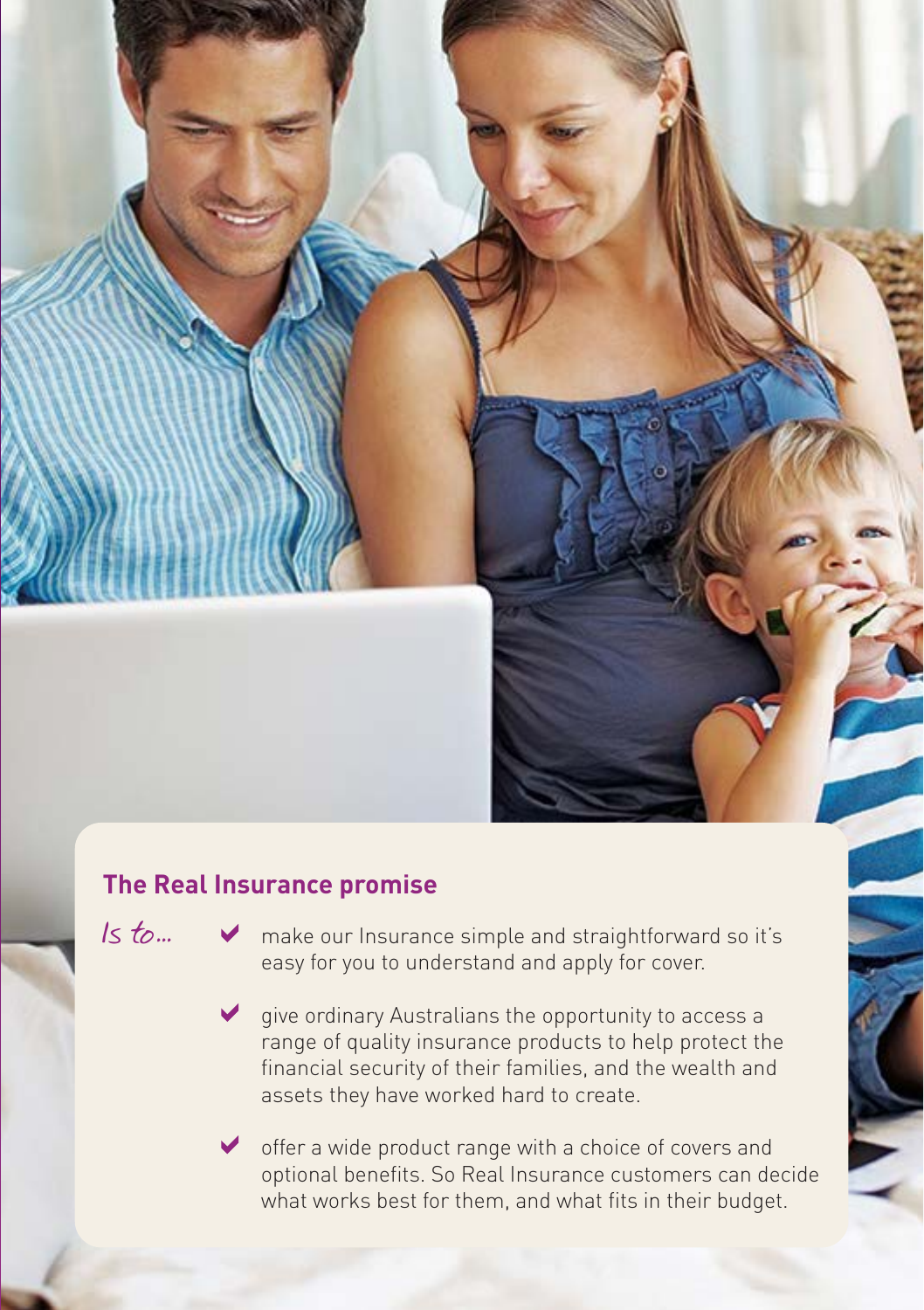

#### **The Real Insurance promise**

Is  $t_0$ ...  $\vee$  make our Insurance simple and straightforward so it's easy for you to understand and apply for cover.

> $\vee$  give ordinary Australians the opportunity to access a range of quality insurance products to help protect the financial security of their families, and the wealth and assets they have worked hard to create.

offer a wide product range with a choice of covers and optional benefits. So Real Insurance customers can decide what works best for them, and what fits in their budget.